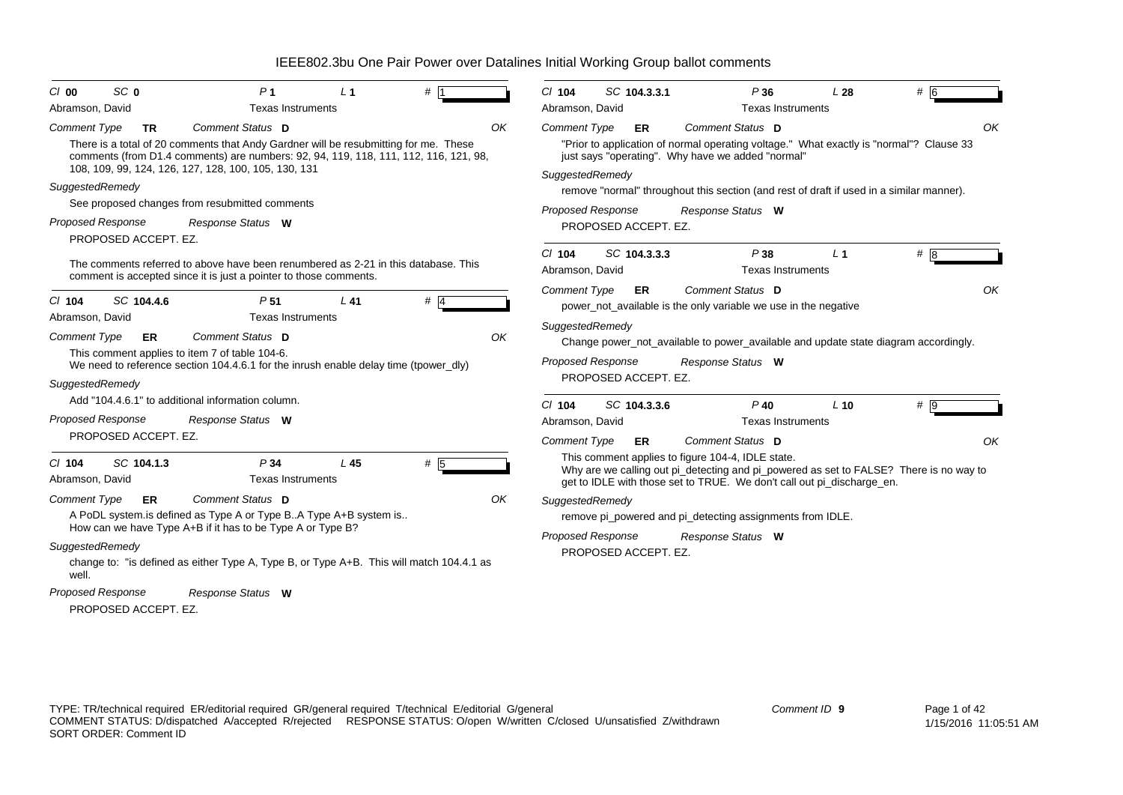| SC <sub>0</sub><br>C/00                          | P <sub>1</sub>                                                                                                                                                                                                                       | L <sub>1</sub> | # 1   |    | $Cl$ 104                    | SC 104.3.3.1 | P36                                                                                                                                                                                                                   | L28            | # 6              |    |
|--------------------------------------------------|--------------------------------------------------------------------------------------------------------------------------------------------------------------------------------------------------------------------------------------|----------------|-------|----|-----------------------------|--------------|-----------------------------------------------------------------------------------------------------------------------------------------------------------------------------------------------------------------------|----------------|------------------|----|
| Abramson, David                                  | Texas Instruments                                                                                                                                                                                                                    |                |       |    | Abramson, David             |              | <b>Texas Instruments</b>                                                                                                                                                                                              |                |                  |    |
| <b>Comment Type</b><br><b>TR</b>                 | Comment Status D                                                                                                                                                                                                                     |                |       | OK | <b>Comment Type</b>         | ER           | Comment Status D                                                                                                                                                                                                      |                |                  | OK |
|                                                  | There is a total of 20 comments that Andy Gardner will be resubmitting for me. These<br>comments (from D1.4 comments) are numbers: 92, 94, 119, 118, 111, 112, 116, 121, 98,<br>108, 109, 99, 124, 126, 127, 128, 100, 105, 130, 131 |                |       |    | SuggestedRemedy             |              | "Prior to application of normal operating voltage." What exactly is "normal"? Clause 33<br>just says "operating". Why have we added "normal"                                                                          |                |                  |    |
| SuggestedRemedy                                  |                                                                                                                                                                                                                                      |                |       |    |                             |              | remove "normal" throughout this section (and rest of draft if used in a similar manner).                                                                                                                              |                |                  |    |
|                                                  | See proposed changes from resubmitted comments                                                                                                                                                                                       |                |       |    | <b>Proposed Response</b>    |              | Response Status W                                                                                                                                                                                                     |                |                  |    |
| <b>Proposed Response</b><br>PROPOSED ACCEPT. EZ. | Response Status W                                                                                                                                                                                                                    |                |       |    | PROPOSED ACCEPT. EZ.        |              |                                                                                                                                                                                                                       |                |                  |    |
|                                                  | The comments referred to above have been renumbered as 2-21 in this database. This<br>comment is accepted since it is just a pointer to those comments.                                                                              |                |       |    | $Cl$ 104<br>Abramson, David | SC 104.3.3.3 | P38<br><b>Texas Instruments</b>                                                                                                                                                                                       | L <sub>1</sub> | # 8              |    |
| SC 104.4.6<br>$CI$ 104<br>Abramson, David        | P <sub>51</sub><br><b>Texas Instruments</b>                                                                                                                                                                                          | L 41           | $#$ 4 |    | <b>Comment Type</b>         | <b>ER</b>    | Comment Status D<br>power_not_available is the only variable we use in the negative                                                                                                                                   |                |                  | OK |
| ER                                               | Comment Status D                                                                                                                                                                                                                     |                |       | OK | SuggestedRemedy             |              |                                                                                                                                                                                                                       |                |                  |    |
| <b>Comment Type</b>                              | This comment applies to item 7 of table 104-6.                                                                                                                                                                                       |                |       |    |                             |              | Change power_not_available to power_available and update state diagram accordingly.                                                                                                                                   |                |                  |    |
|                                                  | We need to reference section 104.4.6.1 for the inrush enable delay time (tpower dly)                                                                                                                                                 |                |       |    | <b>Proposed Response</b>    |              | Response Status W                                                                                                                                                                                                     |                |                  |    |
| SuggestedRemedy                                  |                                                                                                                                                                                                                                      |                |       |    | PROPOSED ACCEPT. EZ.        |              |                                                                                                                                                                                                                       |                |                  |    |
|                                                  | Add "104.4.6.1" to additional information column.                                                                                                                                                                                    |                |       |    | $Cl$ 104                    | SC 104.3.3.6 | $P$ 40                                                                                                                                                                                                                | $L$ 10         | $# \overline{9}$ |    |
| Proposed Response                                | Response Status W                                                                                                                                                                                                                    |                |       |    | Abramson, David             |              | <b>Texas Instruments</b>                                                                                                                                                                                              |                |                  |    |
| PROPOSED ACCEPT. EZ.                             |                                                                                                                                                                                                                                      |                |       |    | <b>Comment Type</b>         | ER           | Comment Status D                                                                                                                                                                                                      |                |                  | OK |
| SC 104.1.3<br>$Cl$ 104<br>Abramson, David        | P <sub>34</sub><br>Texas Instruments                                                                                                                                                                                                 | L45            | $#$ 5 |    |                             |              | This comment applies to figure 104-4, IDLE state.<br>Why are we calling out pi_detecting and pi_powered as set to FALSE? There is no way to<br>get to IDLE with those set to TRUE. We don't call out pi_discharge_en. |                |                  |    |
| <b>Comment Type</b><br>ER                        | Comment Status D                                                                                                                                                                                                                     |                |       | OK | SuggestedRemedy             |              |                                                                                                                                                                                                                       |                |                  |    |
|                                                  | A PoDL system is defined as Type A or Type B. A Type A+B system is                                                                                                                                                                   |                |       |    |                             |              | remove pi_powered and pi_detecting assignments from IDLE.                                                                                                                                                             |                |                  |    |
|                                                  | How can we have Type A+B if it has to be Type A or Type B?                                                                                                                                                                           |                |       |    | <b>Proposed Response</b>    |              | Response Status W                                                                                                                                                                                                     |                |                  |    |
| SuggestedRemedy<br>well.                         | change to: "is defined as either Type A, Type B, or Type A+B. This will match 104.4.1 as                                                                                                                                             |                |       |    | PROPOSED ACCEPT. EZ.        |              |                                                                                                                                                                                                                       |                |                  |    |
| Proposed Response<br>PROPOSED ACCEPT. EZ.        | Response Status W                                                                                                                                                                                                                    |                |       |    |                             |              |                                                                                                                                                                                                                       |                |                  |    |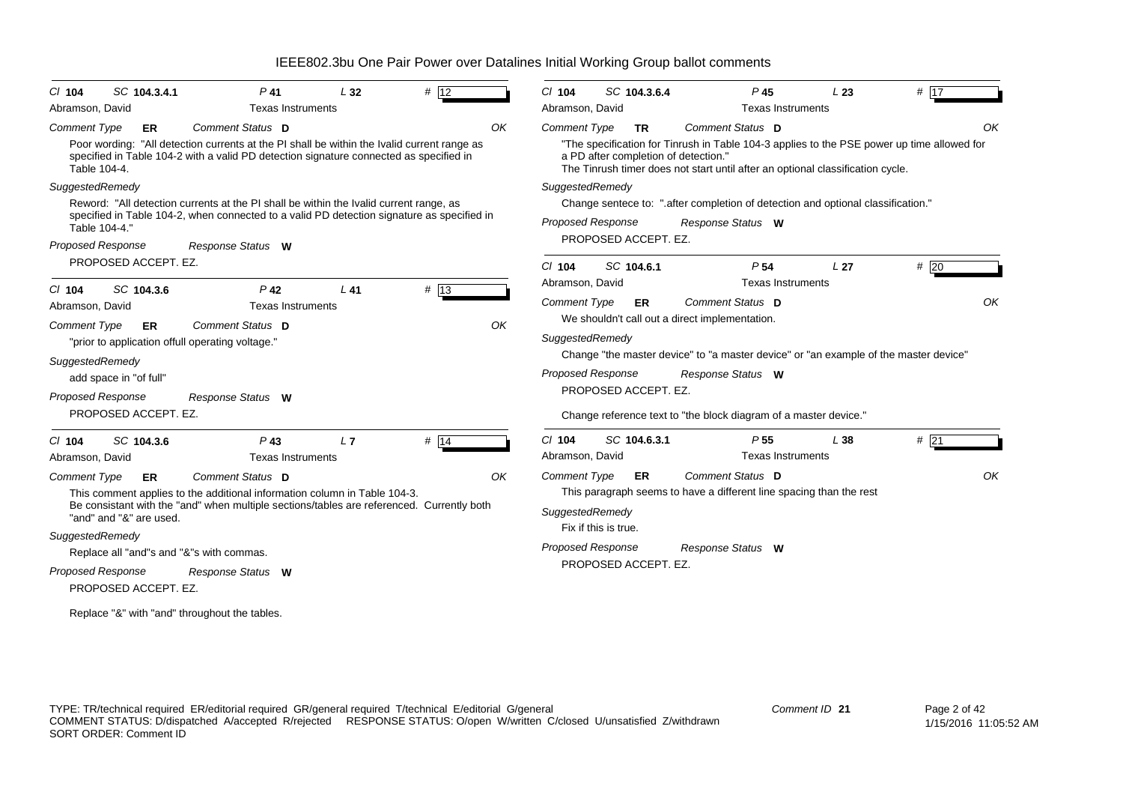| # 12<br>SC 104.3.4.1<br>SC 104.3.6.4<br># $\overline{17}$<br>$P$ 41<br>L32<br>$P$ 45<br>L23<br>$CI$ 104<br>$CI$ 104<br><b>Texas Instruments</b><br>Abramson, David<br>Abramson, David<br><b>Texas Instruments</b><br>Comment Status D<br>OK<br>Comment Status D<br><b>Comment Type</b><br><b>Comment Type</b><br>ER.<br><b>TR</b><br>Poor wording: "All detection currents at the PI shall be within the Ivalid current range as<br>"The specification for Tinrush in Table 104-3 applies to the PSE power up time allowed for<br>specified in Table 104-2 with a valid PD detection signature connected as specified in<br>a PD after completion of detection."<br>Table 104-4.<br>The Tinrush timer does not start until after an optional classification cycle.<br>SuggestedRemedy<br>SuggestedRemedy<br>Reword: "All detection currents at the PI shall be within the Ivalid current range, as<br>Change sentece to: ".after completion of detection and optional classification."<br>specified in Table 104-2, when connected to a valid PD detection signature as specified in<br><b>Proposed Response</b><br>Response Status W<br>Table 104-4."<br>PROPOSED ACCEPT. EZ.<br><b>Proposed Response</b><br>Response Status W<br>PROPOSED ACCEPT. EZ.<br>#20<br>SC 104.6.1<br>P <sub>54</sub><br>$Cl$ 104<br>L <sub>27</sub><br>Abramson, David<br><b>Texas Instruments</b><br># 13<br>SC 104.3.6<br>P <sub>42</sub><br>L41<br>$CI$ 104<br>Comment Status D<br><b>Comment Type</b><br>ER<br>Abramson, David<br><b>Texas Instruments</b><br>We shouldn't call out a direct implementation.<br>Comment Status D<br>OK<br>Comment Type<br>ER<br>SuggestedRemedy<br>"prior to application offull operating voltage."<br>Change "the master device" to "a master device" or "an example of the master device"<br>SuggestedRemedy<br><b>Proposed Response</b><br>Response Status W<br>add space in "of full"<br>PROPOSED ACCEPT. EZ.<br>Proposed Response<br>Response Status W<br>PROPOSED ACCEPT. EZ.<br>Change reference text to "the block diagram of a master device."<br>$#$ 21<br># 14<br>$Cl$ 104<br>SC 104.6.3.1<br>P <sub>55</sub><br>L38<br>SC 104.3.6<br>$P$ 43<br>L7<br>$CI$ 104<br>Abramson, David<br><b>Texas Instruments</b><br><b>Texas Instruments</b><br>Abramson, David<br>Comment Status D<br>Comment Type<br>ER<br>Comment Status D<br>OK<br><b>Comment Type</b><br><b>ER</b><br>This paragraph seems to have a different line spacing than the rest<br>This comment applies to the additional information column in Table 104-3.<br>Be consistant with the "and" when multiple sections/tables are referenced. Currently both<br>SuggestedRemedy<br>"and" and "&" are used.<br>Fix if this is true.<br>SuggestedRemedy<br><b>Proposed Response</b><br>Response Status W<br>Replace all "and"s and "&"s with commas.<br>PROPOSED ACCEPT. EZ.<br><b>Proposed Response</b><br>Response Status W<br>PROPOSED ACCEPT. EZ. |  |  |  |  |    |
|----------------------------------------------------------------------------------------------------------------------------------------------------------------------------------------------------------------------------------------------------------------------------------------------------------------------------------------------------------------------------------------------------------------------------------------------------------------------------------------------------------------------------------------------------------------------------------------------------------------------------------------------------------------------------------------------------------------------------------------------------------------------------------------------------------------------------------------------------------------------------------------------------------------------------------------------------------------------------------------------------------------------------------------------------------------------------------------------------------------------------------------------------------------------------------------------------------------------------------------------------------------------------------------------------------------------------------------------------------------------------------------------------------------------------------------------------------------------------------------------------------------------------------------------------------------------------------------------------------------------------------------------------------------------------------------------------------------------------------------------------------------------------------------------------------------------------------------------------------------------------------------------------------------------------------------------------------------------------------------------------------------------------------------------------------------------------------------------------------------------------------------------------------------------------------------------------------------------------------------------------------------------------------------------------------------------------------------------------------------------------------------------------------------------------------------------------------------------------------------------------------------------------------------------------------------------------------------------------------------------------------------------------------------------------------------------------------------------------------------------------------------------------------------------------------------------------------------------------------------------------------------------------------------------------------------|--|--|--|--|----|
|                                                                                                                                                                                                                                                                                                                                                                                                                                                                                                                                                                                                                                                                                                                                                                                                                                                                                                                                                                                                                                                                                                                                                                                                                                                                                                                                                                                                                                                                                                                                                                                                                                                                                                                                                                                                                                                                                                                                                                                                                                                                                                                                                                                                                                                                                                                                                                                                                                                                                                                                                                                                                                                                                                                                                                                                                                                                                                                                        |  |  |  |  |    |
|                                                                                                                                                                                                                                                                                                                                                                                                                                                                                                                                                                                                                                                                                                                                                                                                                                                                                                                                                                                                                                                                                                                                                                                                                                                                                                                                                                                                                                                                                                                                                                                                                                                                                                                                                                                                                                                                                                                                                                                                                                                                                                                                                                                                                                                                                                                                                                                                                                                                                                                                                                                                                                                                                                                                                                                                                                                                                                                                        |  |  |  |  |    |
|                                                                                                                                                                                                                                                                                                                                                                                                                                                                                                                                                                                                                                                                                                                                                                                                                                                                                                                                                                                                                                                                                                                                                                                                                                                                                                                                                                                                                                                                                                                                                                                                                                                                                                                                                                                                                                                                                                                                                                                                                                                                                                                                                                                                                                                                                                                                                                                                                                                                                                                                                                                                                                                                                                                                                                                                                                                                                                                                        |  |  |  |  | OK |
|                                                                                                                                                                                                                                                                                                                                                                                                                                                                                                                                                                                                                                                                                                                                                                                                                                                                                                                                                                                                                                                                                                                                                                                                                                                                                                                                                                                                                                                                                                                                                                                                                                                                                                                                                                                                                                                                                                                                                                                                                                                                                                                                                                                                                                                                                                                                                                                                                                                                                                                                                                                                                                                                                                                                                                                                                                                                                                                                        |  |  |  |  |    |
|                                                                                                                                                                                                                                                                                                                                                                                                                                                                                                                                                                                                                                                                                                                                                                                                                                                                                                                                                                                                                                                                                                                                                                                                                                                                                                                                                                                                                                                                                                                                                                                                                                                                                                                                                                                                                                                                                                                                                                                                                                                                                                                                                                                                                                                                                                                                                                                                                                                                                                                                                                                                                                                                                                                                                                                                                                                                                                                                        |  |  |  |  |    |
|                                                                                                                                                                                                                                                                                                                                                                                                                                                                                                                                                                                                                                                                                                                                                                                                                                                                                                                                                                                                                                                                                                                                                                                                                                                                                                                                                                                                                                                                                                                                                                                                                                                                                                                                                                                                                                                                                                                                                                                                                                                                                                                                                                                                                                                                                                                                                                                                                                                                                                                                                                                                                                                                                                                                                                                                                                                                                                                                        |  |  |  |  | OK |
|                                                                                                                                                                                                                                                                                                                                                                                                                                                                                                                                                                                                                                                                                                                                                                                                                                                                                                                                                                                                                                                                                                                                                                                                                                                                                                                                                                                                                                                                                                                                                                                                                                                                                                                                                                                                                                                                                                                                                                                                                                                                                                                                                                                                                                                                                                                                                                                                                                                                                                                                                                                                                                                                                                                                                                                                                                                                                                                                        |  |  |  |  |    |
|                                                                                                                                                                                                                                                                                                                                                                                                                                                                                                                                                                                                                                                                                                                                                                                                                                                                                                                                                                                                                                                                                                                                                                                                                                                                                                                                                                                                                                                                                                                                                                                                                                                                                                                                                                                                                                                                                                                                                                                                                                                                                                                                                                                                                                                                                                                                                                                                                                                                                                                                                                                                                                                                                                                                                                                                                                                                                                                                        |  |  |  |  |    |
|                                                                                                                                                                                                                                                                                                                                                                                                                                                                                                                                                                                                                                                                                                                                                                                                                                                                                                                                                                                                                                                                                                                                                                                                                                                                                                                                                                                                                                                                                                                                                                                                                                                                                                                                                                                                                                                                                                                                                                                                                                                                                                                                                                                                                                                                                                                                                                                                                                                                                                                                                                                                                                                                                                                                                                                                                                                                                                                                        |  |  |  |  | OK |
| Replace "&" with "and" throughout the tables.                                                                                                                                                                                                                                                                                                                                                                                                                                                                                                                                                                                                                                                                                                                                                                                                                                                                                                                                                                                                                                                                                                                                                                                                                                                                                                                                                                                                                                                                                                                                                                                                                                                                                                                                                                                                                                                                                                                                                                                                                                                                                                                                                                                                                                                                                                                                                                                                                                                                                                                                                                                                                                                                                                                                                                                                                                                                                          |  |  |  |  |    |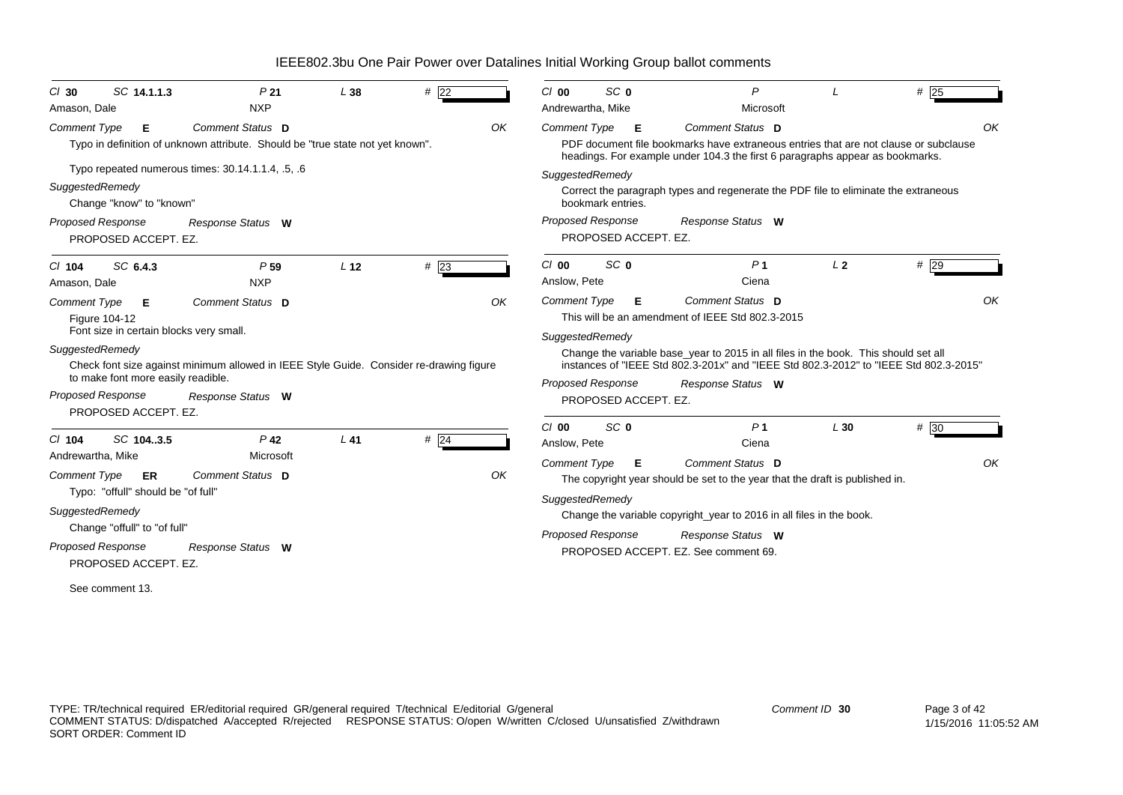| SC 14.1.1.3<br>$Cl$ 30<br>Amason, Dale                                                                  | P <sub>21</sub><br><b>NXP</b>                                                                               | L38             | #22 |    | $Cl$ 00<br>Andrewartha, Mike                   | SC <sub>0</sub>                           | P<br>Microsoft                                                                                                                                                                                                                                       |                | # $\sqrt{25}$ |
|---------------------------------------------------------------------------------------------------------|-------------------------------------------------------------------------------------------------------------|-----------------|-----|----|------------------------------------------------|-------------------------------------------|------------------------------------------------------------------------------------------------------------------------------------------------------------------------------------------------------------------------------------------------------|----------------|---------------|
| <b>Comment Type</b><br>Е                                                                                | Comment Status D<br>Typo in definition of unknown attribute. Should be "true state not yet known".          |                 |     | OK | <b>Comment Type</b>                            | Е                                         | Comment Status D<br>PDF document file bookmarks have extraneous entries that are not clause or subclause                                                                                                                                             |                | ΟK            |
| SuggestedRemedy<br>Change "know" to "known"                                                             | Typo repeated numerous times: 30.14.1.1.4, .5, .6                                                           |                 |     |    | SuggestedRemedy                                | bookmark entries.                         | headings. For example under 104.3 the first 6 paragraphs appear as bookmarks.<br>Correct the paragraph types and regenerate the PDF file to eliminate the extraneous                                                                                 |                |               |
| <b>Proposed Response</b><br>PROPOSED ACCEPT. EZ.                                                        | Response Status W                                                                                           |                 |     |    |                                                | Proposed Response<br>PROPOSED ACCEPT. EZ. | Response Status W                                                                                                                                                                                                                                    |                |               |
| SC 6.4.3<br>$Cl$ 104<br>Amason, Dale                                                                    | P <sub>59</sub><br><b>NXP</b>                                                                               | L <sub>12</sub> | #23 |    | $Cl$ 00<br>Anslow, Pete                        | SC <sub>0</sub>                           | P <sub>1</sub><br>Ciena                                                                                                                                                                                                                              | L <sub>2</sub> | #29           |
| <b>Comment Type</b><br>Е<br>Figure 104-12<br>Font size in certain blocks very small.<br>SuggestedRemedy | Comment Status D<br>Check font size against minimum allowed in IEEE Style Guide. Consider re-drawing figure |                 |     | OK | Comment Type<br>SuggestedRemedy                | Е                                         | Comment Status D<br>This will be an amendment of IEEE Std 802.3-2015<br>Change the variable base_year to 2015 in all files in the book. This should set all<br>instances of "IEEE Std 802.3-201x" and "IEEE Std 802.3-2012" to "IEEE Std 802.3-2015" |                | OK            |
| to make font more easily readible.<br>Proposed Response<br>PROPOSED ACCEPT. EZ.                         | Response Status W                                                                                           |                 |     |    |                                                | Proposed Response<br>PROPOSED ACCEPT. EZ. | Response Status W                                                                                                                                                                                                                                    |                |               |
| SC 104.3.5<br>$Cl$ 104<br>Andrewartha, Mike                                                             | P <sub>42</sub><br>Microsoft                                                                                | $L$ 41          | #24 |    | $Cl$ 00<br>Anslow, Pete<br><b>Comment Type</b> | SC <sub>0</sub><br>Е                      | P <sub>1</sub><br>Ciena<br>Comment Status D                                                                                                                                                                                                          | L30            | # 30<br>OK    |
| <b>Comment Type</b><br>ER<br>Typo: "offull" should be "of full"                                         | Comment Status D                                                                                            |                 |     | OK | SuggestedRemedy                                |                                           | The copyright year should be set to the year that the draft is published in.                                                                                                                                                                         |                |               |
| SuggestedRemedy<br>Change "offull" to "of full"<br>Proposed Response<br>PROPOSED ACCEPT. EZ.            | Response Status W                                                                                           |                 |     |    |                                                | <b>Proposed Response</b>                  | Change the variable copyright_year to 2016 in all files in the book.<br>Response Status W<br>PROPOSED ACCEPT. EZ. See comment 69.                                                                                                                    |                |               |
| See comment 13.                                                                                         |                                                                                                             |                 |     |    |                                                |                                           |                                                                                                                                                                                                                                                      |                |               |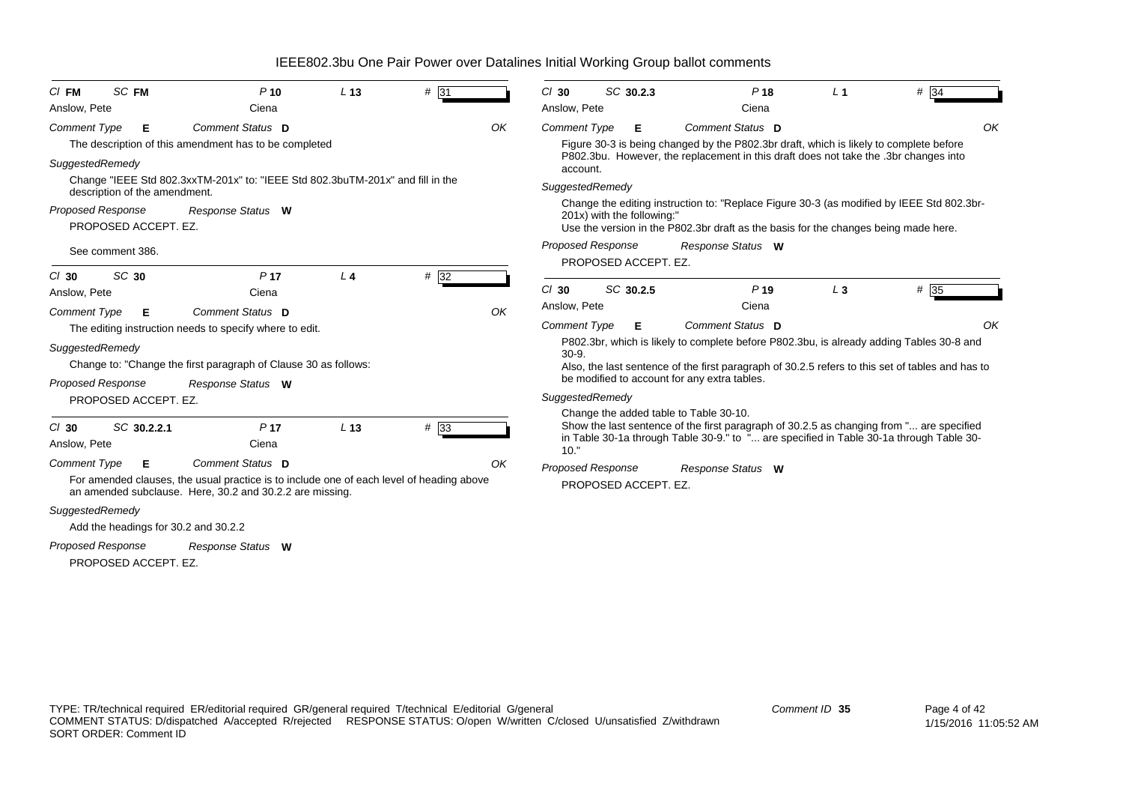| SC FM<br>$CI$ FM                     | $P$ 10                                                                                                                                               | L <sub>13</sub> | #31               | $Cl$ 30             | SC 30.2.3                                        | P <sub>18</sub>                                                                                  | L <sub>1</sub> | $# \overline{34}$ |
|--------------------------------------|------------------------------------------------------------------------------------------------------------------------------------------------------|-----------------|-------------------|---------------------|--------------------------------------------------|--------------------------------------------------------------------------------------------------|----------------|-------------------|
| Anslow, Pete                         | Ciena                                                                                                                                                |                 |                   | Anslow, Pete        |                                                  | Ciena                                                                                            |                |                   |
| <b>Comment Type</b><br>Е             | Comment Status D                                                                                                                                     |                 | OK                | <b>Comment Type</b> | Е                                                | Comment Status D                                                                                 |                | OK                |
|                                      | The description of this amendment has to be completed                                                                                                |                 |                   |                     |                                                  | Figure 30-3 is being changed by the P802.3br draft, which is likely to complete before           |                |                   |
| SuggestedRemedy                      |                                                                                                                                                      |                 |                   | account.            |                                                  | P802.3bu. However, the replacement in this draft does not take the .3br changes into             |                |                   |
| description of the amendment.        | Change "IEEE Std 802.3xxTM-201x" to: "IEEE Std 802.3buTM-201x" and fill in the                                                                       |                 |                   |                     | SuggestedRemedy                                  |                                                                                                  |                |                   |
| <b>Proposed Response</b>             | Response Status W                                                                                                                                    |                 |                   |                     |                                                  | Change the editing instruction to: "Replace Figure 30-3 (as modified by IEEE Std 802.3br-        |                |                   |
| PROPOSED ACCEPT. EZ.                 |                                                                                                                                                      |                 |                   |                     | 201x) with the following:"                       | Use the version in the P802.3br draft as the basis for the changes being made here.              |                |                   |
| See comment 386.                     |                                                                                                                                                      |                 |                   |                     | <b>Proposed Response</b><br>PROPOSED ACCEPT. EZ. | Response Status W                                                                                |                |                   |
| SC 30<br>$CI$ 30                     | P <sub>17</sub>                                                                                                                                      | L <sub>4</sub>  | #32               |                     |                                                  |                                                                                                  |                |                   |
| Anslow, Pete                         | Ciena                                                                                                                                                |                 |                   | $Cl$ 30             | SC 30.2.5                                        | P <sub>19</sub>                                                                                  | $L_3$          | $#$ 35            |
| <b>Comment Type</b><br>Е             | Comment Status D                                                                                                                                     |                 | OK                | Anslow, Pete        |                                                  | Ciena                                                                                            |                |                   |
|                                      | The editing instruction needs to specify where to edit.                                                                                              |                 |                   | <b>Comment Type</b> | Е                                                | Comment Status D                                                                                 |                | OK                |
| SuggestedRemedy                      |                                                                                                                                                      |                 |                   |                     |                                                  | P802.3br, which is likely to complete before P802.3bu, is already adding Tables 30-8 and         |                |                   |
|                                      | Change to: "Change the first paragraph of Clause 30 as follows:                                                                                      |                 |                   | $30-9.$             |                                                  | Also, the last sentence of the first paragraph of 30.2.5 refers to this set of tables and has to |                |                   |
| <b>Proposed Response</b>             | Response Status W                                                                                                                                    |                 |                   |                     |                                                  | be modified to account for any extra tables.                                                     |                |                   |
| PROPOSED ACCEPT. EZ.                 |                                                                                                                                                      |                 |                   | SuggestedRemedy     |                                                  |                                                                                                  |                |                   |
|                                      |                                                                                                                                                      |                 |                   |                     |                                                  | Change the added table to Table 30-10.                                                           |                |                   |
| SC 30.2.2.1<br>$Cl$ 30               | P <sub>17</sub>                                                                                                                                      | L <sub>13</sub> | $# \overline{33}$ |                     |                                                  | Show the last sentence of the first paragraph of 30.2.5 as changing from " are specified         |                |                   |
| Anslow, Pete                         | Ciena                                                                                                                                                |                 |                   | 10."                |                                                  | in Table 30-1a through Table 30-9." to " are specified in Table 30-1a through Table 30-          |                |                   |
| <b>Comment Type</b><br>Е             | Comment Status D                                                                                                                                     |                 | OK                |                     | <b>Proposed Response</b>                         | Response Status W                                                                                |                |                   |
|                                      | For amended clauses, the usual practice is to include one of each level of heading above<br>an amended subclause. Here, 30.2 and 30.2.2 are missing. |                 |                   |                     | PROPOSED ACCEPT. EZ.                             |                                                                                                  |                |                   |
| SuggestedRemedy                      |                                                                                                                                                      |                 |                   |                     |                                                  |                                                                                                  |                |                   |
| Add the headings for 30.2 and 30.2.2 |                                                                                                                                                      |                 |                   |                     |                                                  |                                                                                                  |                |                   |
| <b>Proposed Response</b>             | Response Status W                                                                                                                                    |                 |                   |                     |                                                  |                                                                                                  |                |                   |
| PROPOSED ACCEPT. EZ.                 |                                                                                                                                                      |                 |                   |                     |                                                  |                                                                                                  |                |                   |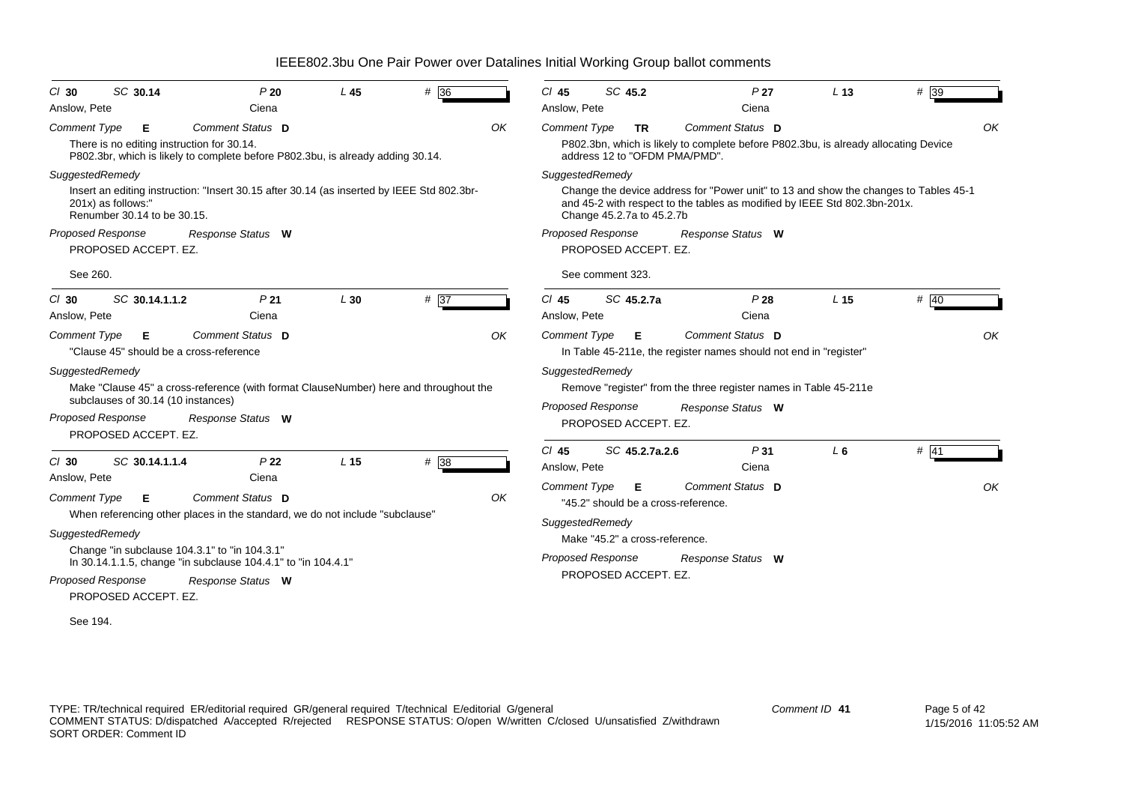| SC 30.14<br>$CI$ 30                               | P20                                                                                                            | L45             | # 36 | $Cl$ 45             | SC 45.2                                          |           | P <sub>27</sub>                                                                                                                                                   | L <sub>13</sub> | # 39   |    |
|---------------------------------------------------|----------------------------------------------------------------------------------------------------------------|-----------------|------|---------------------|--------------------------------------------------|-----------|-------------------------------------------------------------------------------------------------------------------------------------------------------------------|-----------------|--------|----|
| Anslow, Pete                                      | Ciena                                                                                                          |                 |      | Anslow, Pete        |                                                  |           | Ciena                                                                                                                                                             |                 |        |    |
| <b>Comment Type</b><br>Е                          | Comment Status D                                                                                               |                 | OK   | <b>Comment Type</b> |                                                  | <b>TR</b> | Comment Status D                                                                                                                                                  |                 |        | OK |
| There is no editing instruction for 30.14.        | P802.3br, which is likely to complete before P802.3bu, is already adding 30.14.                                |                 |      |                     | address 12 to "OFDM PMA/PMD".                    |           | P802.3bn, which is likely to complete before P802.3bu, is already allocating Device                                                                               |                 |        |    |
| SuggestedRemedy                                   |                                                                                                                |                 |      |                     | SuggestedRemedy                                  |           |                                                                                                                                                                   |                 |        |    |
| 201x) as follows:"<br>Renumber 30.14 to be 30.15. | Insert an editing instruction: "Insert 30.15 after 30.14 (as inserted by IEEE Std 802.3br-                     |                 |      |                     | Change 45.2.7a to 45.2.7b                        |           | Change the device address for "Power unit" to 13 and show the changes to Tables 45-1<br>and 45-2 with respect to the tables as modified by IEEE Std 802.3bn-201x. |                 |        |    |
| <b>Proposed Response</b>                          | Response Status W                                                                                              |                 |      |                     | <b>Proposed Response</b>                         |           | Response Status W                                                                                                                                                 |                 |        |    |
| PROPOSED ACCEPT. EZ.                              |                                                                                                                |                 |      |                     | PROPOSED ACCEPT. EZ.                             |           |                                                                                                                                                                   |                 |        |    |
| See 260.                                          |                                                                                                                |                 |      |                     | See comment 323.                                 |           |                                                                                                                                                                   |                 |        |    |
| SC 30.14.1.1.2<br>$CI$ 30                         | P <sub>21</sub>                                                                                                | L30             | # 37 | $Cl$ 45             | SC 45.2.7a                                       |           | P28                                                                                                                                                               | L <sub>15</sub> | # 40   |    |
| Anslow, Pete                                      | Ciena                                                                                                          |                 |      | Anslow, Pete        |                                                  |           | Ciena                                                                                                                                                             |                 |        |    |
| <b>Comment Type</b><br>Е                          | Comment Status D                                                                                               |                 | OK   | <b>Comment Type</b> | Е                                                |           | Comment Status D                                                                                                                                                  |                 |        | OK |
| "Clause 45" should be a cross-reference           |                                                                                                                |                 |      |                     |                                                  |           | In Table 45-211e, the register names should not end in "register"                                                                                                 |                 |        |    |
| SuggestedRemedy                                   |                                                                                                                |                 |      |                     | SuggestedRemedy                                  |           |                                                                                                                                                                   |                 |        |    |
| subclauses of 30.14 (10 instances)                | Make "Clause 45" a cross-reference (with format ClauseNumber) here and throughout the                          |                 |      |                     |                                                  |           | Remove "register" from the three register names in Table 45-211e                                                                                                  |                 |        |    |
| <b>Proposed Response</b>                          | Response Status W                                                                                              |                 |      |                     | <b>Proposed Response</b><br>PROPOSED ACCEPT. EZ. |           | Response Status W                                                                                                                                                 |                 |        |    |
| PROPOSED ACCEPT. EZ.                              |                                                                                                                |                 |      |                     |                                                  |           |                                                                                                                                                                   |                 |        |    |
|                                                   |                                                                                                                |                 |      | $CI$ 45             | SC 45.2.7a.2.6                                   |           | P <sub>31</sub>                                                                                                                                                   | $L_6$           | $#$ 41 |    |
| SC 30.14.1.1.4<br>$CI$ 30<br>Anslow, Pete         | P <sub>22</sub><br>Ciena                                                                                       | L <sub>15</sub> | #38  | Anslow, Pete        |                                                  |           | Ciena                                                                                                                                                             |                 |        |    |
|                                                   |                                                                                                                |                 |      | <b>Comment Type</b> | Е                                                |           | Comment Status D                                                                                                                                                  |                 |        | OK |
| <b>Comment Type</b><br>Е                          | Comment Status D                                                                                               |                 | OK   |                     |                                                  |           | "45.2" should be a cross-reference.                                                                                                                               |                 |        |    |
|                                                   | When referencing other places in the standard, we do not include "subclause"                                   |                 |      |                     | SuggestedRemedy                                  |           |                                                                                                                                                                   |                 |        |    |
| SuggestedRemedy                                   |                                                                                                                |                 |      |                     | Make "45.2" a cross-reference.                   |           |                                                                                                                                                                   |                 |        |    |
|                                                   | Change "in subclause 104.3.1" to "in 104.3.1"<br>In 30.14.1.1.5, change "in subclause 104.4.1" to "in 104.4.1" |                 |      |                     | <b>Proposed Response</b>                         |           | Response Status W                                                                                                                                                 |                 |        |    |
| <b>Proposed Response</b>                          | Response Status W                                                                                              |                 |      |                     | PROPOSED ACCEPT. EZ.                             |           |                                                                                                                                                                   |                 |        |    |
| PROPOSED ACCEPT. EZ.                              |                                                                                                                |                 |      |                     |                                                  |           |                                                                                                                                                                   |                 |        |    |
| See 194.                                          |                                                                                                                |                 |      |                     |                                                  |           |                                                                                                                                                                   |                 |        |    |
|                                                   |                                                                                                                |                 |      |                     |                                                  |           |                                                                                                                                                                   |                 |        |    |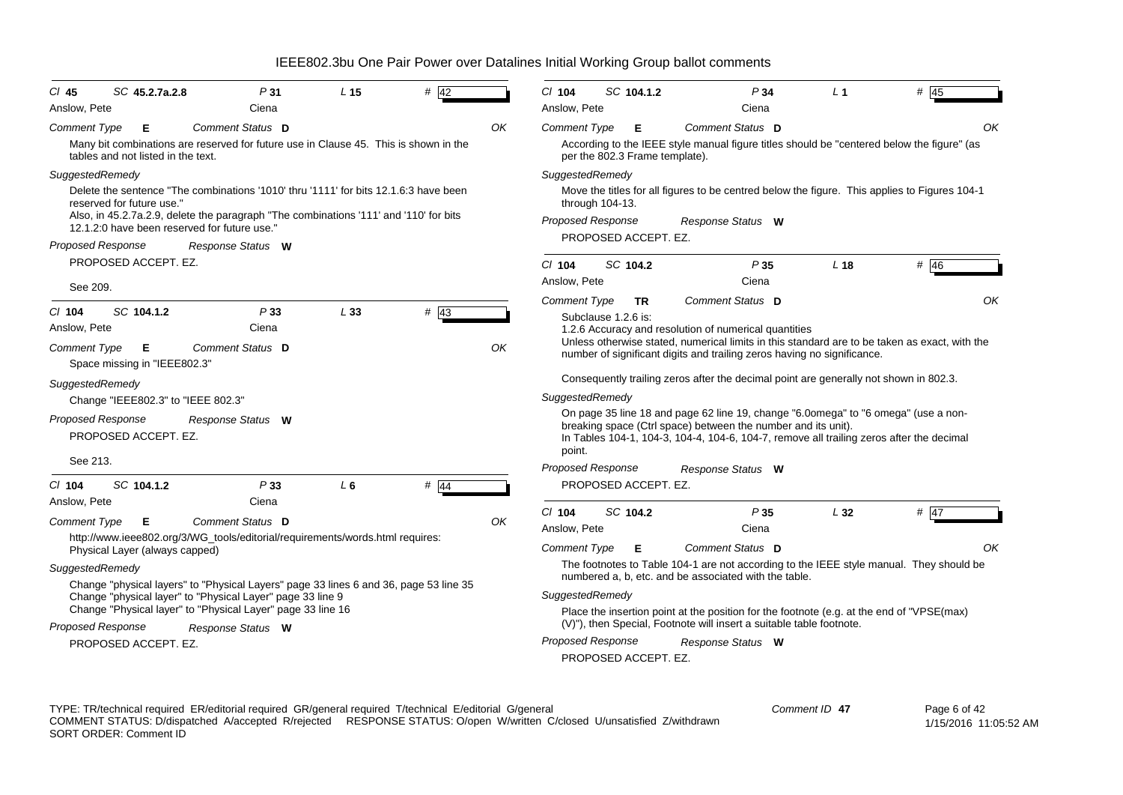| $CI$ 45                  | SC 45.2.7a.2.8                     |                                                                                                                                       | P31 | L <sub>15</sub> | $#$ 42                                                                                |    | $Cl$ 104                 | SC 104.1.2                     | P34                                                                                                                                                                                                                                             | L <sub>1</sub>  | # 45                                                                                          |
|--------------------------|------------------------------------|---------------------------------------------------------------------------------------------------------------------------------------|-----|-----------------|---------------------------------------------------------------------------------------|----|--------------------------|--------------------------------|-------------------------------------------------------------------------------------------------------------------------------------------------------------------------------------------------------------------------------------------------|-----------------|-----------------------------------------------------------------------------------------------|
| Anslow, Pete             |                                    | Ciena                                                                                                                                 |     |                 |                                                                                       |    | Anslow, Pete             |                                | Ciena                                                                                                                                                                                                                                           |                 |                                                                                               |
| <b>Comment Type</b>      | Е                                  | Comment Status D                                                                                                                      |     |                 |                                                                                       | ΟK | <b>Comment Type</b>      | Е                              | Comment Status D                                                                                                                                                                                                                                |                 | OK                                                                                            |
|                          | tables and not listed in the text. |                                                                                                                                       |     |                 | Many bit combinations are reserved for future use in Clause 45. This is shown in the  |    |                          | per the 802.3 Frame template). | According to the IEEE style manual figure titles should be "centered below the figure" (as                                                                                                                                                      |                 |                                                                                               |
| SuggestedRemedy          |                                    |                                                                                                                                       |     |                 |                                                                                       |    | SuggestedRemedy          |                                |                                                                                                                                                                                                                                                 |                 |                                                                                               |
|                          | reserved for future use."          | Delete the sentence "The combinations '1010' thru '1111' for bits 12.1.6:3 have been                                                  |     |                 |                                                                                       |    | through $104-13$ .       |                                |                                                                                                                                                                                                                                                 |                 | Move the titles for all figures to be centred below the figure. This applies to Figures 104-1 |
|                          |                                    | Also, in 45.2.7a.2.9, delete the paragraph "The combinations '111' and '110' for bits<br>12.1.2:0 have been reserved for future use." |     |                 |                                                                                       |    | <b>Proposed Response</b> |                                | Response Status W                                                                                                                                                                                                                               |                 |                                                                                               |
| Proposed Response        |                                    | Response Status W                                                                                                                     |     |                 |                                                                                       |    |                          | PROPOSED ACCEPT. EZ.           |                                                                                                                                                                                                                                                 |                 |                                                                                               |
|                          | PROPOSED ACCEPT. EZ.               |                                                                                                                                       |     |                 |                                                                                       |    | $Cl$ 104                 | SC 104.2                       | P35                                                                                                                                                                                                                                             | L <sub>18</sub> | # 46                                                                                          |
|                          |                                    |                                                                                                                                       |     |                 |                                                                                       |    | Anslow, Pete             |                                | Ciena                                                                                                                                                                                                                                           |                 |                                                                                               |
| See 209.                 |                                    |                                                                                                                                       |     |                 |                                                                                       |    | Comment Type             | <b>TR</b>                      | Comment Status D                                                                                                                                                                                                                                |                 | OK                                                                                            |
| $CI$ 104                 | SC 104.1.2                         |                                                                                                                                       | P33 | L33             | $#$ 43                                                                                |    | Subclause 1.2.6 is:      |                                |                                                                                                                                                                                                                                                 |                 |                                                                                               |
| Anslow, Pete             |                                    | Ciena                                                                                                                                 |     |                 |                                                                                       |    |                          |                                | 1.2.6 Accuracy and resolution of numerical quantities                                                                                                                                                                                           |                 |                                                                                               |
| <b>Comment Type</b>      | E<br>Space missing in "IEEE802.3"  | Comment Status D                                                                                                                      |     |                 |                                                                                       | OK |                          |                                | number of significant digits and trailing zeros having no significance.                                                                                                                                                                         |                 | Unless otherwise stated, numerical limits in this standard are to be taken as exact, with the |
| SuggestedRemedy          |                                    |                                                                                                                                       |     |                 |                                                                                       |    |                          |                                | Consequently trailing zeros after the decimal point are generally not shown in 802.3.                                                                                                                                                           |                 |                                                                                               |
|                          | Change "IEEE802.3" to "IEEE 802.3" |                                                                                                                                       |     |                 |                                                                                       |    | <b>SuggestedRemedy</b>   |                                |                                                                                                                                                                                                                                                 |                 |                                                                                               |
| Proposed Response        | PROPOSED ACCEPT. EZ.               | Response Status W                                                                                                                     |     |                 |                                                                                       |    | point.                   |                                | On page 35 line 18 and page 62 line 19, change "6.0omega" to "6 omega" (use a non-<br>breaking space (Ctrl space) between the number and its unit).<br>In Tables 104-1, 104-3, 104-4, 104-6, 104-7, remove all trailing zeros after the decimal |                 |                                                                                               |
| See 213.                 |                                    |                                                                                                                                       |     |                 |                                                                                       |    | <b>Proposed Response</b> |                                | Response Status W                                                                                                                                                                                                                               |                 |                                                                                               |
| $Cl$ 104                 | SC 104.1.2                         |                                                                                                                                       | P33 | $L_6$           | $\#$ 44                                                                               |    |                          | PROPOSED ACCEPT. EZ.           |                                                                                                                                                                                                                                                 |                 |                                                                                               |
| Anslow, Pete             |                                    | Ciena                                                                                                                                 |     |                 |                                                                                       |    |                          |                                |                                                                                                                                                                                                                                                 |                 |                                                                                               |
| Comment Type             | Е                                  | Comment Status D                                                                                                                      |     |                 |                                                                                       | OK | $Cl$ 104                 | SC 104.2                       | P35                                                                                                                                                                                                                                             | L32             | # $47$                                                                                        |
|                          |                                    | http://www.ieee802.org/3/WG_tools/editorial/requirements/words.html requires:                                                         |     |                 |                                                                                       |    | Anslow, Pete             |                                | Ciena                                                                                                                                                                                                                                           |                 |                                                                                               |
|                          | Physical Layer (always capped)     |                                                                                                                                       |     |                 |                                                                                       |    | <b>Comment Type</b>      | Е                              | Comment Status D                                                                                                                                                                                                                                |                 | OK                                                                                            |
| SuggestedRemedy          |                                    |                                                                                                                                       |     |                 | Change "physical layers" to "Physical Layers" page 33 lines 6 and 36, page 53 line 35 |    |                          |                                | numbered a, b, etc. and be associated with the table.                                                                                                                                                                                           |                 | The footnotes to Table 104-1 are not according to the IEEE style manual. They should be       |
|                          |                                    | Change "physical layer" to "Physical Layer" page 33 line 9                                                                            |     |                 |                                                                                       |    | SuggestedRemedy          |                                |                                                                                                                                                                                                                                                 |                 |                                                                                               |
|                          |                                    | Change "Physical layer" to "Physical Layer" page 33 line 16                                                                           |     |                 |                                                                                       |    |                          |                                | Place the insertion point at the position for the footnote (e.g. at the end of "VPSE(max)                                                                                                                                                       |                 |                                                                                               |
| <b>Proposed Response</b> |                                    | Response Status W                                                                                                                     |     |                 |                                                                                       |    |                          |                                | (V)"), then Special, Footnote will insert a suitable table footnote.                                                                                                                                                                            |                 |                                                                                               |
|                          | PROPOSED ACCEPT. EZ.               |                                                                                                                                       |     |                 |                                                                                       |    | <b>Proposed Response</b> | PROPOSED ACCEPT. EZ.           | Response Status W                                                                                                                                                                                                                               |                 |                                                                                               |
|                          |                                    |                                                                                                                                       |     |                 |                                                                                       |    |                          |                                |                                                                                                                                                                                                                                                 |                 |                                                                                               |

TYPE: TR/technical required ER/editorial required GR/general required T/technical E/editorial G/general COMMENT STATUS: D/dispatched A/accepted R/rejected RESPONSE STATUS: O/open W/written C/closed U/unsatisfied Z/withdrawn SORT ORDER: Comment ID *Comment ID* **47**

 Page 6 of 42 1/15/2016 11:05:52 AM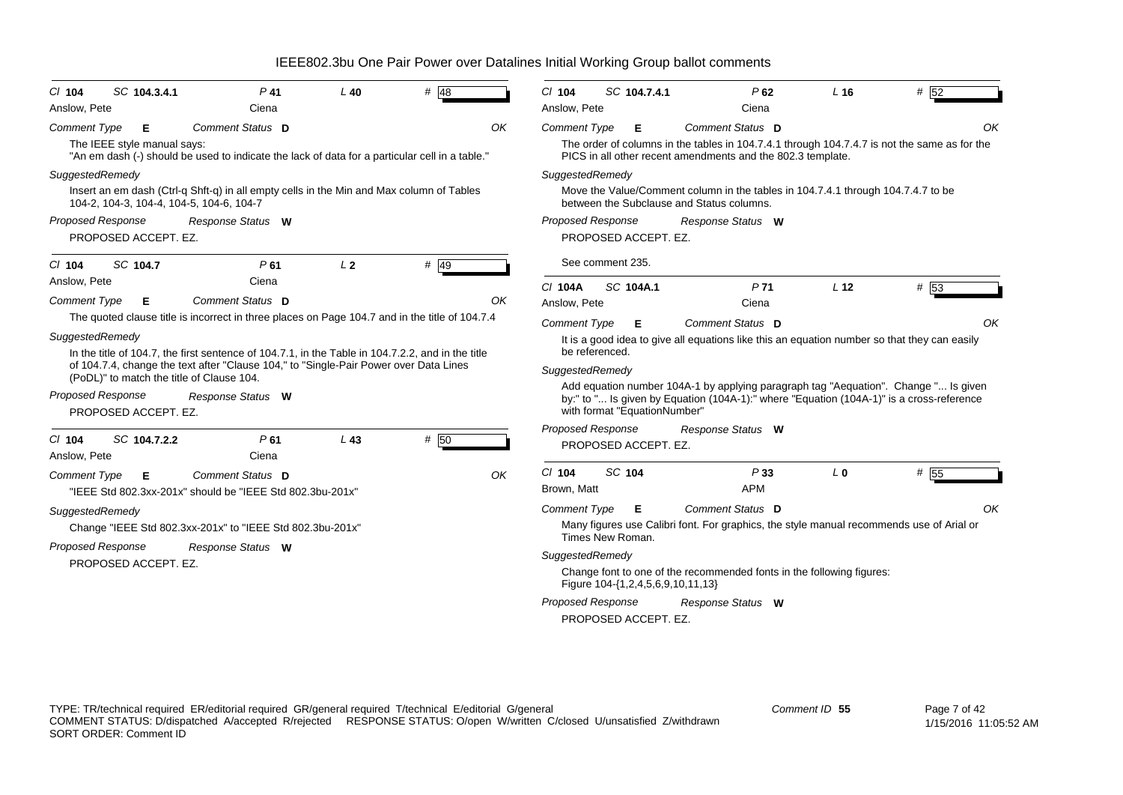| $CI$ 104                                                                                              | SC 104.3.4.1                              | $P$ 41                                                                                                                                                                                                                                                                                                                                                                                                      | $L$ 40         | # $48$ |    | $Cl$ 104                                                                                                          |        | SC 104.7.4.1                                                           | P62                                                                                                                                                                                                                                                                                                                                                  | $L$ 16          | # 52 |    |
|-------------------------------------------------------------------------------------------------------|-------------------------------------------|-------------------------------------------------------------------------------------------------------------------------------------------------------------------------------------------------------------------------------------------------------------------------------------------------------------------------------------------------------------------------------------------------------------|----------------|--------|----|-------------------------------------------------------------------------------------------------------------------|--------|------------------------------------------------------------------------|------------------------------------------------------------------------------------------------------------------------------------------------------------------------------------------------------------------------------------------------------------------------------------------------------------------------------------------------------|-----------------|------|----|
| Anslow. Pete                                                                                          |                                           | Ciena                                                                                                                                                                                                                                                                                                                                                                                                       |                |        |    | Anslow. Pete                                                                                                      |        |                                                                        | Ciena                                                                                                                                                                                                                                                                                                                                                |                 |      |    |
| Comment Type                                                                                          | Е<br>The IEEE style manual says:          | Comment Status D<br>"An em dash (-) should be used to indicate the lack of data for a particular cell in a table."                                                                                                                                                                                                                                                                                          |                |        | OK | Comment Type                                                                                                      |        | Е                                                                      | <b>Comment Status D</b><br>The order of columns in the tables in 104.7.4.1 through 104.7.4.7 is not the same as for the<br>PICS in all other recent amendments and the 802.3 template.                                                                                                                                                               |                 |      | OK |
| SuggestedRemedy                                                                                       |                                           | Insert an em dash (Ctrl-q Shft-q) in all empty cells in the Min and Max column of Tables<br>104-2, 104-3, 104-4, 104-5, 104-6, 104-7                                                                                                                                                                                                                                                                        |                |        |    | SuggestedRemedy                                                                                                   |        |                                                                        | Move the Value/Comment column in the tables in 104.7.4.1 through 104.7.4.7 to be<br>between the Subclause and Status columns.                                                                                                                                                                                                                        |                 |      |    |
| Proposed Response                                                                                     | PROPOSED ACCEPT. EZ.                      | Response Status W                                                                                                                                                                                                                                                                                                                                                                                           |                |        |    | <b>Proposed Response</b>                                                                                          |        | PROPOSED ACCEPT. EZ.                                                   | Response Status W                                                                                                                                                                                                                                                                                                                                    |                 |      |    |
| $Cl$ 104                                                                                              | SC 104.7                                  | P61                                                                                                                                                                                                                                                                                                                                                                                                         | L <sub>2</sub> | $#$ 49 |    | See comment 235.                                                                                                  |        |                                                                        |                                                                                                                                                                                                                                                                                                                                                      |                 |      |    |
| Anslow, Pete<br><b>Comment Type</b><br>SuggestedRemedy<br>Proposed Response<br>C/ 104<br>Anslow, Pete | Е<br>PROPOSED ACCEPT. EZ.<br>SC 104.7.2.2 | Ciena<br>Comment Status D<br>The quoted clause title is incorrect in three places on Page 104.7 and in the title of 104.7.4<br>In the title of 104.7, the first sentence of 104.7.1, in the Table in 104.7.2.2, and in the title<br>of 104.7.4, change the text after "Clause 104," to "Single-Pair Power over Data Lines<br>(PoDL)" to match the title of Clause 104.<br>Response Status W<br>P61<br>Ciena | $L$ 43         | # 50   | OK | C/ 104A<br>Anslow, Pete<br><b>Comment Type</b><br>be referenced.<br>SuggestedRemedy<br><b>Proposed Response</b>   |        | SC 104A.1<br>Е<br>with format "EquationNumber"<br>PROPOSED ACCEPT. EZ. | P <sub>71</sub><br>Ciena<br>Comment Status D<br>It is a good idea to give all equations like this an equation number so that they can easily<br>Add equation number 104A-1 by applying paragraph tag "Aequation". Change " Is given<br>by:" to " Is given by Equation (104A-1):" where "Equation (104A-1)" is a cross-reference<br>Response Status W | L <sub>12</sub> | # 53 | OK |
| <b>Comment Type</b><br>SuggestedRemedy<br>Proposed Response                                           | Е<br>PROPOSED ACCEPT. EZ.                 | Comment Status D<br>"IEEE Std 802.3xx-201x" should be "IEEE Std 802.3bu-201x"<br>Change "IEEE Std 802.3xx-201x" to "IEEE Std 802.3bu-201x"<br>Response Status W                                                                                                                                                                                                                                             |                |        | OK | $Cl$ 104<br>Brown, Matt<br><b>Comment Type</b><br>Times New Roman.<br>SuggestedRemedy<br><b>Proposed Response</b> | SC 104 | Е<br>Figure 104-{1,2,4,5,6,9,10,11,13}<br>PROPOSED ACCEPT. EZ.         | P33<br><b>APM</b><br>Comment Status D<br>Many figures use Calibri font. For graphics, the style manual recommends use of Arial or<br>Change font to one of the recommended fonts in the following figures:<br>Response Status W                                                                                                                      | L <sub>0</sub>  | # 55 | OK |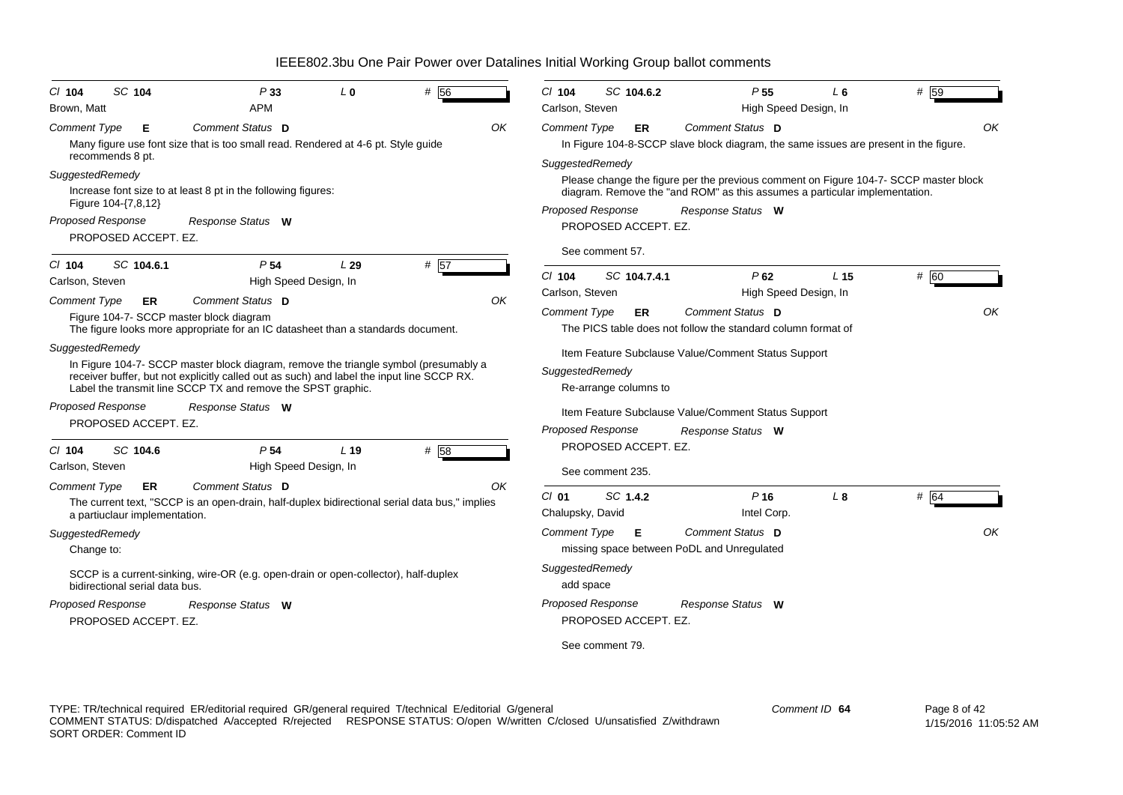| $CI$ 104<br>Brown, Matt                                     | SC 104                              | P33<br><b>APM</b>                                                                                                                                                                                                                                 | $L_0$           | # 56 |    | $Cl$ 104<br>Carlson, Steven                 | SC 104.6.2                               | P <sub>55</sub><br>High Speed Design, In                                                                                                                                                | L 6             | # 59 |
|-------------------------------------------------------------|-------------------------------------|---------------------------------------------------------------------------------------------------------------------------------------------------------------------------------------------------------------------------------------------------|-----------------|------|----|---------------------------------------------|------------------------------------------|-----------------------------------------------------------------------------------------------------------------------------------------------------------------------------------------|-----------------|------|
| <b>Comment Type</b><br>recommends 8 pt.                     | Е                                   | Comment Status D<br>Many figure use font size that is too small read. Rendered at 4-6 pt. Style guide                                                                                                                                             |                 |      | OK | Comment Type                                | ER.                                      | Comment Status D<br>In Figure 104-8-SCCP slave block diagram, the same issues are present in the figure.                                                                                |                 | OK   |
| SuggestedRemedy<br>Figure 104-{7,8,12}<br>Proposed Response | PROPOSED ACCEPT. EZ.                | Increase font size to at least 8 pt in the following figures:<br>Response Status W                                                                                                                                                                |                 |      |    | SuggestedRemedy<br><b>Proposed Response</b> | PROPOSED ACCEPT. EZ.<br>See comment 57.  | Please change the figure per the previous comment on Figure 104-7- SCCP master block<br>diagram. Remove the "and ROM" as this assumes a particular implementation.<br>Response Status W |                 |      |
| $CI$ 104<br>Carlson, Steven                                 | SC 104.6.1                          | P <sub>54</sub><br>High Speed Design, In                                                                                                                                                                                                          | L29             | # 57 |    | $Cl$ 104                                    | SC 104.7.4.1                             | $P$ 62                                                                                                                                                                                  | L <sub>15</sub> | # 60 |
| <b>Comment Type</b>                                         | <b>ER</b>                           | Comment Status D<br>Figure 104-7- SCCP master block diagram<br>The figure looks more appropriate for an IC datasheet than a standards document.                                                                                                   |                 |      | OK | Carlson, Steven<br><b>Comment Type</b>      | ER                                       | High Speed Design, In<br>Comment Status D<br>The PICS table does not follow the standard column format of                                                                               |                 | OK   |
| SuggestedRemedy                                             |                                     | In Figure 104-7- SCCP master block diagram, remove the triangle symbol (presumably a<br>receiver buffer, but not explicitly called out as such) and label the input line SCCP RX.<br>Label the transmit line SCCP TX and remove the SPST graphic. |                 |      |    | SuggestedRemedy                             | Re-arrange columns to                    | Item Feature Subclause Value/Comment Status Support                                                                                                                                     |                 |      |
| Proposed Response                                           | PROPOSED ACCEPT. EZ.                | Response Status W                                                                                                                                                                                                                                 |                 |      |    | Proposed Response                           |                                          | Item Feature Subclause Value/Comment Status Support<br>Response Status W                                                                                                                |                 |      |
| $CI$ 104<br>Carlson, Steven                                 | SC 104.6                            | P <sub>54</sub><br>High Speed Design, In                                                                                                                                                                                                          | L <sub>19</sub> | # 58 |    |                                             | PROPOSED ACCEPT. EZ.<br>See comment 235. |                                                                                                                                                                                         |                 |      |
| <b>Comment Type</b>                                         | ER<br>a partiuclaur implementation. | Comment Status D<br>The current text, "SCCP is an open-drain, half-duplex bidirectional serial data bus," implies                                                                                                                                 |                 |      | OK | $Cl$ 01<br>Chalupsky, David                 | SC 1.4.2                                 | P <sub>16</sub><br>Intel Corp.                                                                                                                                                          | L <sub>8</sub>  | # 64 |
| SuggestedRemedy<br>Change to:                               |                                     |                                                                                                                                                                                                                                                   |                 |      |    | <b>Comment Type</b>                         | Е                                        | Comment Status D<br>missing space between PoDL and Unregulated                                                                                                                          |                 | OK   |
|                                                             | bidirectional serial data bus.      | SCCP is a current-sinking, wire-OR (e.g. open-drain or open-collector), half-duplex                                                                                                                                                               |                 |      |    | SuggestedRemedy<br>add space                |                                          |                                                                                                                                                                                         |                 |      |
| <b>Proposed Response</b>                                    | PROPOSED ACCEPT. EZ.                | Response Status W                                                                                                                                                                                                                                 |                 |      |    | <b>Proposed Response</b>                    | PROPOSED ACCEPT. EZ.                     | Response Status W                                                                                                                                                                       |                 |      |
|                                                             |                                     |                                                                                                                                                                                                                                                   |                 |      |    |                                             | See comment 79.                          |                                                                                                                                                                                         |                 |      |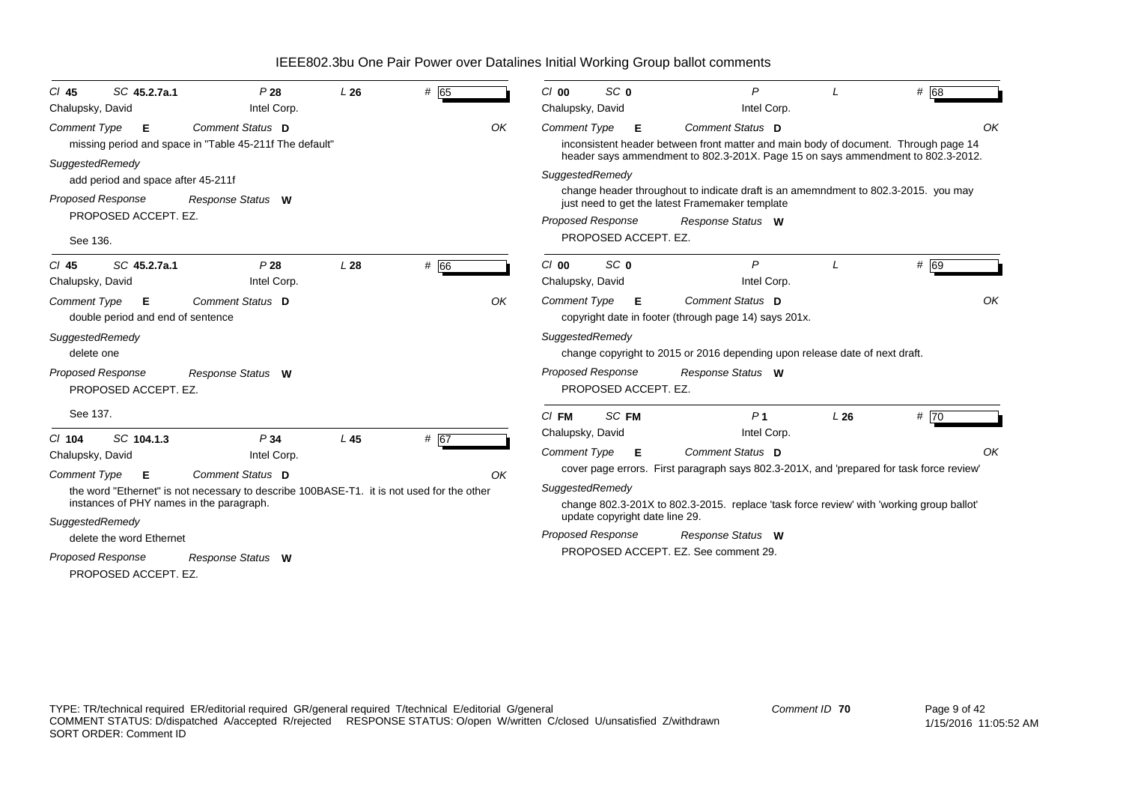| SC 45.2.7a.1<br>CI 45                                         | P28                                                                                       | L26 | # 65 |    | $Cl$ 00                  | SC <sub>0</sub>                |   | P                                                                                                                                     |     | # 68 |    |
|---------------------------------------------------------------|-------------------------------------------------------------------------------------------|-----|------|----|--------------------------|--------------------------------|---|---------------------------------------------------------------------------------------------------------------------------------------|-----|------|----|
| Chalupsky, David                                              | Intel Corp.                                                                               |     |      |    | Chalupsky, David         |                                |   | Intel Corp.                                                                                                                           |     |      |    |
| <b>Comment Type</b><br>Е                                      | Comment Status D                                                                          |     |      | OK | <b>Comment Type</b>      |                                | Е | Comment Status D                                                                                                                      |     |      | OK |
|                                                               | missing period and space in "Table 45-211f The default"                                   |     |      |    |                          |                                |   | inconsistent header between front matter and main body of document. Through page 14                                                   |     |      |    |
| SuggestedRemedy                                               |                                                                                           |     |      |    |                          |                                |   | header says ammendment to 802.3-201X. Page 15 on says ammendment to 802.3-2012.                                                       |     |      |    |
| add period and space after 45-211f                            |                                                                                           |     |      |    | SuggestedRemedy          |                                |   |                                                                                                                                       |     |      |    |
| <b>Proposed Response</b>                                      | Response Status W                                                                         |     |      |    |                          |                                |   | change header throughout to indicate draft is an amemndment to 802.3-2015. you may<br>just need to get the latest Framemaker template |     |      |    |
| PROPOSED ACCEPT. EZ.                                          |                                                                                           |     |      |    | Proposed Response        |                                |   | Response Status W                                                                                                                     |     |      |    |
| See 136.                                                      |                                                                                           |     |      |    |                          | PROPOSED ACCEPT. EZ.           |   |                                                                                                                                       |     |      |    |
| SC 45.2.7a.1<br>$CI$ 45                                       | P28                                                                                       | L28 | # 66 |    | $Cl$ 00                  | SC <sub>0</sub>                |   | $\mathsf{P}$                                                                                                                          |     | # 69 |    |
| Chalupsky, David                                              | Intel Corp.                                                                               |     |      |    | Chalupsky, David         |                                |   | Intel Corp.                                                                                                                           |     |      |    |
| <b>Comment Type</b><br>E<br>double period and end of sentence | Comment Status D                                                                          |     |      | OK | <b>Comment Type</b>      |                                | Е | Comment Status D<br>copyright date in footer (through page 14) says 201x.                                                             |     |      | OK |
| SuggestedRemedy<br>delete one                                 |                                                                                           |     |      |    | SuggestedRemedy          |                                |   | change copyright to 2015 or 2016 depending upon release date of next draft.                                                           |     |      |    |
| Proposed Response<br>PROPOSED ACCEPT. EZ.                     | Response Status W                                                                         |     |      |    | <b>Proposed Response</b> | PROPOSED ACCEPT. EZ.           |   | Response Status W                                                                                                                     |     |      |    |
| See 137.                                                      |                                                                                           |     |      |    | $CI$ FM                  | SC FM                          |   | P <sub>1</sub>                                                                                                                        | L26 | #70  |    |
| $Cl$ 104<br>SC 104.1.3                                        | P34                                                                                       | L45 | # 67 |    | Chalupsky, David         |                                |   | Intel Corp.                                                                                                                           |     |      |    |
| Chalupsky, David                                              | Intel Corp.                                                                               |     |      |    | <b>Comment Type</b>      |                                | Е | <b>Comment Status D</b>                                                                                                               |     |      | OK |
|                                                               |                                                                                           |     |      |    |                          |                                |   | cover page errors. First paragraph says 802.3-201X, and 'prepared for task force review'                                              |     |      |    |
| <b>Comment Type</b><br>Е                                      | Comment Status D                                                                          |     |      | OK |                          |                                |   |                                                                                                                                       |     |      |    |
| instances of PHY names in the paragraph.                      | the word "Ethernet" is not necessary to describe 100BASE-T1. it is not used for the other |     |      |    | SuggestedRemedy          |                                |   | change 802.3-201X to 802.3-2015. replace 'task force review' with 'working group ballot'                                              |     |      |    |
|                                                               |                                                                                           |     |      |    |                          | update copyright date line 29. |   |                                                                                                                                       |     |      |    |
| SuggestedRemedy                                               |                                                                                           |     |      |    | <b>Proposed Response</b> |                                |   | Response Status W                                                                                                                     |     |      |    |
| delete the word Ethernet                                      |                                                                                           |     |      |    |                          |                                |   | PROPOSED ACCEPT. EZ. See comment 29.                                                                                                  |     |      |    |
| Proposed Response                                             | Response Status W                                                                         |     |      |    |                          |                                |   |                                                                                                                                       |     |      |    |
| PROPOSED ACCEPT. EZ.                                          |                                                                                           |     |      |    |                          |                                |   |                                                                                                                                       |     |      |    |
|                                                               |                                                                                           |     |      |    |                          |                                |   |                                                                                                                                       |     |      |    |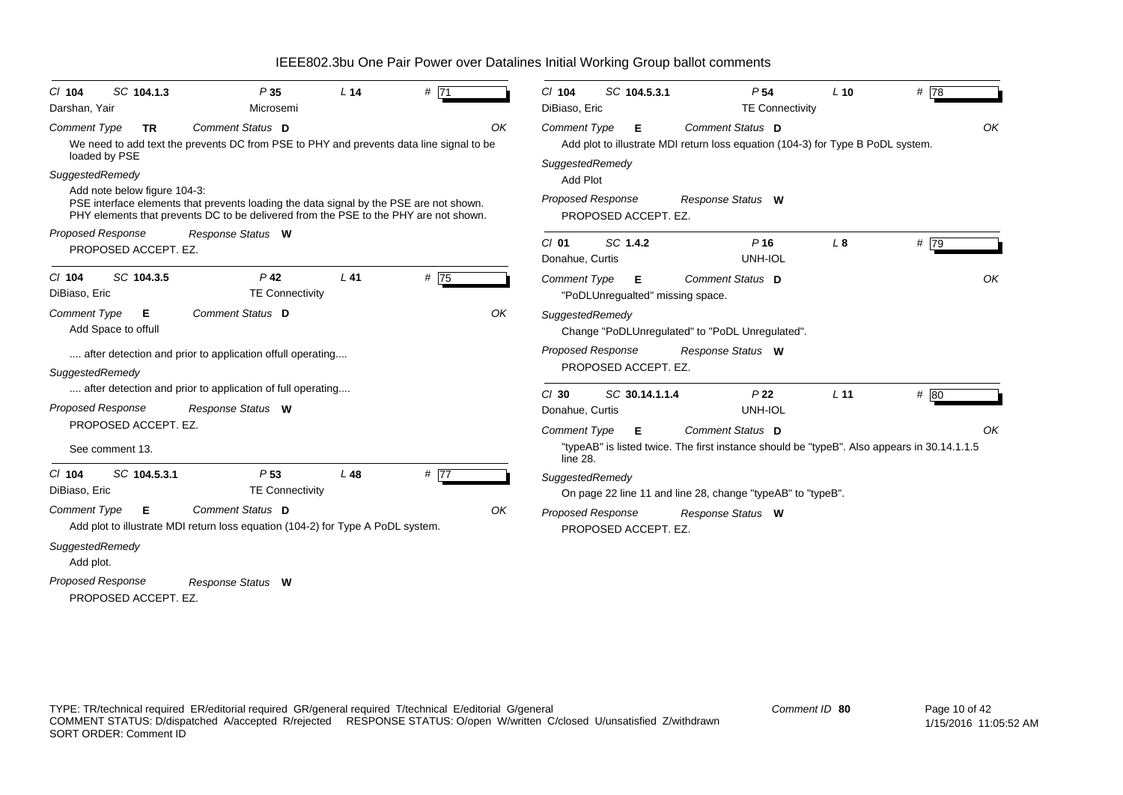| C/ 104<br>Darshan, Yair                                                         | SC 104.1.3                              | P35<br>Microsemi                                                                                                                                                               | L <sub>14</sub> | # 71 |    | $Cl$ 104<br>SC 104.5.3.1<br>DiBiaso, Eric                                       | P <sub>54</sub><br><b>TE Connectivity</b>                                                                       | $L$ 10          | #78  |    |
|---------------------------------------------------------------------------------|-----------------------------------------|--------------------------------------------------------------------------------------------------------------------------------------------------------------------------------|-----------------|------|----|---------------------------------------------------------------------------------|-----------------------------------------------------------------------------------------------------------------|-----------------|------|----|
| <b>Comment Type</b>                                                             | TR.<br>loaded by PSE                    | Comment Status D<br>We need to add text the prevents DC from PSE to PHY and prevents data line signal to be                                                                    |                 |      | OK | <b>Comment Type</b><br>Е                                                        | Comment Status D<br>Add plot to illustrate MDI return loss equation (104-3) for Type B PoDL system.             |                 |      | OK |
| SuggestedRemedy                                                                 | Add note below figure 104-3:            | PSE interface elements that prevents loading the data signal by the PSE are not shown.<br>PHY elements that prevents DC to be delivered from the PSE to the PHY are not shown. |                 |      |    | SuggestedRemedy<br><b>Add Plot</b><br>Proposed Response<br>PROPOSED ACCEPT. EZ. | Response Status W                                                                                               |                 |      |    |
| <b>Proposed Response</b>                                                        | PROPOSED ACCEPT. EZ.                    | Response Status W                                                                                                                                                              |                 |      |    | SC 1.4.2<br>$CI$ 01<br>Donahue, Curtis                                          | $P$ 16<br>UNH-IOL                                                                                               | $L_{\rm 8}$     | # 79 |    |
| $CI$ 104<br>DiBiaso, Eric                                                       | SC 104.3.5                              | $P$ 42<br><b>TE Connectivity</b>                                                                                                                                               | $L$ 41          | # 75 |    | Comment Type<br>E<br>"PoDLUnregualted" missing space.                           | Comment Status D                                                                                                |                 |      | OK |
| <b>Comment Type</b>                                                             | Е<br>Add Space to offull                | Comment Status D                                                                                                                                                               |                 |      | OK | SuggestedRemedy                                                                 | Change "PoDLUnregulated" to "PoDL Unregulated".                                                                 |                 |      |    |
| SuggestedRemedy                                                                 |                                         | after detection and prior to application offull operating                                                                                                                      |                 |      |    | <b>Proposed Response</b><br>PROPOSED ACCEPT. EZ.                                | Response Status W                                                                                               |                 |      |    |
| <b>Proposed Response</b>                                                        |                                         | after detection and prior to application of full operating<br>Response Status W                                                                                                |                 |      |    | $CI$ 30<br>SC 30.14.1.1.4<br>Donahue, Curtis                                    | P <sub>22</sub><br>UNH-IOL                                                                                      | L <sub>11</sub> | # 80 |    |
|                                                                                 | PROPOSED ACCEPT. EZ.<br>See comment 13. |                                                                                                                                                                                |                 |      |    | <b>Comment Type</b><br>Е<br>line 28.                                            | Comment Status D<br>"typeAB" is listed twice. The first instance should be "typeB". Also appears in 30.14.1.1.5 |                 |      | OK |
| $Cl$ 104<br>DiBiaso, Eric                                                       | SC 104.5.3.1                            | P <sub>53</sub><br><b>TE Connectivity</b>                                                                                                                                      | $L$ 48          | #77  |    | SuggestedRemedy                                                                 | On page 22 line 11 and line 28, change "typeAB" to "typeB".                                                     |                 |      |    |
| <b>Comment Type</b><br>SuggestedRemedy<br>Add plot.<br><b>Proposed Response</b> | Е                                       | Comment Status D<br>Add plot to illustrate MDI return loss equation (104-2) for Type A PoDL system.                                                                            |                 |      | OK | <b>Proposed Response</b><br>PROPOSED ACCEPT. EZ.                                | Response Status W                                                                                               |                 |      |    |
|                                                                                 | PROPOSED ACCEPT. EZ.                    | Response Status W                                                                                                                                                              |                 |      |    |                                                                                 |                                                                                                                 |                 |      |    |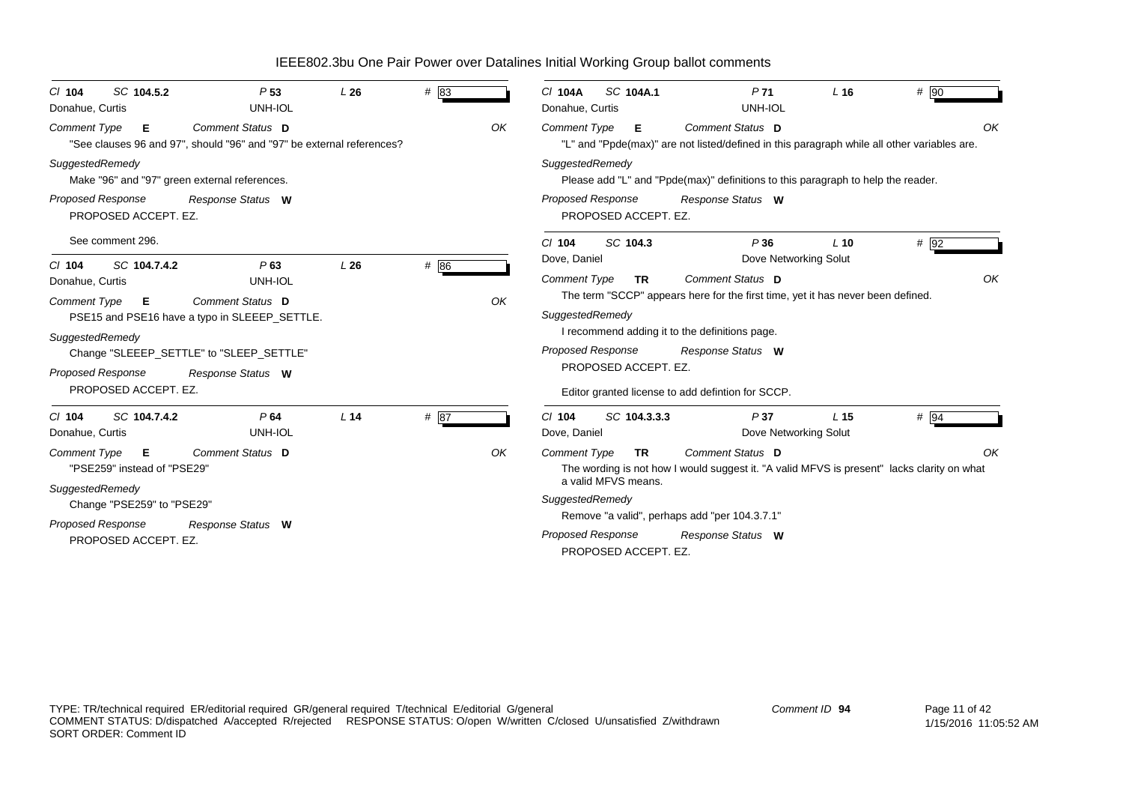| SC 104.5.2<br>$CI$ 104<br>Donahue, Curtis                                                           | P <sub>53</sub><br>UNH-IOL | L26             | # 83   |    | SC 104A.1<br>C/ 104A<br>Donahue, Curtis          |                                                                                  | $L$ 16<br>P <sub>71</sub><br>UNH-IOL | $#$ 90                                                                                            |
|-----------------------------------------------------------------------------------------------------|----------------------------|-----------------|--------|----|--------------------------------------------------|----------------------------------------------------------------------------------|--------------------------------------|---------------------------------------------------------------------------------------------------|
| <b>Comment Type</b><br>- E<br>"See clauses 96 and 97", should "96" and "97" be external references? | Comment Status D           |                 |        | OK | <b>Comment Type</b><br>- E                       | Comment Status D                                                                 |                                      | OK<br>"L" and "Ppde(max)" are not listed/defined in this paragraph while all other variables are. |
| SuggestedRemedy<br>Make "96" and "97" green external references.                                    |                            |                 |        |    | SuggestedRemedy                                  | Please add "L" and "Ppde(max)" definitions to this paragraph to help the reader. |                                      |                                                                                                   |
| <b>Proposed Response</b><br>PROPOSED ACCEPT. EZ.                                                    | Response Status W          |                 |        |    | <b>Proposed Response</b><br>PROPOSED ACCEPT. EZ. | Response Status W                                                                |                                      |                                                                                                   |
| See comment 296.                                                                                    |                            |                 |        |    | SC 104.3<br>$Cl$ 104                             |                                                                                  | P36<br>$L$ 10                        | # 92                                                                                              |
| $Cl$ 104<br>SC 104.7.4.2                                                                            | P63                        | L26             | $#$ 86 |    | Dove, Daniel                                     |                                                                                  | Dove Networking Solut                |                                                                                                   |
| Donahue, Curtis                                                                                     | UNH-IOL                    |                 |        |    | <b>Comment Type</b><br><b>TR</b>                 | Comment Status D                                                                 |                                      | OK                                                                                                |
| <b>Comment Type</b><br>Е                                                                            | Comment Status D           |                 |        | OK | SuggestedRemedy                                  | The term "SCCP" appears here for the first time, yet it has never been defined.  |                                      |                                                                                                   |
| PSE15 and PSE16 have a typo in SLEEEP_SETTLE.                                                       |                            |                 |        |    |                                                  | I recommend adding it to the definitions page.                                   |                                      |                                                                                                   |
| SuggestedRemedy<br>Change "SLEEEP SETTLE" to "SLEEP SETTLE"                                         |                            |                 |        |    | <b>Proposed Response</b>                         | Response Status W                                                                |                                      |                                                                                                   |
| Proposed Response                                                                                   | Response Status W          |                 |        |    | PROPOSED ACCEPT. EZ.                             |                                                                                  |                                      |                                                                                                   |
| PROPOSED ACCEPT. EZ.                                                                                |                            |                 |        |    |                                                  | Editor granted license to add defintion for SCCP.                                |                                      |                                                                                                   |
| SC 104.7.4.2<br>$Cl$ 104                                                                            | P64                        | L <sub>14</sub> | # 87   |    | SC 104.3.3.3<br>$Cl$ 104                         |                                                                                  | P37<br>L <sub>15</sub>               | # 94                                                                                              |
| Donahue, Curtis                                                                                     | UNH-IOL                    |                 |        |    | Dove, Daniel                                     |                                                                                  | Dove Networking Solut                |                                                                                                   |
| <b>Comment Type</b><br>E                                                                            | Comment Status D           |                 |        | OK | <b>Comment Type</b><br><b>TR</b>                 | Comment Status D                                                                 |                                      | OK                                                                                                |
| "PSE259" instead of "PSE29"                                                                         |                            |                 |        |    | a valid MFVS means.                              |                                                                                  |                                      | The wording is not how I would suggest it. "A valid MFVS is present" lacks clarity on what        |
| SuggestedRemedy                                                                                     |                            |                 |        |    | SuggestedRemedy                                  |                                                                                  |                                      |                                                                                                   |
| Change "PSE259" to "PSE29"                                                                          |                            |                 |        |    |                                                  | Remove "a valid", perhaps add "per 104.3.7.1"                                    |                                      |                                                                                                   |
| Proposed Response<br>PROPOSED ACCEPT. EZ.                                                           | Response Status W          |                 |        |    | <b>Proposed Response</b><br>PROPOSED ACCEPT. EZ. | Response Status W                                                                |                                      |                                                                                                   |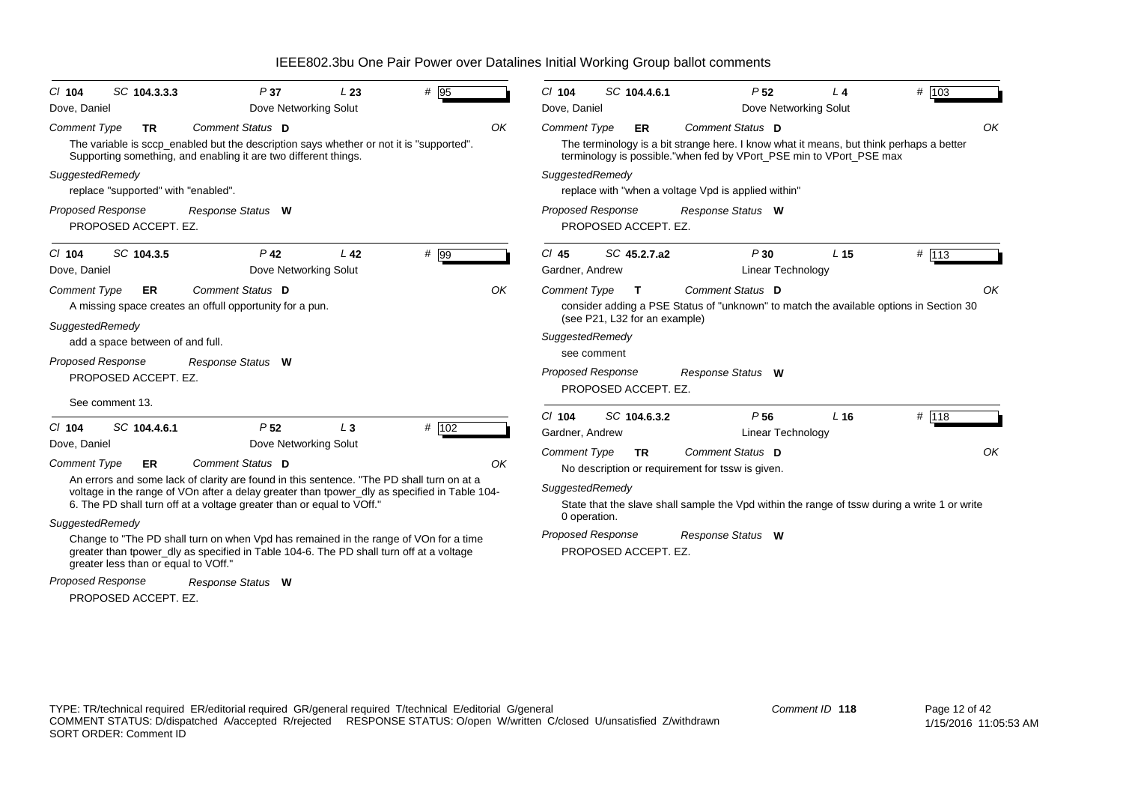| SC 104.3.3.3<br>$Cl$ 104                         | P37                                                                                                                                                                   | L23             | # 95  |    | $Cl$ 104                   | SC 104.4.6.1                  | P <sub>52</sub>                                                                                                                                                | $L$ 4           | # 103   |
|--------------------------------------------------|-----------------------------------------------------------------------------------------------------------------------------------------------------------------------|-----------------|-------|----|----------------------------|-------------------------------|----------------------------------------------------------------------------------------------------------------------------------------------------------------|-----------------|---------|
| Dove, Daniel                                     | Dove Networking Solut                                                                                                                                                 |                 |       |    | Dove, Daniel               |                               | Dove Networking Solut                                                                                                                                          |                 |         |
| <b>Comment Type</b><br>TR                        | Comment Status D                                                                                                                                                      |                 |       | OK | <b>Comment Type</b>        | ER                            | Comment Status D                                                                                                                                               |                 | OK      |
|                                                  | The variable is sccp_enabled but the description says whether or not it is "supported".<br>Supporting something, and enabling it are two different things.            |                 |       |    |                            |                               | The terminology is a bit strange here. I know what it means, but think perhaps a better<br>terminology is possible."when fed by VPort_PSE min to VPort_PSE max |                 |         |
| SuggestedRemedy                                  |                                                                                                                                                                       |                 |       |    | SuggestedRemedy            |                               |                                                                                                                                                                |                 |         |
| replace "supported" with "enabled".              |                                                                                                                                                                       |                 |       |    |                            |                               | replace with "when a voltage Vpd is applied within"                                                                                                            |                 |         |
| <b>Proposed Response</b><br>PROPOSED ACCEPT. EZ. | Response Status W                                                                                                                                                     |                 |       |    | <b>Proposed Response</b>   | PROPOSED ACCEPT. EZ.          | Response Status W                                                                                                                                              |                 |         |
| SC 104.3.5<br>$Cl$ 104<br>Dove, Daniel           | P <sub>42</sub><br>Dove Networking Solut                                                                                                                              | L <sub>42</sub> | # 99  |    | $Cl$ 45<br>Gardner, Andrew | SC 45.2.7.a2                  | P30<br>Linear Technology                                                                                                                                       | L <sub>15</sub> | $#$ 113 |
| Comment Type<br>ER.                              | Comment Status D                                                                                                                                                      |                 |       | OK | <b>Comment Type</b>        | $\mathbf{T}$                  | Comment Status D                                                                                                                                               |                 | OK      |
|                                                  | A missing space creates an offull opportunity for a pun.                                                                                                              |                 |       |    |                            |                               | consider adding a PSE Status of "unknown" to match the available options in Section 30                                                                         |                 |         |
| SuggestedRemedy                                  |                                                                                                                                                                       |                 |       |    |                            | (see P21, L32 for an example) |                                                                                                                                                                |                 |         |
| add a space between of and full.                 |                                                                                                                                                                       |                 |       |    | SuggestedRemedy            |                               |                                                                                                                                                                |                 |         |
| Proposed Response                                | Response Status W                                                                                                                                                     |                 |       |    | see comment                |                               |                                                                                                                                                                |                 |         |
| PROPOSED ACCEPT. EZ.                             |                                                                                                                                                                       |                 |       |    | <b>Proposed Response</b>   |                               | Response Status W                                                                                                                                              |                 |         |
| See comment 13.                                  |                                                                                                                                                                       |                 |       |    |                            | PROPOSED ACCEPT. EZ.          |                                                                                                                                                                |                 |         |
|                                                  |                                                                                                                                                                       |                 |       |    | $Cl$ 104                   | SC 104.6.3.2                  | P <sub>56</sub>                                                                                                                                                | L <sub>16</sub> | # 118   |
| SC 104.4.6.1<br>$CI$ 104                         | P <sub>52</sub>                                                                                                                                                       | $L_3$           | # 102 |    | Gardner, Andrew            |                               | Linear Technology                                                                                                                                              |                 |         |
| Dove, Daniel                                     | Dove Networking Solut                                                                                                                                                 |                 |       |    | <b>Comment Type</b>        | <b>TR</b>                     | Comment Status D                                                                                                                                               |                 | OK      |
| <b>Comment Type</b><br><b>ER</b>                 | Comment Status D                                                                                                                                                      |                 |       | OK |                            |                               | No description or requirement for tssw is given.                                                                                                               |                 |         |
|                                                  | An errors and some lack of clarity are found in this sentence. "The PD shall turn on at a                                                                             |                 |       |    | SuggestedRemedy            |                               |                                                                                                                                                                |                 |         |
|                                                  | voltage in the range of VOn after a delay greater than tpower_dly as specified in Table 104-<br>6. The PD shall turn off at a voltage greater than or equal to VOff." |                 |       |    |                            |                               | State that the slave shall sample the Vpd within the range of tssw during a write 1 or write                                                                   |                 |         |
| SuggestedRemedy                                  |                                                                                                                                                                       |                 |       |    | 0 operation.               |                               |                                                                                                                                                                |                 |         |
|                                                  | Change to "The PD shall turn on when Vpd has remained in the range of VOn for a time                                                                                  |                 |       |    | <b>Proposed Response</b>   |                               | Response Status W                                                                                                                                              |                 |         |
| greater less than or equal to VOff."             | greater than tpower_dly as specified in Table 104-6. The PD shall turn off at a voltage                                                                               |                 |       |    |                            | PROPOSED ACCEPT. EZ.          |                                                                                                                                                                |                 |         |
| <b>Proposed Response</b>                         | Response Status W                                                                                                                                                     |                 |       |    |                            |                               |                                                                                                                                                                |                 |         |

PROPOSED ACCEPT. EZ.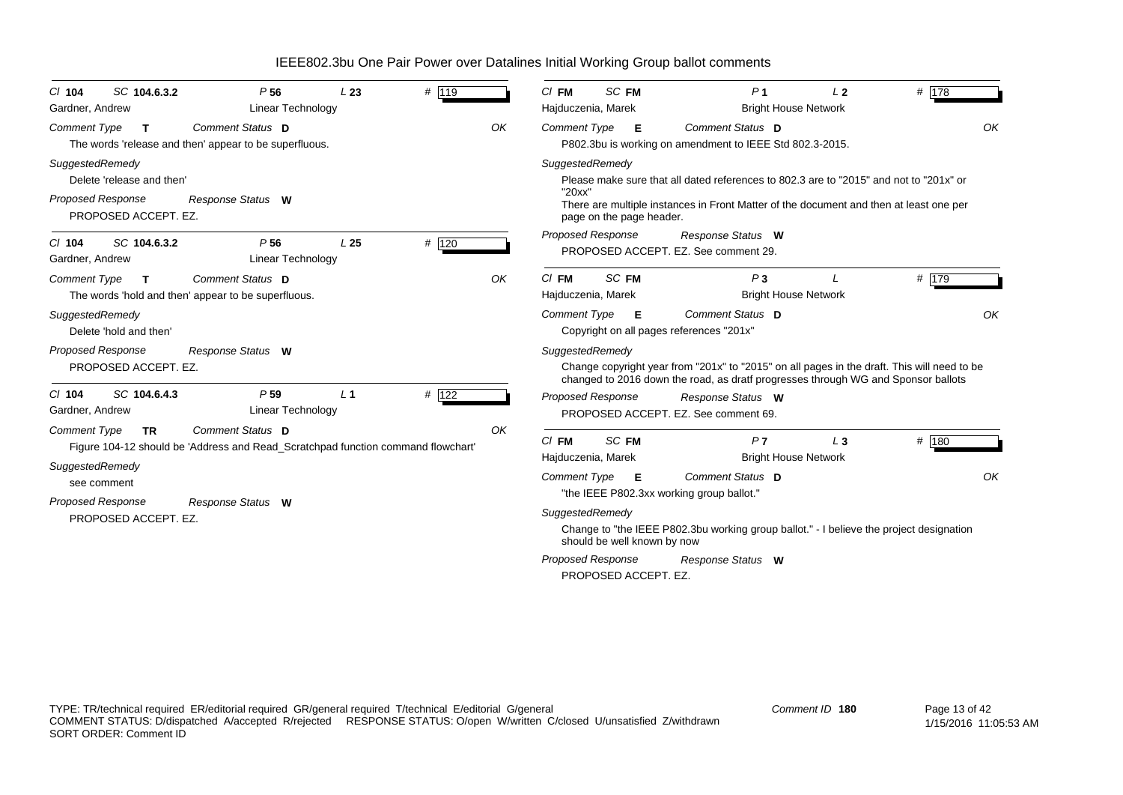| $CI$ 104<br>Gardner, Andrew                                                                      | SC 104.6.3.2 | P <sub>56</sub><br>Linear Technology                                                                 | L23             | # 119 |    | $CI$ FM<br>Hajduczenia, Marek               | SC FM                                               | P <sub>1</sub>                                                                                                                                                                   | L <sub>2</sub><br><b>Bright House Network</b> | # $178$ |
|--------------------------------------------------------------------------------------------------|--------------|------------------------------------------------------------------------------------------------------|-----------------|-------|----|---------------------------------------------|-----------------------------------------------------|----------------------------------------------------------------------------------------------------------------------------------------------------------------------------------|-----------------------------------------------|---------|
| <b>Comment Type</b>                                                                              | $\mathbf{T}$ | Comment Status D<br>The words 'release and then' appear to be superfluous.                           |                 |       | OK | <b>Comment Type</b>                         | E                                                   | Comment Status D<br>P802.3bu is working on amendment to IEEE Std 802.3-2015.                                                                                                     |                                               | OK      |
| SuggestedRemedy<br>Delete 'release and then'<br><b>Proposed Response</b><br>PROPOSED ACCEPT. EZ. |              | Response Status W                                                                                    |                 |       |    | SuggestedRemedy<br>"20xx"                   | page on the page header.                            | Please make sure that all dated references to 802.3 are to "2015" and not to "201x" or<br>There are multiple instances in Front Matter of the document and then at least one per |                                               |         |
| $CI$ 104<br>Gardner, Andrew                                                                      | SC 104.6.3.2 | P <sub>56</sub><br><b>Linear Technology</b>                                                          | L <sub>25</sub> | # 120 |    | Proposed Response                           |                                                     | Response Status W<br>PROPOSED ACCEPT. EZ. See comment 29.                                                                                                                        |                                               |         |
| <b>Comment Type</b>                                                                              | T.           | Comment Status D<br>The words 'hold and then' appear to be superfluous.                              |                 |       | OK | $CI$ FM<br>Hajduczenia, Marek               | SC FM                                               | P <sub>3</sub>                                                                                                                                                                   | <b>Bright House Network</b>                   | # $179$ |
| SuggestedRemedy<br>Delete 'hold and then'                                                        |              |                                                                                                      |                 |       |    | <b>Comment Type</b>                         | Е                                                   | Comment Status D<br>Copyright on all pages references "201x"                                                                                                                     |                                               | OK      |
| <b>Proposed Response</b><br>PROPOSED ACCEPT. EZ.                                                 |              | Response Status W                                                                                    |                 |       |    | SuggestedRemedy                             |                                                     | Change copyright year from "201x" to "2015" on all pages in the draft. This will need to be<br>changed to 2016 down the road, as dratf progresses through WG and Sponsor ballots |                                               |         |
| $CI$ 104<br>Gardner, Andrew                                                                      | SC 104.6.4.3 | P <sub>59</sub><br><b>Linear Technology</b>                                                          | L <sub>1</sub>  | # 122 |    | <b>Proposed Response</b>                    |                                                     | Response Status W<br>PROPOSED ACCEPT. EZ. See comment 69.                                                                                                                        |                                               |         |
| <b>Comment Type</b><br>SuggestedRemedy                                                           | <b>TR</b>    | Comment Status D<br>Figure 104-12 should be 'Address and Read_Scratchpad function command flowchart' |                 |       | OK | $CI$ FM<br>Hajduczenia, Marek               | SC FM                                               | P <sub>7</sub>                                                                                                                                                                   | $L_3$<br><b>Bright House Network</b>          | # 180   |
| see comment                                                                                      |              |                                                                                                      |                 |       |    | <b>Comment Type</b>                         | E                                                   | Comment Status D<br>"the IEEE P802.3xx working group ballot."                                                                                                                    |                                               | OK      |
| <b>Proposed Response</b><br>PROPOSED ACCEPT. EZ.                                                 |              | Response Status W                                                                                    |                 |       |    | SuggestedRemedy<br><b>Proposed Response</b> | should be well known by now<br>PROPOSED ACCEPT. EZ. | Change to "the IEEE P802.3bu working group ballot." - I believe the project designation<br>Response Status W                                                                     |                                               |         |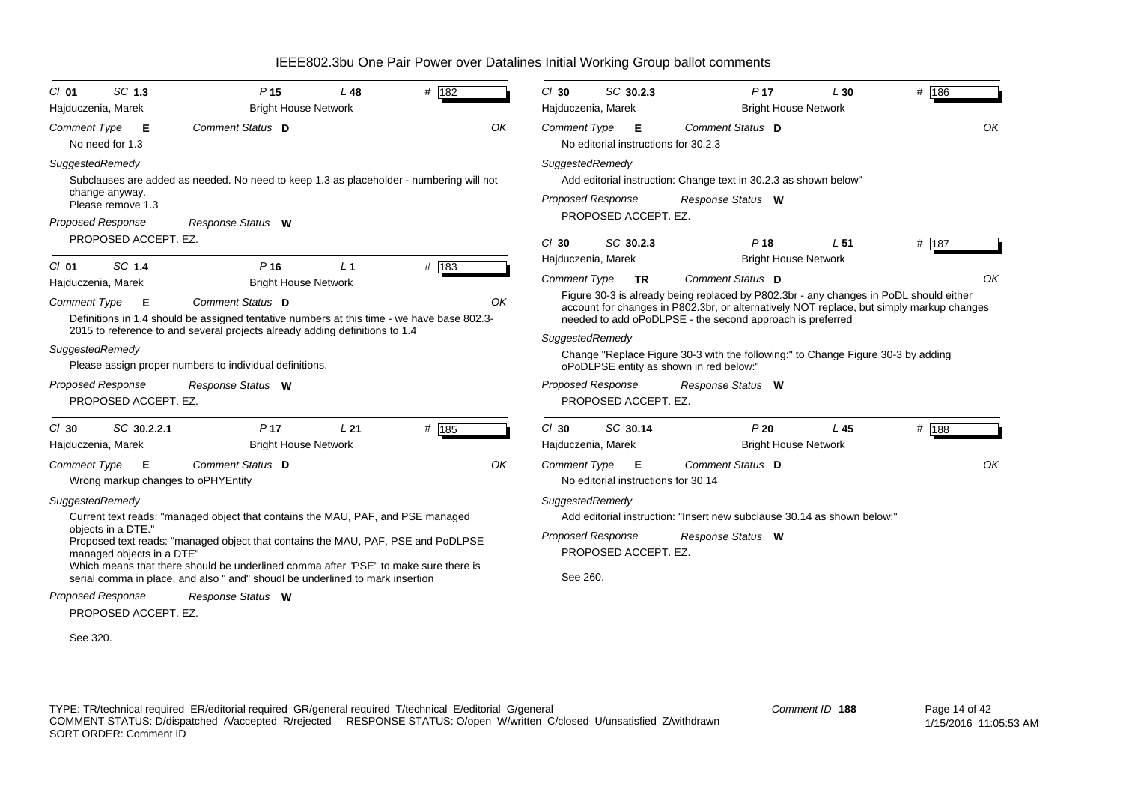| $CI$ 01<br>Hajduczenia, Marek                          | SC 1.3                    | P <sub>15</sub><br><b>Bright House Network</b>                                                                                                                                                                                                                                                                                              | L48            | # 182 |    | $Cl$ 30<br>Hajduczenia, Marek                    | SC 30.2.3                                 | P <sub>17</sub><br><b>Bright House Network</b>                                                                                                                                                                                                 | L30             | $#$ 186 |
|--------------------------------------------------------|---------------------------|---------------------------------------------------------------------------------------------------------------------------------------------------------------------------------------------------------------------------------------------------------------------------------------------------------------------------------------------|----------------|-------|----|--------------------------------------------------|-------------------------------------------|------------------------------------------------------------------------------------------------------------------------------------------------------------------------------------------------------------------------------------------------|-----------------|---------|
| <b>Comment Type</b><br>No need for 1.3                 | E                         | Comment Status D                                                                                                                                                                                                                                                                                                                            |                |       | OK | <b>Comment Type</b>                              | Е<br>No editorial instructions for 30.2.3 | Comment Status D                                                                                                                                                                                                                               |                 | OK      |
| SuggestedRemedy<br>change anyway.<br>Please remove 1.3 |                           | Subclauses are added as needed. No need to keep 1.3 as placeholder - numbering will not                                                                                                                                                                                                                                                     |                |       |    | SuggestedRemedy<br><b>Proposed Response</b>      |                                           | Add editorial instruction: Change text in 30.2.3 as shown below"<br>Response Status W                                                                                                                                                          |                 |         |
| <b>Proposed Response</b>                               |                           | Response Status W                                                                                                                                                                                                                                                                                                                           |                |       |    |                                                  | PROPOSED ACCEPT. EZ.                      |                                                                                                                                                                                                                                                |                 |         |
|                                                        | PROPOSED ACCEPT. EZ.      |                                                                                                                                                                                                                                                                                                                                             |                |       |    | $Cl$ 30<br>Hajduczenia, Marek                    | SC 30.2.3                                 | P <sub>18</sub><br><b>Bright House Network</b>                                                                                                                                                                                                 | L <sub>51</sub> | # 187   |
| $CI$ 01                                                | SC 1.4                    | P <sub>16</sub>                                                                                                                                                                                                                                                                                                                             | L <sub>1</sub> | # 183 |    | <b>Comment Type</b>                              | <b>TR</b>                                 | <b>Comment Status</b> D                                                                                                                                                                                                                        |                 | OK      |
| Hajduczenia, Marek<br><b>Comment Type</b>              | E                         | <b>Bright House Network</b><br>Comment Status D<br>Definitions in 1.4 should be assigned tentative numbers at this time - we have base 802.3-                                                                                                                                                                                               |                |       | OK |                                                  |                                           | Figure 30-3 is already being replaced by P802.3br - any changes in PoDL should either<br>account for changes in P802.3br, or alternatively NOT replace, but simply markup changes<br>needed to add oPoDLPSE - the second approach is preferred |                 |         |
|                                                        |                           | 2015 to reference to and several projects already adding definitions to 1.4                                                                                                                                                                                                                                                                 |                |       |    | SuggestedRemedy                                  |                                           |                                                                                                                                                                                                                                                |                 |         |
| SuggestedRemedy                                        |                           | Please assign proper numbers to individual definitions.                                                                                                                                                                                                                                                                                     |                |       |    |                                                  |                                           | Change "Replace Figure 30-3 with the following:" to Change Figure 30-3 by adding<br>oPoDLPSE entity as shown in red below:"                                                                                                                    |                 |         |
| Proposed Response                                      | PROPOSED ACCEPT. EZ.      | Response Status W                                                                                                                                                                                                                                                                                                                           |                |       |    | <b>Proposed Response</b>                         | PROPOSED ACCEPT. EZ.                      | Response Status W                                                                                                                                                                                                                              |                 |         |
| $Cl$ 30<br>Hajduczenia, Marek                          | SC 30.2.2.1               | P <sub>17</sub><br><b>Bright House Network</b>                                                                                                                                                                                                                                                                                              | L21            | # 185 |    | $Cl$ 30<br>Hajduczenia, Marek                    | SC 30.14                                  | P20<br><b>Bright House Network</b>                                                                                                                                                                                                             | L45             | $#$ 188 |
| Comment Type                                           | E                         | Comment Status D<br>Wrong markup changes to oPHYEntity                                                                                                                                                                                                                                                                                      |                |       | OK | Comment Type                                     | E<br>No editorial instructions for 30.14  | Comment Status D                                                                                                                                                                                                                               |                 | OK      |
| SuggestedRemedy<br>objects in a DTE."                  | managed objects in a DTE" | Current text reads: "managed object that contains the MAU, PAF, and PSE managed<br>Proposed text reads: "managed object that contains the MAU, PAF, PSE and PoDLPSE<br>Which means that there should be underlined comma after "PSE" to make sure there is<br>serial comma in place, and also " and" shoudl be underlined to mark insertion |                |       |    | SuggestedRemedy<br>Proposed Response<br>See 260. | PROPOSED ACCEPT. EZ.                      | Add editorial instruction: "Insert new subclause 30.14 as shown below:"<br>Response Status W                                                                                                                                                   |                 |         |
| <b>Proposed Response</b>                               |                           | Response Status W                                                                                                                                                                                                                                                                                                                           |                |       |    |                                                  |                                           |                                                                                                                                                                                                                                                |                 |         |
|                                                        | PROPOSED ACCEPT. EZ.      |                                                                                                                                                                                                                                                                                                                                             |                |       |    |                                                  |                                           |                                                                                                                                                                                                                                                |                 |         |
| See 320.                                               |                           |                                                                                                                                                                                                                                                                                                                                             |                |       |    |                                                  |                                           |                                                                                                                                                                                                                                                |                 |         |

TYPE: TR/technical required ER/editorial required GR/general required T/technical E/editorial G/general COMMENT STATUS: D/dispatched A/accepted R/rejected RESPONSE STATUS: O/open W/written C/closed U/unsatisfied Z/withdrawn SORT ORDER: Comment ID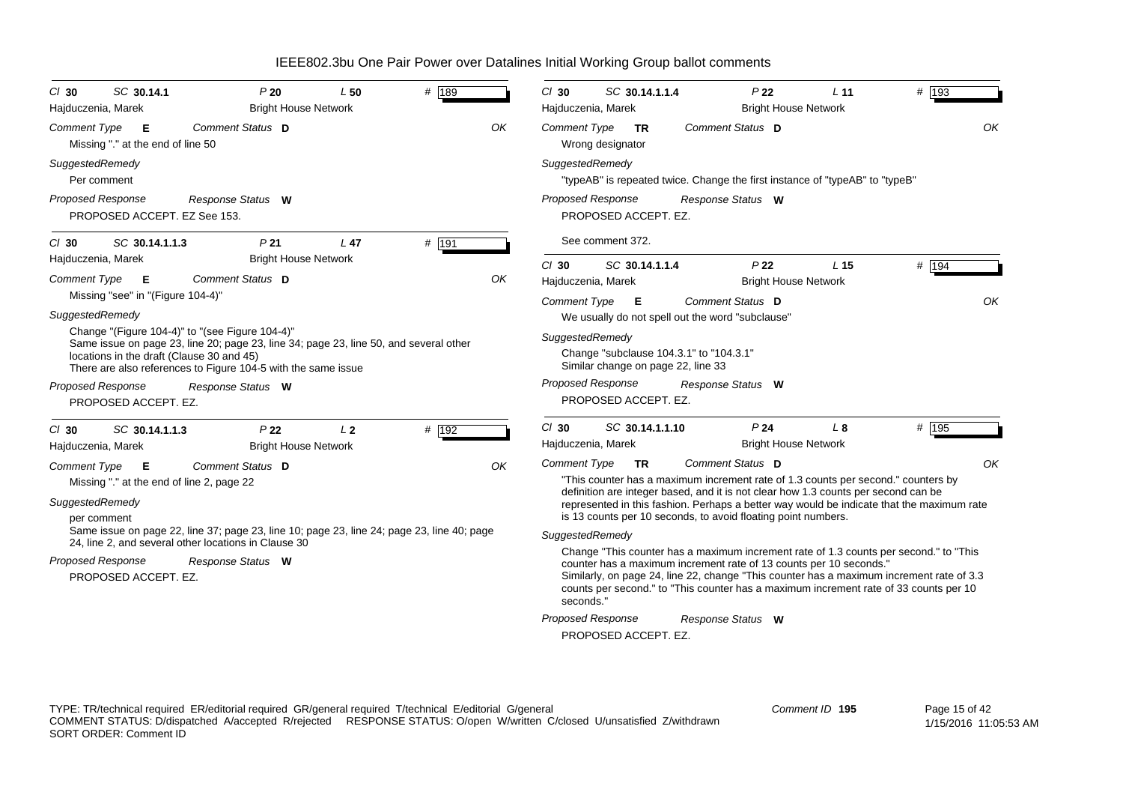| # 189<br>SC 30.14.1<br>P20<br>L50<br>$Cl$ 30<br><b>Bright House Network</b><br>Hajduczenia, Marek                                                                                                                                                      | P <sub>22</sub><br># 193<br>$Cl$ 30<br>SC 30.14.1.1.4<br>L <sub>11</sub><br><b>Bright House Network</b><br>Hajduczenia, Marek                                                                                                                                                                                                                                 |
|--------------------------------------------------------------------------------------------------------------------------------------------------------------------------------------------------------------------------------------------------------|---------------------------------------------------------------------------------------------------------------------------------------------------------------------------------------------------------------------------------------------------------------------------------------------------------------------------------------------------------------|
| Comment Status D<br>OK<br><b>Comment Type</b><br>E<br>Missing "." at the end of line 50                                                                                                                                                                | OK<br><b>Comment Type</b><br>Comment Status D<br><b>TR</b><br>Wrong designator                                                                                                                                                                                                                                                                                |
| SuggestedRemedy<br>Per comment                                                                                                                                                                                                                         | SuggestedRemedy<br>"typeAB" is repeated twice. Change the first instance of "typeAB" to "typeB"                                                                                                                                                                                                                                                               |
| Proposed Response<br>Response Status W<br>PROPOSED ACCEPT. EZ See 153.                                                                                                                                                                                 | <b>Proposed Response</b><br>Response Status W<br>PROPOSED ACCEPT. EZ.                                                                                                                                                                                                                                                                                         |
| # 191<br>SC 30.14.1.1.3<br>P <sub>21</sub><br>L47<br>$Cl$ 30                                                                                                                                                                                           | See comment 372.                                                                                                                                                                                                                                                                                                                                              |
| Hajduczenia, Marek<br><b>Bright House Network</b><br>Comment Status D<br><b>Comment Type</b><br>OK<br>- E                                                                                                                                              | # 194<br>$Cl$ 30<br>SC 30.14.1.1.4<br>P <sub>22</sub><br>L <sub>15</sub><br><b>Bright House Network</b><br>Hajduczenia, Marek                                                                                                                                                                                                                                 |
| Missing "see" in "(Figure 104-4)"<br>SuggestedRemedy                                                                                                                                                                                                   | OK<br><b>Comment Status D</b><br>Comment Type <b>E</b><br>We usually do not spell out the word "subclause"                                                                                                                                                                                                                                                    |
| Change "(Figure 104-4)" to "(see Figure 104-4)"<br>Same issue on page 23, line 20; page 23, line 34; page 23, line 50, and several other<br>locations in the draft (Clause 30 and 45)<br>There are also references to Figure 104-5 with the same issue | SuggestedRemedy<br>Change "subclause 104.3.1" to "104.3.1"<br>Similar change on page 22, line 33                                                                                                                                                                                                                                                              |
| Proposed Response<br>Response Status W<br>PROPOSED ACCEPT. EZ.                                                                                                                                                                                         | Proposed Response<br>Response Status W<br>PROPOSED ACCEPT. EZ.                                                                                                                                                                                                                                                                                                |
| P <sub>22</sub><br>L <sub>2</sub><br># 192<br>SC 30.14.1.1.3<br>$CI$ 30<br><b>Bright House Network</b><br>Hajduczenia, Marek                                                                                                                           | P <sub>24</sub><br># 195<br>$Cl$ 30<br>SC 30.14.1.1.10<br>L 8<br><b>Bright House Network</b><br>Hajduczenia, Marek                                                                                                                                                                                                                                            |
| Comment Status D<br>OK<br><b>Comment Type</b><br>Е                                                                                                                                                                                                     | OK<br>Comment Status D<br>Comment Type<br><b>TR</b>                                                                                                                                                                                                                                                                                                           |
| Missing "." at the end of line 2, page 22<br>SuggestedRemedy<br>per comment                                                                                                                                                                            | "This counter has a maximum increment rate of 1.3 counts per second." counters by<br>definition are integer based, and it is not clear how 1.3 counts per second can be<br>represented in this fashion. Perhaps a better way would be indicate that the maximum rate<br>is 13 counts per 10 seconds, to avoid floating point numbers.                         |
| Same issue on page 22, line 37; page 23, line 10; page 23, line 24; page 23, line 40; page                                                                                                                                                             | SuggestedRemedy                                                                                                                                                                                                                                                                                                                                               |
| 24, line 2, and several other locations in Clause 30<br><b>Proposed Response</b><br>Response Status W<br>PROPOSED ACCEPT. EZ.                                                                                                                          | Change "This counter has a maximum increment rate of 1.3 counts per second." to "This<br>counter has a maximum increment rate of 13 counts per 10 seconds."<br>Similarly, on page 24, line 22, change "This counter has a maximum increment rate of 3.3<br>counts per second." to "This counter has a maximum increment rate of 33 counts per 10<br>seconds." |
|                                                                                                                                                                                                                                                        | <b>Proposed Response</b><br>Response Status W<br>PROPOSED ACCEPT. EZ.                                                                                                                                                                                                                                                                                         |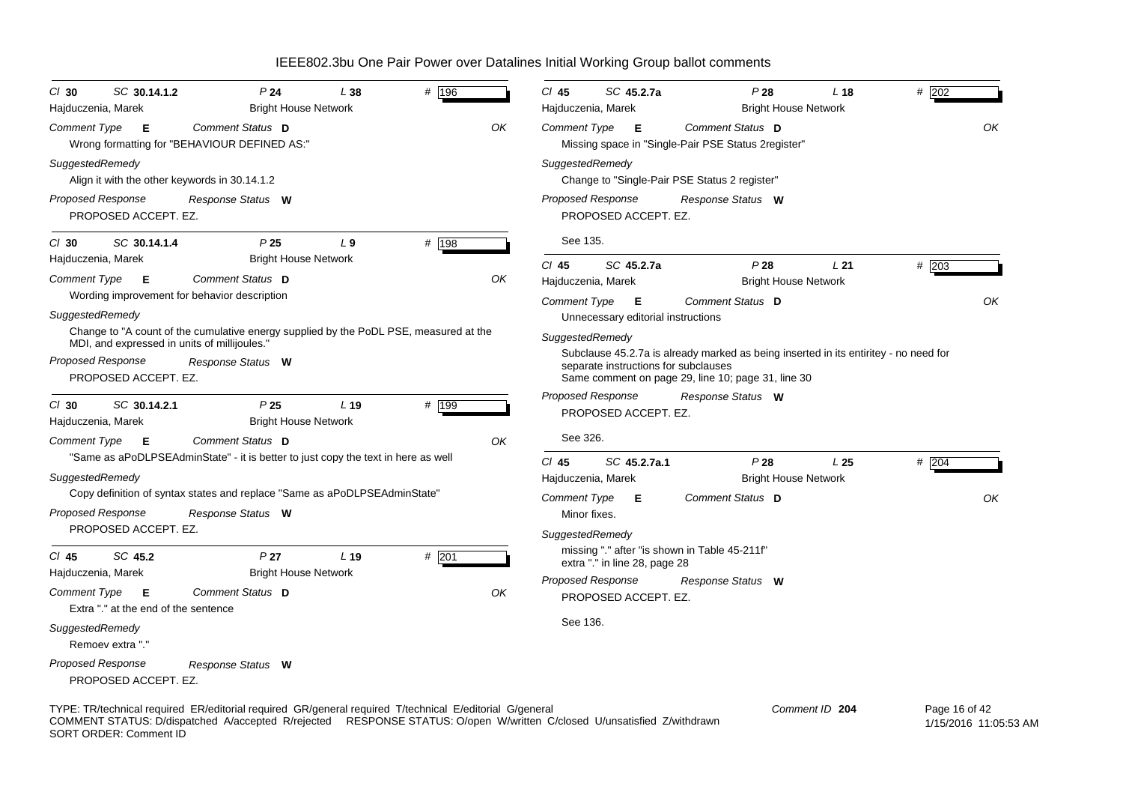| SC 30.14.1.2<br>$Cl$ 30                                                                  | P <sub>24</sub>                                                                                         | L 38            | # 196   |    | $Cl$ 45             | SC 45.2.7a                                       |                                                                                                                                                                                    | P28<br>L <sub>18</sub>                    | # 202         |
|------------------------------------------------------------------------------------------|---------------------------------------------------------------------------------------------------------|-----------------|---------|----|---------------------|--------------------------------------------------|------------------------------------------------------------------------------------------------------------------------------------------------------------------------------------|-------------------------------------------|---------------|
| Hajduczenia, Marek                                                                       | <b>Bright House Network</b>                                                                             |                 |         |    |                     | Hajduczenia, Marek                               |                                                                                                                                                                                    | <b>Bright House Network</b>               |               |
| <b>Comment Type</b><br>Е                                                                 | Comment Status D<br>Wrong formatting for "BEHAVIOUR DEFINED AS:"                                        |                 |         | OK | <b>Comment Type</b> | E                                                | Comment Status D<br>Missing space in "Single-Pair PSE Status 2register"                                                                                                            |                                           | OK            |
| SuggestedRemedy<br>Align it with the other keywords in 30.14.1.2                         |                                                                                                         |                 |         |    |                     | SuggestedRemedy                                  | Change to "Single-Pair PSE Status 2 register"                                                                                                                                      |                                           |               |
| Proposed Response<br>PROPOSED ACCEPT. EZ.                                                | Response Status W                                                                                       |                 |         |    |                     | Proposed Response<br>PROPOSED ACCEPT. EZ.        | Response Status W                                                                                                                                                                  |                                           |               |
| SC 30.14.1.4<br>$CI$ 30                                                                  | P <sub>25</sub>                                                                                         | L <sub>9</sub>  | # 198   |    | See 135.            |                                                  |                                                                                                                                                                                    |                                           |               |
| Hajduczenia, Marek<br><b>Comment Type</b><br>Е                                           | <b>Bright House Network</b><br>Comment Status D                                                         |                 |         | OK | CI 45               | SC 45.2.7a<br>Hajduczenia, Marek                 |                                                                                                                                                                                    | P28<br>L21<br><b>Bright House Network</b> | # 203         |
| SuggestedRemedy                                                                          | Wording improvement for behavior description                                                            |                 |         |    | Comment Type        | E<br>Unnecessary editorial instructions          | Comment Status D                                                                                                                                                                   |                                           | OK            |
| MDI, and expressed in units of millijoules.'                                             | Change to "A count of the cumulative energy supplied by the PoDL PSE, measured at the                   |                 |         |    |                     | SuggestedRemedy                                  |                                                                                                                                                                                    |                                           |               |
| Proposed Response<br>PROPOSED ACCEPT. EZ.                                                | Response Status W                                                                                       |                 |         |    |                     |                                                  | Subclause 45.2.7a is already marked as being inserted in its entiritey - no need for<br>separate instructions for subclauses<br>Same comment on page 29, line 10; page 31, line 30 |                                           |               |
| SC 30.14.2.1<br>$CI$ 30<br>Hajduczenia, Marek                                            | P <sub>25</sub><br><b>Bright House Network</b>                                                          | L <sub>19</sub> | # 199   |    |                     | Proposed Response<br>PROPOSED ACCEPT. EZ.        | Response Status W                                                                                                                                                                  |                                           |               |
| Comment Type<br>E                                                                        | Comment Status D<br>"Same as aPoDLPSEAdminState" - it is better to just copy the text in here as well   |                 |         | OK | See 326.<br>CI 45   | SC 45.2.7a.1                                     |                                                                                                                                                                                    | P28<br>L <sub>25</sub>                    | # 204         |
| SuggestedRemedy                                                                          |                                                                                                         |                 |         |    |                     | Hajduczenia, Marek                               |                                                                                                                                                                                    | <b>Bright House Network</b>               |               |
| Proposed Response                                                                        | Copy definition of syntax states and replace "Same as aPoDLPSEAdminState"<br>Response Status W          |                 |         |    | Comment Type        | Е<br>Minor fixes.                                | Comment Status D                                                                                                                                                                   |                                           | OK            |
| PROPOSED ACCEPT. EZ.                                                                     |                                                                                                         |                 |         |    | SuggestedRemedy     |                                                  |                                                                                                                                                                                    |                                           |               |
| SC 45.2<br>CI 45                                                                         | P <sub>27</sub>                                                                                         | L 19            | $#$ 201 |    |                     | extra "." in line 28, page 28                    | missing "." after "is shown in Table 45-211f"                                                                                                                                      |                                           |               |
| Hajduczenia, Marek<br><b>Comment Type</b><br>- E<br>Extra "." at the end of the sentence | <b>Bright House Network</b><br>Comment Status D                                                         |                 |         | ΟK |                     | <b>Proposed Response</b><br>PROPOSED ACCEPT. EZ. | Response Status W                                                                                                                                                                  |                                           |               |
| SuggestedRemedy<br>Remoev extra "."                                                      |                                                                                                         |                 |         |    | See 136.            |                                                  |                                                                                                                                                                                    |                                           |               |
| <b>Proposed Response</b><br>PROPOSED ACCEPT. EZ.                                         | Response Status W                                                                                       |                 |         |    |                     |                                                  |                                                                                                                                                                                    |                                           |               |
|                                                                                          | TYPE: TR/technical required ER/editorial required GR/general required T/technical E/editorial G/general |                 |         |    |                     |                                                  |                                                                                                                                                                                    | Comment ID 204                            | Page 16 of 42 |

COMMENT STATUS: D/dispatched A/accepted R/rejected RESPONSE STATUS: O/open W/written C/closed U/unsatisfied Z/withdrawn SORT ORDER: Comment ID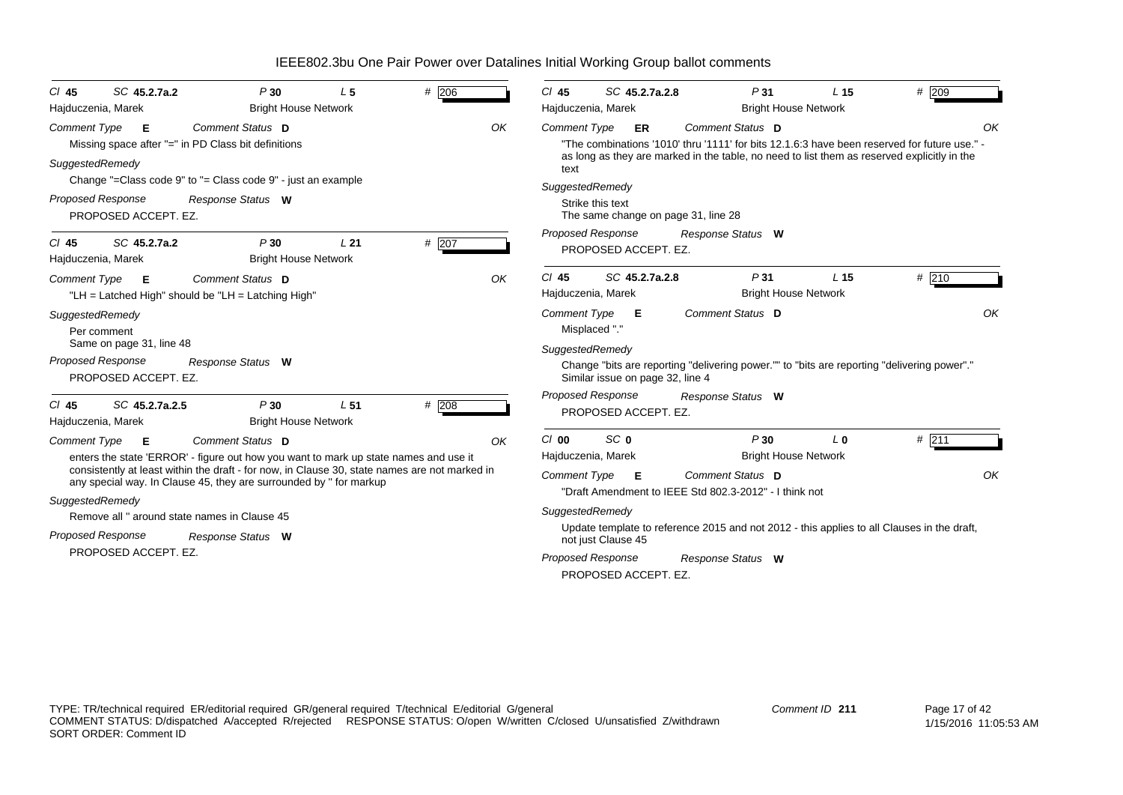| SC 45.2.7a.2<br>$#$ 206<br>P30<br>L <sub>5</sub><br>$CI$ 45<br>Hajduczenia, Marek<br><b>Bright House Network</b>                                                                                                                                                                                                                                                                                                                                  |    | P31<br>$Cl$ 45<br>SC 45.2.7a.2.8<br># 209<br>L <sub>15</sub><br>Hajduczenia, Marek<br><b>Bright House Network</b>                                                                                                                                                                                                                                                                                                                              |
|---------------------------------------------------------------------------------------------------------------------------------------------------------------------------------------------------------------------------------------------------------------------------------------------------------------------------------------------------------------------------------------------------------------------------------------------------|----|------------------------------------------------------------------------------------------------------------------------------------------------------------------------------------------------------------------------------------------------------------------------------------------------------------------------------------------------------------------------------------------------------------------------------------------------|
| Comment Status D<br><b>Comment Type</b><br>E<br>Missing space after "=" in PD Class bit definitions<br>SuggestedRemedy<br>Change "=Class code 9" to "= Class code 9" - just an example                                                                                                                                                                                                                                                            | OK | Comment Status D<br>OK<br><b>Comment Type</b><br>ER.<br>"The combinations '1010' thru '1111' for bits 12.1.6:3 have been reserved for future use." -<br>as long as they are marked in the table, no need to list them as reserved explicitly in the<br>text                                                                                                                                                                                    |
| Proposed Response<br>Response Status W<br>PROPOSED ACCEPT. EZ.                                                                                                                                                                                                                                                                                                                                                                                    |    | SuggestedRemedy<br>Strike this text<br>The same change on page 31, line 28                                                                                                                                                                                                                                                                                                                                                                     |
| #207<br>P30<br>L21<br>SC 45.2.7a.2<br>$CI$ 45<br><b>Bright House Network</b><br>Hajduczenia, Marek                                                                                                                                                                                                                                                                                                                                                |    | <b>Proposed Response</b><br>Response Status W<br>PROPOSED ACCEPT. EZ.                                                                                                                                                                                                                                                                                                                                                                          |
| Comment Status D<br><b>Comment Type</b><br>E<br>"LH = Latched High" should be "LH = Latching High"                                                                                                                                                                                                                                                                                                                                                | OK | P31<br># 210<br>$Cl$ 45<br>SC 45.2.7a.2.8<br>L <sub>15</sub><br><b>Bright House Network</b><br>Hajduczenia, Marek                                                                                                                                                                                                                                                                                                                              |
| SuggestedRemedy<br>Per comment<br>Same on page 31, line 48<br><b>Proposed Response</b><br>Response Status W<br>PROPOSED ACCEPT. EZ.                                                                                                                                                                                                                                                                                                               |    | OK<br>Comment Status D<br><b>Comment Type</b><br>E<br>Misplaced "."<br>SuggestedRemedy<br>Change "bits are reporting "delivering power."" to "bits are reporting "delivering power"."<br>Similar issue on page 32, line 4                                                                                                                                                                                                                      |
| SC 45.2.7a.2.5<br>P30<br>L <sub>51</sub><br>#208<br>$CI$ 45<br><b>Bright House Network</b><br>Hajduczenia, Marek                                                                                                                                                                                                                                                                                                                                  |    | Proposed Response<br>Response Status W<br>PROPOSED ACCEPT. EZ.                                                                                                                                                                                                                                                                                                                                                                                 |
| <b>Comment Type</b><br>Comment Status D<br>E.<br>enters the state 'ERROR' - figure out how you want to mark up state names and use it<br>consistently at least within the draft - for now, in Clause 30, state names are not marked in<br>any special way. In Clause 45, they are surrounded by " for markup<br>SuggestedRemedy<br>Remove all " around state names in Clause 45<br>Proposed Response<br>Response Status W<br>PROPOSED ACCEPT. EZ. | OK | # 211<br>SC <sub>0</sub><br>P30<br>C/00<br>L <sub>0</sub><br><b>Bright House Network</b><br>Hajduczenia, Marek<br>Comment Status D<br>OK<br><b>Comment Type</b><br>Е<br>"Draft Amendment to IEEE Std 802.3-2012" - I think not<br>SuggestedRemedy<br>Update template to reference 2015 and not 2012 - this applies to all Clauses in the draft,<br>not just Clause 45<br><b>Proposed Response</b><br>Response Status W<br>PROPOSED ACCEPT. EZ. |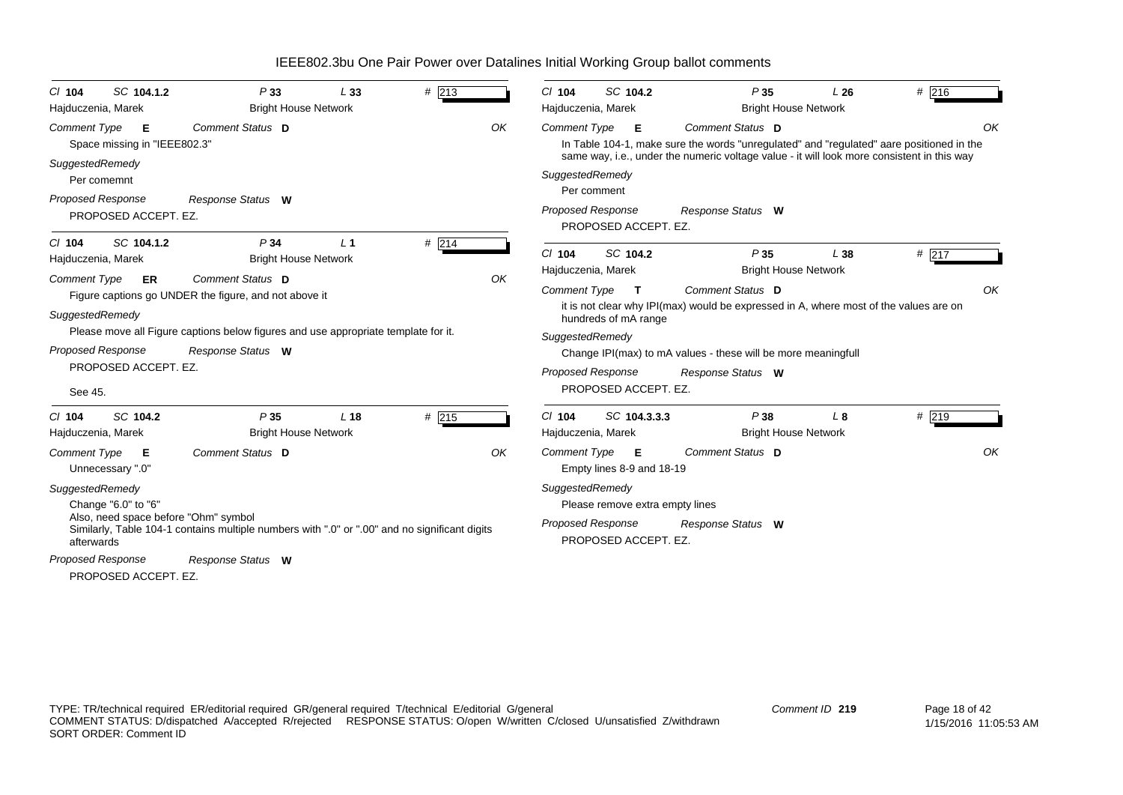| SC 104.1.2<br>$CI$ 104<br>Hajduczenia, Marek                                                 | P33<br><b>Bright House Network</b>                                                                      | L33             | # 213   |    | C/ 104<br>Hajduczenia, Marek                               | SC 104.2                                                | P35<br><b>Bright House Network</b>                                                                                                                                                                         | L26          | # 216 |    |
|----------------------------------------------------------------------------------------------|---------------------------------------------------------------------------------------------------------|-----------------|---------|----|------------------------------------------------------------|---------------------------------------------------------|------------------------------------------------------------------------------------------------------------------------------------------------------------------------------------------------------------|--------------|-------|----|
| <b>Comment Type</b><br>Е<br>Space missing in "IEEE802.3"                                     | Comment Status D                                                                                        |                 |         | OK | <b>Comment Type</b>                                        | Е                                                       | Comment Status D<br>In Table 104-1, make sure the words "unregulated" and "regulated" aare positioned in the<br>same way, i.e., under the numeric voltage value - it will look more consistent in this way |              |       | OK |
| SuggestedRemedy<br>Per comemnt<br><b>Proposed Response</b><br>PROPOSED ACCEPT. EZ.           | Response Status W                                                                                       |                 |         |    | SuggestedRemedy<br>Per comment<br><b>Proposed Response</b> | PROPOSED ACCEPT. EZ.                                    | Response Status W                                                                                                                                                                                          |              |       |    |
| $Cl$ 104<br>SC 104.1.2<br>Hajduczenia, Marek                                                 | P <sub>34</sub><br><b>Bright House Network</b>                                                          | L <sub>1</sub>  | $#$ 214 |    | $CI$ 104<br>Hajduczenia, Marek                             | SC 104.2                                                | P35<br><b>Bright House Network</b>                                                                                                                                                                         | L38          | # 217 |    |
| <b>Comment Type</b><br>ER.<br>SuggestedRemedy                                                | Comment Status D<br>Figure captions go UNDER the figure, and not above it                               |                 |         | OK | <b>Comment Type</b>                                        | $\mathbf{T}$<br>hundreds of mA range                    | Comment Status D<br>it is not clear why IPI(max) would be expressed in A, where most of the values are on                                                                                                  |              |       | OK |
| <b>Proposed Response</b><br>PROPOSED ACCEPT. EZ.<br>See 45.                                  | Please move all Figure captions below figures and use appropriate template for it.<br>Response Status W |                 |         |    | SuggestedRemedy<br><b>Proposed Response</b>                | PROPOSED ACCEPT. EZ.                                    | Change IPI(max) to mA values - these will be more meaningfull<br>Response Status W                                                                                                                         |              |       |    |
| SC 104.2<br>$Cl$ 104<br>Hajduczenia, Marek                                                   | P35<br><b>Bright House Network</b>                                                                      | L <sub>18</sub> | # 215   |    | $Cl$ 104<br>Hajduczenia, Marek                             | SC 104.3.3.3                                            | P38<br><b>Bright House Network</b>                                                                                                                                                                         | $L_{\alpha}$ | # 219 |    |
| Comment Type<br>Е<br>Unnecessary ".0"                                                        | <b>Comment Status D</b>                                                                                 |                 |         | OK | Comment Type                                               | Е<br>Empty lines 8-9 and 18-19                          | Comment Status D                                                                                                                                                                                           |              |       | OK |
| SuggestedRemedy<br>Change "6.0" to "6"<br>Also, need space before "Ohm" symbol<br>afterwards | Similarly, Table 104-1 contains multiple numbers with ".0" or ".00" and no significant digits           |                 |         |    | SuggestedRemedy<br><b>Proposed Response</b>                | Please remove extra empty lines<br>PROPOSED ACCEPT. EZ. | Response Status W                                                                                                                                                                                          |              |       |    |
| <b>Proposed Response</b><br>PROPOSED ACCEPT. EZ.                                             | Response Status W                                                                                       |                 |         |    |                                                            |                                                         |                                                                                                                                                                                                            |              |       |    |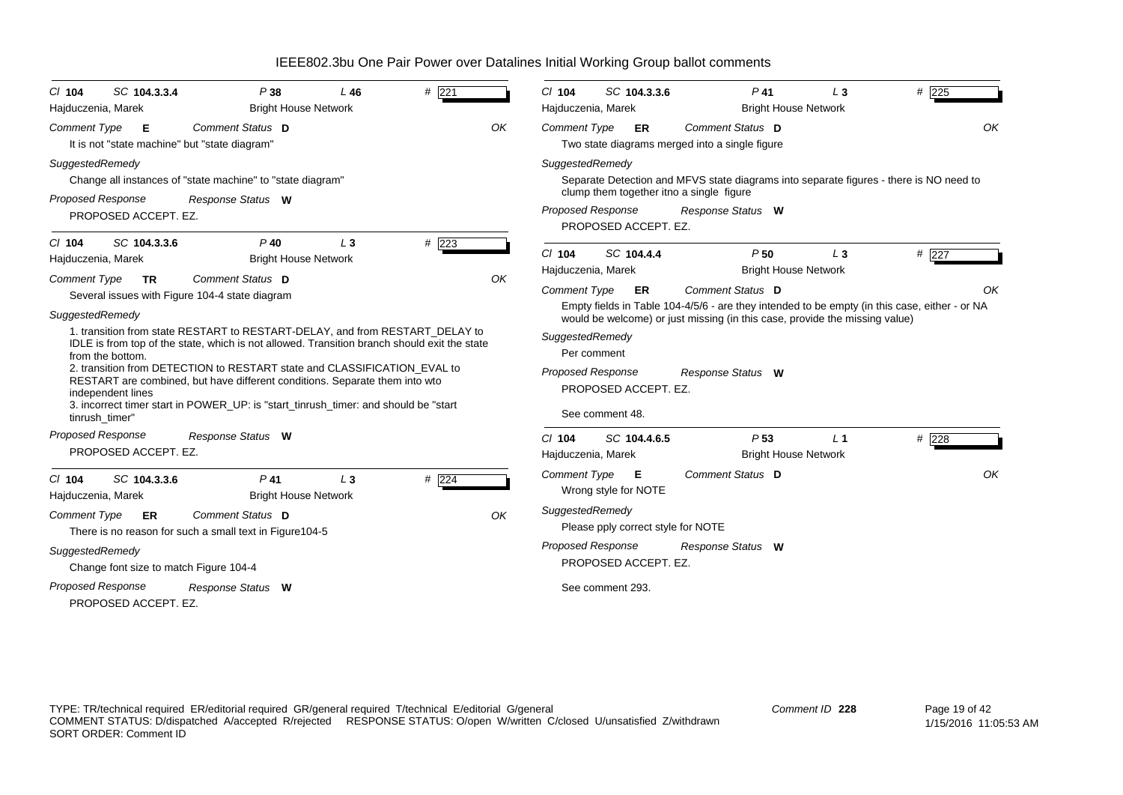| $Cl$ 104                                    | SC 104.3.3.4                           | P38                                                                                                                                                                          | L46   | $#$ 221        |    | $CI$ 104                                    | SC 104.3.3.6                       | $P$ 41                                                                                                                                                  | $L_3$          | # $\overline{225}$                                                                                  |
|---------------------------------------------|----------------------------------------|------------------------------------------------------------------------------------------------------------------------------------------------------------------------------|-------|----------------|----|---------------------------------------------|------------------------------------|---------------------------------------------------------------------------------------------------------------------------------------------------------|----------------|-----------------------------------------------------------------------------------------------------|
| Hajduczenia, Marek                          |                                        | <b>Bright House Network</b>                                                                                                                                                  |       |                |    | Hajduczenia, Marek                          |                                    | <b>Bright House Network</b>                                                                                                                             |                |                                                                                                     |
| <b>Comment Type</b>                         | - E                                    | Comment Status D<br>It is not "state machine" but "state diagram"                                                                                                            |       |                | OK | <b>Comment Type</b>                         | ER                                 | Comment Status D<br>Two state diagrams merged into a single figure                                                                                      |                | OK                                                                                                  |
| SuggestedRemedy<br><b>Proposed Response</b> | PROPOSED ACCEPT. EZ.                   | Change all instances of "state machine" to "state diagram"<br>Response Status W                                                                                              |       |                |    | SuggestedRemedy<br><b>Proposed Response</b> |                                    | Separate Detection and MFVS state diagrams into separate figures - there is NO need to<br>clump them together itno a single figure<br>Response Status W |                |                                                                                                     |
|                                             |                                        |                                                                                                                                                                              |       |                |    |                                             | PROPOSED ACCEPT. EZ.               |                                                                                                                                                         |                |                                                                                                     |
| $Cl$ 104<br>Hajduczenia, Marek              | SC 104.3.3.6                           | $P$ 40<br><b>Bright House Network</b>                                                                                                                                        | $L_3$ | # 223          |    | $Cl$ 104<br>Hajduczenia, Marek              | SC 104.4.4                         | P50<br><b>Bright House Network</b>                                                                                                                      | $L_3$          | #227                                                                                                |
| <b>Comment Type</b><br>SuggestedRemedy      | TR                                     | Comment Status D<br>Several issues with Figure 104-4 state diagram                                                                                                           |       |                | OK | <b>Comment Type</b>                         | ER                                 | Comment Status D<br>would be welcome) or just missing (in this case, provide the missing value)                                                         |                | ΩK<br>Empty fields in Table 104-4/5/6 - are they intended to be empty (in this case, either - or NA |
|                                             | from the bottom.                       | 1. transition from state RESTART to RESTART-DELAY, and from RESTART_DELAY to<br>IDLE is from top of the state, which is not allowed. Transition branch should exit the state |       |                |    | SuggestedRemedy<br>Per comment              |                                    |                                                                                                                                                         |                |                                                                                                     |
|                                             | independent lines                      | 2. transition from DETECTION to RESTART state and CLASSIFICATION EVAL to<br>RESTART are combined, but have different conditions. Separate them into wto                      |       |                |    | <b>Proposed Response</b>                    | PROPOSED ACCEPT. EZ.               | Response Status W                                                                                                                                       |                |                                                                                                     |
| tinrush timer"                              |                                        | 3. incorrect timer start in POWER_UP: is "start_tinrush_timer: and should be "start                                                                                          |       |                |    |                                             | See comment 48.                    |                                                                                                                                                         |                |                                                                                                     |
| Proposed Response                           | PROPOSED ACCEPT. EZ.                   | Response Status W                                                                                                                                                            |       |                |    | $Cl$ 104<br>Hajduczenia, Marek              | SC 104.4.6.5                       | P <sub>53</sub><br><b>Bright House Network</b>                                                                                                          | L <sub>1</sub> | # 228                                                                                               |
| $Cl$ 104<br>Hajduczenia, Marek              | SC 104.3.3.6                           | $P$ 41<br><b>Bright House Network</b>                                                                                                                                        | $L_3$ | # $\sqrt{224}$ |    | <b>Comment Type</b>                         | Е<br>Wrong style for NOTE          | Comment Status D                                                                                                                                        |                | OK                                                                                                  |
| <b>Comment Type</b>                         | ER                                     | Comment Status D<br>There is no reason for such a small text in Figure104-5                                                                                                  |       |                | OK | SuggestedRemedy                             | Please pply correct style for NOTE |                                                                                                                                                         |                |                                                                                                     |
| SuggestedRemedy                             | Change font size to match Figure 104-4 |                                                                                                                                                                              |       |                |    | <b>Proposed Response</b>                    | PROPOSED ACCEPT. EZ.               | Response Status W                                                                                                                                       |                |                                                                                                     |
| Proposed Response                           | PROPOSED ACCEPT. EZ.                   | Response Status W                                                                                                                                                            |       |                |    |                                             | See comment 293.                   |                                                                                                                                                         |                |                                                                                                     |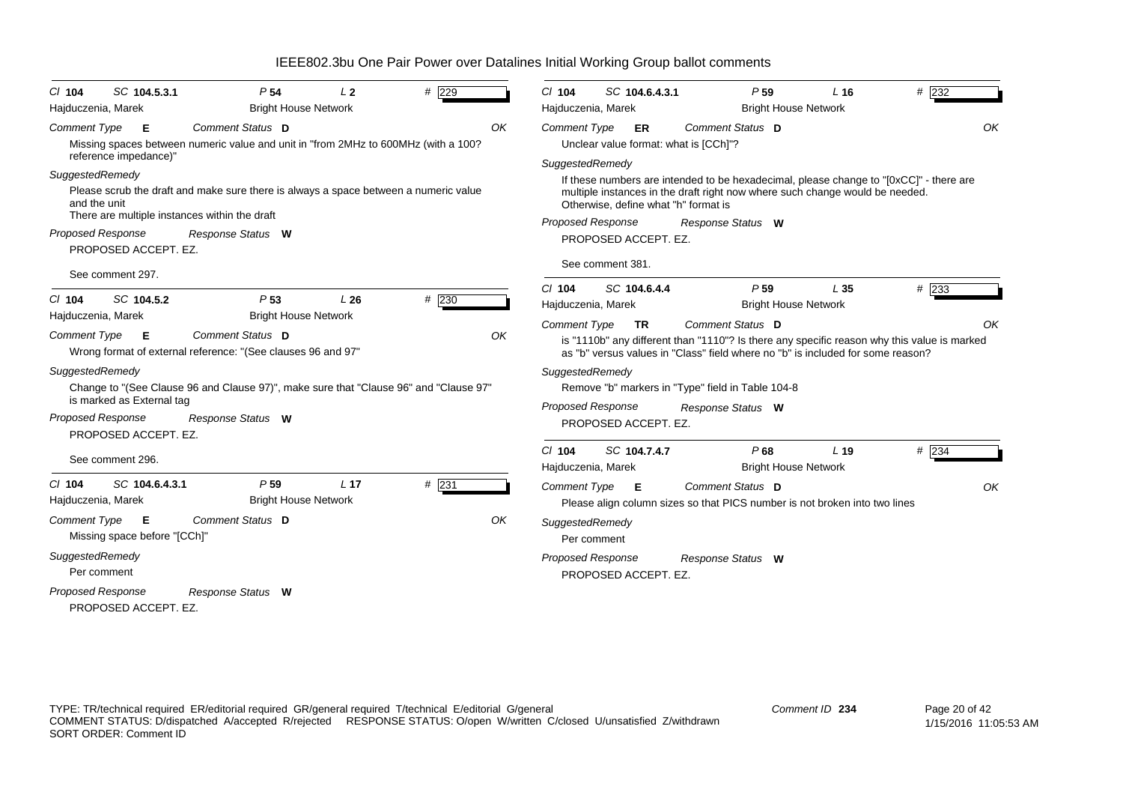| $Cl$ 104                                                    | SC 104.5.3.1                                                      | P <sub>54</sub>                                                                                                                                            | L <sub>2</sub>  | $#$ 229 | $Cl$ 104                                    | SC 104.6.4.3.1                                                                   | P <sub>59</sub>                                                                                                                                                                                    | L <sub>16</sub> | $#$ 232 |
|-------------------------------------------------------------|-------------------------------------------------------------------|------------------------------------------------------------------------------------------------------------------------------------------------------------|-----------------|---------|---------------------------------------------|----------------------------------------------------------------------------------|----------------------------------------------------------------------------------------------------------------------------------------------------------------------------------------------------|-----------------|---------|
| Hajduczenia, Marek                                          |                                                                   | <b>Bright House Network</b>                                                                                                                                |                 |         | Hajduczenia, Marek                          |                                                                                  | <b>Bright House Network</b>                                                                                                                                                                        |                 |         |
| <b>Comment Type</b>                                         | E                                                                 | Comment Status D<br>Missing spaces between numeric value and unit in "from 2MHz to 600MHz (with a 100?                                                     |                 | OK      | <b>Comment Type</b>                         | ER                                                                               | Comment Status D<br>Unclear value format: what is [CCh]"?                                                                                                                                          |                 | OK      |
| SuggestedRemedy<br>and the unit<br><b>Proposed Response</b> | reference impedance)"<br>PROPOSED ACCEPT. EZ.<br>See comment 297. | Please scrub the draft and make sure there is always a space between a numeric value<br>There are multiple instances within the draft<br>Response Status W |                 |         | SuggestedRemedy<br><b>Proposed Response</b> | Otherwise, define what "h" format is<br>PROPOSED ACCEPT. EZ.<br>See comment 381. | If these numbers are intended to be hexadecimal, please change to "[0xCC]" - there are<br>multiple instances in the draft right now where such change would be needed.<br>Response Status W        |                 |         |
| $Cl$ 104<br>Hajduczenia, Marek                              | SC 104.5.2                                                        | P <sub>53</sub><br><b>Bright House Network</b>                                                                                                             | L26             | # 230   | $Cl$ 104<br>Hajduczenia, Marek              | SC 104.6.4.4                                                                     | P <sub>59</sub><br><b>Bright House Network</b>                                                                                                                                                     | L35             | $#$ 233 |
| <b>Comment Type</b>                                         | - E                                                               | Comment Status D<br>Wrong format of external reference: "(See clauses 96 and 97"                                                                           |                 | OK      | <b>Comment Type</b>                         | <b>TR</b>                                                                        | Comment Status D<br>is "1110b" any different than "1110"? Is there any specific reason why this value is marked<br>as "b" versus values in "Class" field where no "b" is included for some reason? |                 | OK      |
| SuggestedRemedy<br><b>Proposed Response</b>                 | is marked as External tag<br>PROPOSED ACCEPT. EZ.                 | Change to "(See Clause 96 and Clause 97)", make sure that "Clause 96" and "Clause 97"<br>Response Status W                                                 |                 |         | SuggestedRemedy<br><b>Proposed Response</b> | PROPOSED ACCEPT. EZ.                                                             | Remove "b" markers in "Type" field in Table 104-8<br>Response Status W                                                                                                                             |                 |         |
|                                                             | See comment 296.                                                  |                                                                                                                                                            |                 |         | $Cl$ 104<br>Hajduczenia, Marek              | SC 104.7.4.7                                                                     | P68<br><b>Bright House Network</b>                                                                                                                                                                 | L <sub>19</sub> | # 234   |
| $Cl$ 104<br>Hajduczenia, Marek                              | SC 104.6.4.3.1                                                    | P <sub>59</sub><br><b>Bright House Network</b>                                                                                                             | L <sub>17</sub> | # 231   | Comment Type <b>E</b>                       |                                                                                  | Comment Status D<br>Please align column sizes so that PICS number is not broken into two lines                                                                                                     |                 | OK      |
| Comment Type                                                | E<br>Missing space before "[CCh]"                                 | Comment Status D                                                                                                                                           |                 | OK      | SuggestedRemedy<br>Per comment              |                                                                                  |                                                                                                                                                                                                    |                 |         |
| SuggestedRemedy                                             | Per comment                                                       |                                                                                                                                                            |                 |         | <b>Proposed Response</b>                    | PROPOSED ACCEPT. EZ.                                                             | Response Status W                                                                                                                                                                                  |                 |         |
| <b>Proposed Response</b>                                    | PROPOSED ACCEPT. EZ.                                              | Response Status W                                                                                                                                          |                 |         |                                             |                                                                                  |                                                                                                                                                                                                    |                 |         |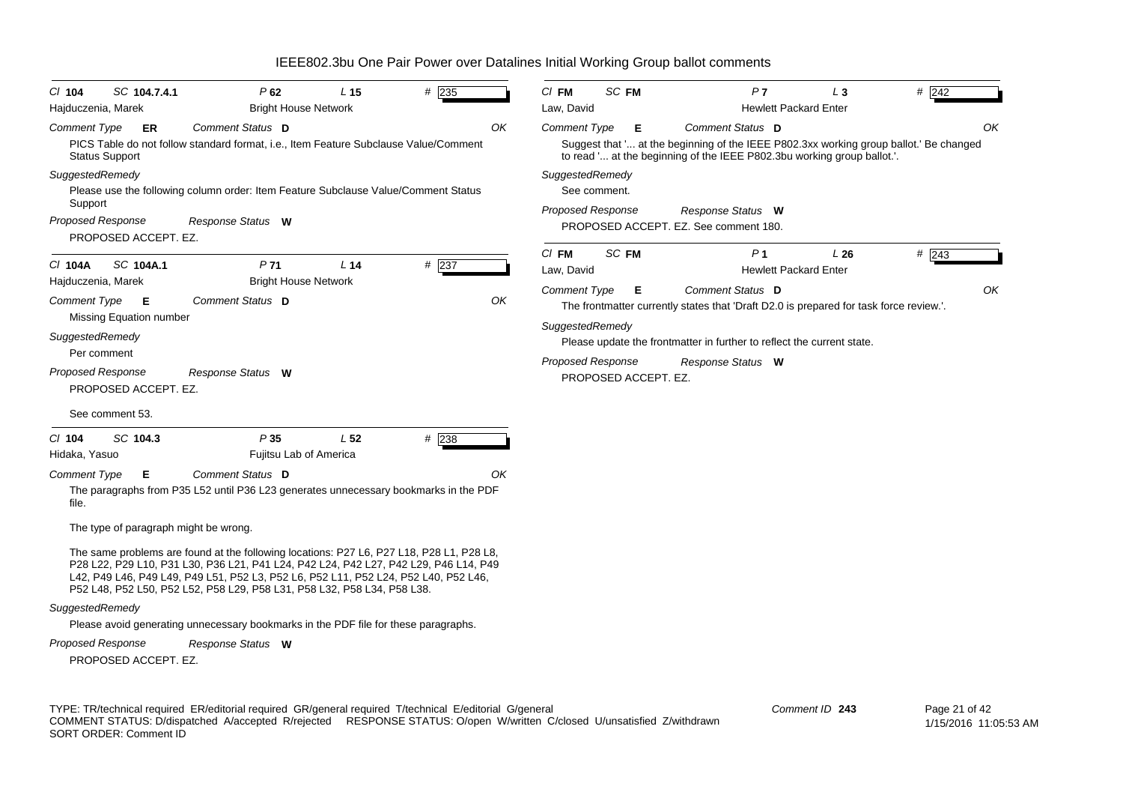| $CI$ 104                                                    | SC 104.7.4.1                                                                           | P62                                                                                                                                                                                                                                                                                                                                                | L <sub>15</sub> | $#$ 235 | $CI$ FM                                      | SC FM                                            | P <sub>7</sub>                                                                                                                                                                        | $L_3$                               | # 242         |
|-------------------------------------------------------------|----------------------------------------------------------------------------------------|----------------------------------------------------------------------------------------------------------------------------------------------------------------------------------------------------------------------------------------------------------------------------------------------------------------------------------------------------|-----------------|---------|----------------------------------------------|--------------------------------------------------|---------------------------------------------------------------------------------------------------------------------------------------------------------------------------------------|-------------------------------------|---------------|
| Hajduczenia, Marek                                          |                                                                                        | <b>Bright House Network</b>                                                                                                                                                                                                                                                                                                                        |                 |         | Law, David                                   |                                                  |                                                                                                                                                                                       | <b>Hewlett Packard Enter</b>        |               |
| <b>Comment Type</b><br>SuggestedRemedy<br>Support           | ER<br><b>Status Support</b>                                                            | Comment Status D<br>PICS Table do not follow standard format, i.e., Item Feature Subclause Value/Comment<br>Please use the following column order: Item Feature Subclause Value/Comment Status                                                                                                                                                     |                 | OK      | <b>Comment Type</b><br>SuggestedRemedy       | Е<br>See comment.                                | Comment Status D<br>Suggest that ' at the beginning of the IEEE P802.3xx working group ballot.' Be changed<br>to read ' at the beginning of the IEEE P802.3bu working group ballot.'. |                                     | OK            |
|                                                             | <b>Proposed Response</b><br>PROPOSED ACCEPT. EZ.                                       | Response Status W                                                                                                                                                                                                                                                                                                                                  |                 |         | <b>Proposed Response</b>                     |                                                  | Response Status W<br>PROPOSED ACCEPT. EZ. See comment 180.                                                                                                                            |                                     |               |
| C/ 104A<br>Hajduczenia, Marek                               | SC 104A.1                                                                              | P <sub>71</sub><br><b>Bright House Network</b>                                                                                                                                                                                                                                                                                                     | L <sub>14</sub> | $#$ 237 | $CI$ FM<br>Law, David<br><b>Comment Type</b> | SC FM<br>Е                                       | P <sub>1</sub><br>Comment Status D                                                                                                                                                    | L26<br><b>Hewlett Packard Enter</b> | $#$ 243<br>OK |
| <b>Comment Type</b><br>SuggestedRemedy<br>Proposed Response | Е<br>Missing Equation number<br>Per comment<br>PROPOSED ACCEPT. EZ.<br>See comment 53. | Comment Status D<br>Response Status W                                                                                                                                                                                                                                                                                                              |                 | OK      | SuggestedRemedy                              | <b>Proposed Response</b><br>PROPOSED ACCEPT. EZ. | The frontmatter currently states that 'Draft D2.0 is prepared for task force review.'.<br>Please update the frontmatter in further to reflect the current state.<br>Response Status W |                                     |               |
| $CI$ 104<br>Hidaka, Yasuo                                   | SC 104.3                                                                               | P35<br>Fujitsu Lab of America                                                                                                                                                                                                                                                                                                                      | L <sub>52</sub> | # 238   |                                              |                                                  |                                                                                                                                                                                       |                                     |               |
| <b>Comment Type</b><br>file.                                | Е<br>The type of paragraph might be wrong.                                             | <b>Comment Status D</b><br>The paragraphs from P35 L52 until P36 L23 generates unnecessary bookmarks in the PDF                                                                                                                                                                                                                                    |                 | OK      |                                              |                                                  |                                                                                                                                                                                       |                                     |               |
|                                                             |                                                                                        | The same problems are found at the following locations: P27 L6, P27 L18, P28 L1, P28 L8,<br>P28 L22, P29 L10, P31 L30, P36 L21, P41 L24, P42 L24, P42 L27, P42 L29, P46 L14, P49<br>L42, P49 L46, P49 L49, P49 L51, P52 L3, P52 L6, P52 L11, P52 L24, P52 L40, P52 L46,<br>P52 L48, P52 L50, P52 L52, P58 L29, P58 L31, P58 L32, P58 L34, P58 L38. |                 |         |                                              |                                                  |                                                                                                                                                                                       |                                     |               |
| SuggestedRemedy                                             |                                                                                        | Please avoid generating unnecessary bookmarks in the PDF file for these paragraphs.                                                                                                                                                                                                                                                                |                 |         |                                              |                                                  |                                                                                                                                                                                       |                                     |               |
|                                                             | <b>Proposed Response</b><br>PROPOSED ACCEPT. EZ.                                       | Response Status W                                                                                                                                                                                                                                                                                                                                  |                 |         |                                              |                                                  |                                                                                                                                                                                       |                                     |               |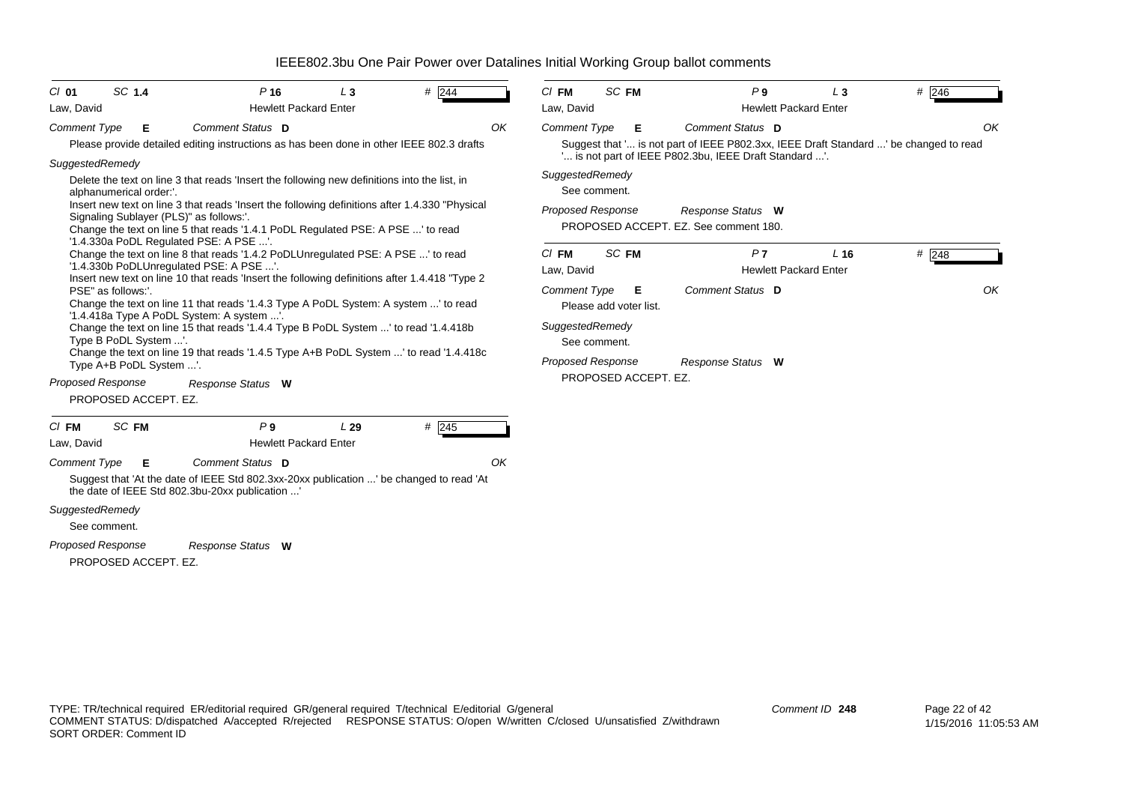| $C/I$ 01                 | SC 1.4                                      |                                                                                                                                                                                                                                                                      | $P$ 16                                         | $L_3$ | $#$ 244                                                                                                                                                                      |    | $CI$ FM                                                            | SC FM            |                             | P <sub>9</sub>                                                             | $L_3$                                           | $#$ 246                                                                                     |
|--------------------------|---------------------------------------------|----------------------------------------------------------------------------------------------------------------------------------------------------------------------------------------------------------------------------------------------------------------------|------------------------------------------------|-------|------------------------------------------------------------------------------------------------------------------------------------------------------------------------------|----|--------------------------------------------------------------------|------------------|-----------------------------|----------------------------------------------------------------------------|-------------------------------------------------|---------------------------------------------------------------------------------------------|
| Law, David               |                                             |                                                                                                                                                                                                                                                                      | <b>Hewlett Packard Enter</b>                   |       |                                                                                                                                                                              |    | Law, David                                                         |                  |                             |                                                                            | <b>Hewlett Packard Enter</b>                    |                                                                                             |
| <b>Comment Type</b>      | Е                                           |                                                                                                                                                                                                                                                                      | Comment Status D                               |       | Please provide detailed editing instructions as has been done in other IEEE 802.3 drafts                                                                                     | OK | <b>Comment Type</b>                                                |                  | Е                           | Comment Status D<br>" is not part of IEEE P802.3bu, IEEE Draft Standard ". |                                                 | OK<br>Suggest that ' is not part of IEEE P802.3xx, IEEE Draft Standard ' be changed to read |
| SuggestedRemedy          | alphanumerical order:'.                     | Delete the text on line 3 that reads 'Insert the following new definitions into the list, in<br>Signaling Sublayer (PLS)" as follows:'.<br>Change the text on line 5 that reads '1.4.1 PoDL Regulated PSE: A PSE ' to read<br>'1.4.330a PoDL Regulated PSE: A PSE '. |                                                |       | Insert new text on line 3 that reads 'Insert the following definitions after 1.4.330 "Physical                                                                               |    | SuggestedRemedy<br><b>Proposed Response</b>                        | See comment.     |                             | Response Status W<br>PROPOSED ACCEPT. EZ. See comment 180.                 |                                                 |                                                                                             |
|                          |                                             | Change the text on line 8 that reads '1.4.2 PoDLUnregulated PSE: A PSE ' to read<br>'1.4.330b PoDLUnregulated PSE: A PSE '.                                                                                                                                          |                                                |       | Insert new text on line 10 that reads 'Insert the following definitions after 1.4.418 "Type 2                                                                                |    | $CI$ FM<br>Law, David                                              | SC <sub>FM</sub> |                             | P <sub>7</sub>                                                             | L <sub>16</sub><br><b>Hewlett Packard Enter</b> | $\#$ 248                                                                                    |
|                          | PSE" as follows:'.<br>Type B PoDL System '. | '1.4.418a Type A PoDL System: A system '.<br>Change the text on line 15 that reads '1.4.4 Type B PoDL System ' to read '1.4.418b<br>Type A+B PoDL System '.                                                                                                          |                                                |       | Change the text on line 11 that reads '1.4.3 Type A PoDL System: A system ' to read<br>Change the text on line 19 that reads '1.4.5 Type A+B PoDL System ' to read '1.4.418c |    | <b>Comment Type</b><br>SuggestedRemedy<br><b>Proposed Response</b> | See comment.     | Е<br>Please add voter list. | Comment Status D<br>Response Status W                                      |                                                 | OK                                                                                          |
| <b>Proposed Response</b> |                                             | PROPOSED ACCEPT. EZ.                                                                                                                                                                                                                                                 | Response Status W                              |       |                                                                                                                                                                              |    |                                                                    |                  | PROPOSED ACCEPT. EZ.        |                                                                            |                                                 |                                                                                             |
| $CI$ FM<br>Law, David    | SC FM                                       |                                                                                                                                                                                                                                                                      | P <sub>9</sub><br><b>Hewlett Packard Enter</b> | L29   | # 245                                                                                                                                                                        |    |                                                                    |                  |                             |                                                                            |                                                 |                                                                                             |
| <b>Comment Type</b>      | Е                                           | the date of IEEE Std 802.3bu-20xx publication '                                                                                                                                                                                                                      | Comment Status D                               |       | Suggest that 'At the date of IEEE Std 802.3xx-20xx publication ' be changed to read 'At                                                                                      | OK |                                                                    |                  |                             |                                                                            |                                                 |                                                                                             |
| SuggestedRemedy          | See comment.                                |                                                                                                                                                                                                                                                                      |                                                |       |                                                                                                                                                                              |    |                                                                    |                  |                             |                                                                            |                                                 |                                                                                             |
| <b>Proposed Response</b> |                                             | PROPOSED ACCEPT. EZ.                                                                                                                                                                                                                                                 | Response Status W                              |       |                                                                                                                                                                              |    |                                                                    |                  |                             |                                                                            |                                                 |                                                                                             |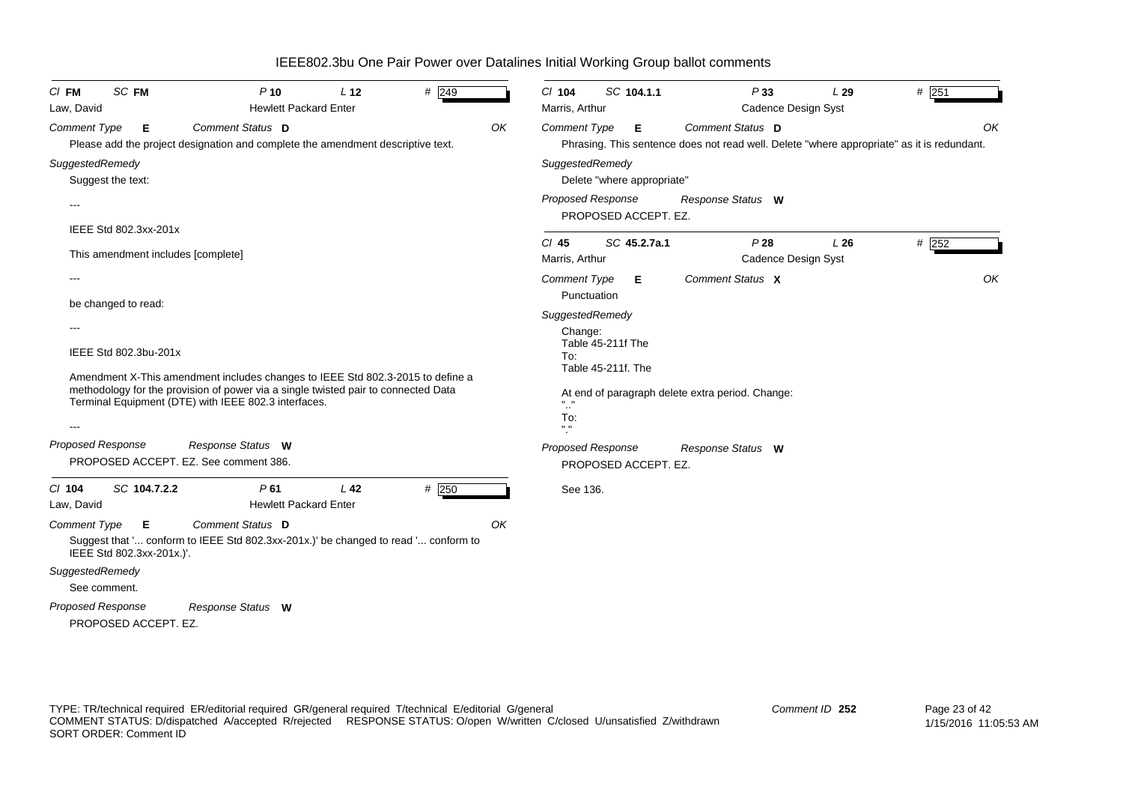| <b>SC FM</b><br>$CI$ FM                                     | $P$ 10                                                                                                                                                                                                                       | L <sub>12</sub> | # 249   |    | $Cl$ 104                                                     | SC 104.1.1                              | P33                                                                                                            | L29                        | $#$ 251 |
|-------------------------------------------------------------|------------------------------------------------------------------------------------------------------------------------------------------------------------------------------------------------------------------------------|-----------------|---------|----|--------------------------------------------------------------|-----------------------------------------|----------------------------------------------------------------------------------------------------------------|----------------------------|---------|
| Law, David                                                  | <b>Hewlett Packard Enter</b>                                                                                                                                                                                                 |                 |         |    | Marris, Arthur                                               |                                         |                                                                                                                | Cadence Design Syst        |         |
| <b>Comment Type</b><br>Е                                    | Comment Status D<br>Please add the project designation and complete the amendment descriptive text.                                                                                                                          |                 |         | OK | <b>Comment Type</b>                                          | Е                                       | Comment Status D<br>Phrasing. This sentence does not read well. Delete "where appropriate" as it is redundant. |                            | OK      |
| SuggestedRemedy<br>Suggest the text:                        |                                                                                                                                                                                                                              |                 |         |    | SuggestedRemedy                                              | Delete "where appropriate"              |                                                                                                                |                            |         |
| $- - -$                                                     |                                                                                                                                                                                                                              |                 |         |    | <b>Proposed Response</b>                                     | PROPOSED ACCEPT. EZ.                    | Response Status W                                                                                              |                            |         |
| IEEE Std 802.3xx-201x<br>This amendment includes [complete] |                                                                                                                                                                                                                              |                 |         |    | $Cl$ 45<br>Marris, Arthur                                    | SC 45.2.7a.1                            | P28                                                                                                            | L26<br>Cadence Design Syst | #252    |
|                                                             |                                                                                                                                                                                                                              |                 |         |    | <b>Comment Type</b><br>Punctuation                           | Е.                                      | Comment Status X                                                                                               |                            | OK      |
| be changed to read:                                         |                                                                                                                                                                                                                              |                 |         |    | SuggestedRemedy                                              |                                         |                                                                                                                |                            |         |
| IEEE Std 802.3bu-201x                                       | Amendment X-This amendment includes changes to IEEE Std 802.3-2015 to define a<br>methodology for the provision of power via a single twisted pair to connected Data<br>Terminal Equipment (DTE) with IEEE 802.3 interfaces. |                 |         |    | Change:<br>To:<br>$\mathbf{u} = \mathbf{u}$<br>$\sim$<br>To: | Table 45-211f The<br>Table 45-211f. The | At end of paragraph delete extra period. Change:                                                               |                            |         |
|                                                             |                                                                                                                                                                                                                              |                 |         |    | $\mathbf{H}$ = $\mathbf{H}$                                  |                                         |                                                                                                                |                            |         |
| Proposed Response                                           | Response Status W<br>PROPOSED ACCEPT. EZ. See comment 386.                                                                                                                                                                   |                 |         |    | <b>Proposed Response</b>                                     | PROPOSED ACCEPT. EZ.                    | Response Status W                                                                                              |                            |         |
| C/ 104<br>SC 104.7.2.2<br>Law, David                        | P61<br><b>Hewlett Packard Enter</b>                                                                                                                                                                                          | L <sub>42</sub> | $#$ 250 |    | See 136.                                                     |                                         |                                                                                                                |                            |         |
| <b>Comment Type</b><br>Е<br>IEEE Std 802.3xx-201x.)'.       | Comment Status D<br>Suggest that ' conform to IEEE Std 802.3xx-201x.)' be changed to read ' conform to                                                                                                                       |                 |         | OK |                                                              |                                         |                                                                                                                |                            |         |
| SuggestedRemedy<br>See comment.                             |                                                                                                                                                                                                                              |                 |         |    |                                                              |                                         |                                                                                                                |                            |         |
| Proposed Response<br>PROPOSED ACCEPT. EZ.                   | Response Status W                                                                                                                                                                                                            |                 |         |    |                                                              |                                         |                                                                                                                |                            |         |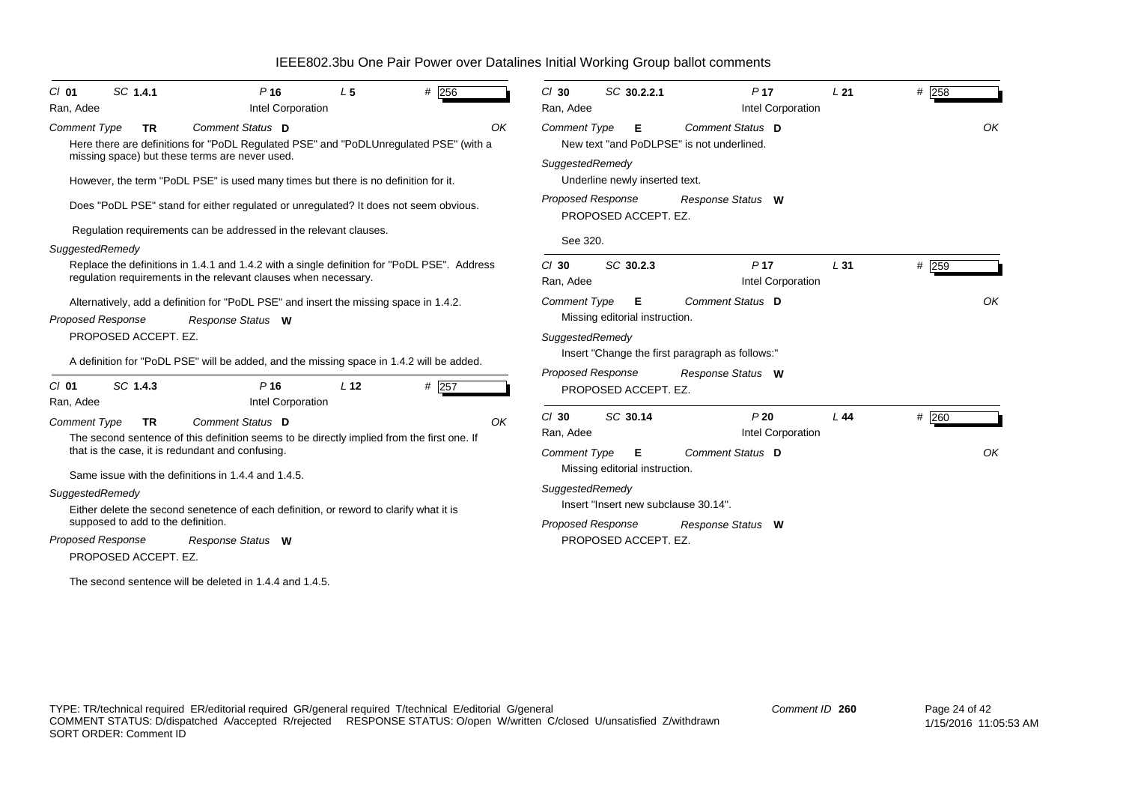| SC 1.4.1<br>$Cl$ 01<br>Ran, Adee                      | P <sub>16</sub><br>Intel Corporation                                                                                                                                                                                                              | L <sub>5</sub>  | # $256$ | $Cl$ 30<br>Ran, Adee                              | SC 30.2.2.1                                                                 | P <sub>17</sub><br>Intel Corporation                                                            | L21             | # 258       |
|-------------------------------------------------------|---------------------------------------------------------------------------------------------------------------------------------------------------------------------------------------------------------------------------------------------------|-----------------|---------|---------------------------------------------------|-----------------------------------------------------------------------------|-------------------------------------------------------------------------------------------------|-----------------|-------------|
| <b>Comment Type</b><br><b>TR</b>                      | Comment Status D<br>Here there are definitions for "PoDL Regulated PSE" and "PoDLUnregulated PSE" (with a<br>missing space) but these terms are never used.<br>However, the term "PoDL PSE" is used many times but there is no definition for it. |                 |         | OK<br><b>Comment Type</b>                         | Е<br>SuggestedRemedy<br>Underline newly inserted text.                      | Comment Status D<br>New text "and PoDLPSE" is not underlined.                                   |                 | OK          |
|                                                       | Does "PoDL PSE" stand for either regulated or unregulated? It does not seem obvious.                                                                                                                                                              |                 |         |                                                   | <b>Proposed Response</b><br>PROPOSED ACCEPT. EZ.                            | Response Status W                                                                               |                 |             |
| SuggestedRemedy                                       | Regulation requirements can be addressed in the relevant clauses.                                                                                                                                                                                 |                 |         | See 320.                                          |                                                                             |                                                                                                 |                 |             |
|                                                       | Replace the definitions in 1.4.1 and 1.4.2 with a single definition for "PoDL PSE". Address<br>regulation requirements in the relevant clauses when necessary.                                                                                    |                 |         | $Cl$ 30<br>Ran, Adee                              | SC 30.2.3                                                                   | P <sub>17</sub><br>Intel Corporation                                                            | L <sub>31</sub> | # 259       |
| <b>Proposed Response</b><br>PROPOSED ACCEPT. EZ.      | Alternatively, add a definition for "PoDL PSE" and insert the missing space in 1.4.2.<br>Response Status W<br>A definition for "PoDL PSE" will be added, and the missing space in 1.4.2 will be added.                                            |                 |         | <b>Comment Type</b>                               | Е<br>Missing editorial instruction.<br>SuggestedRemedy<br>Proposed Response | <b>Comment Status D</b><br>lnsert "Change the first paragraph as follows:"<br>Response Status W |                 | OK          |
| SC 1.4.3<br>$Cl$ 01<br>Ran, Adee                      | $P$ 16<br>Intel Corporation                                                                                                                                                                                                                       | L <sub>12</sub> | # 257   |                                                   | PROPOSED ACCEPT. EZ.                                                        |                                                                                                 |                 |             |
| <b>Comment Type</b><br>TR.                            | Comment Status D<br>The second sentence of this definition seems to be directly implied from the first one. If<br>that is the case, it is redundant and confusing.                                                                                |                 |         | $Cl$ 30<br>OK<br>Ran, Adee<br><b>Comment Type</b> | SC 30.14<br>Е                                                               | P20<br>Intel Corporation<br>Comment Status D                                                    | L44             | # 260<br>OK |
|                                                       | Same issue with the definitions in 1.4.4 and 1.4.5.                                                                                                                                                                                               |                 |         |                                                   | Missing editorial instruction.<br>SuggestedRemedy                           |                                                                                                 |                 |             |
| SuggestedRemedy<br>supposed to add to the definition. | Either delete the second senetence of each definition, or reword to clarify what it is                                                                                                                                                            |                 |         |                                                   | Insert "Insert new subclause 30.14".<br><b>Proposed Response</b>            | Response Status W                                                                               |                 |             |
| <b>Proposed Response</b><br>PROPOSED ACCEPT. EZ.      | Response Status W                                                                                                                                                                                                                                 |                 |         |                                                   | PROPOSED ACCEPT. EZ.                                                        |                                                                                                 |                 |             |
|                                                       | The second sentence will be deleted in 1.4.4 and 1.4.5.                                                                                                                                                                                           |                 |         |                                                   |                                                                             |                                                                                                 |                 |             |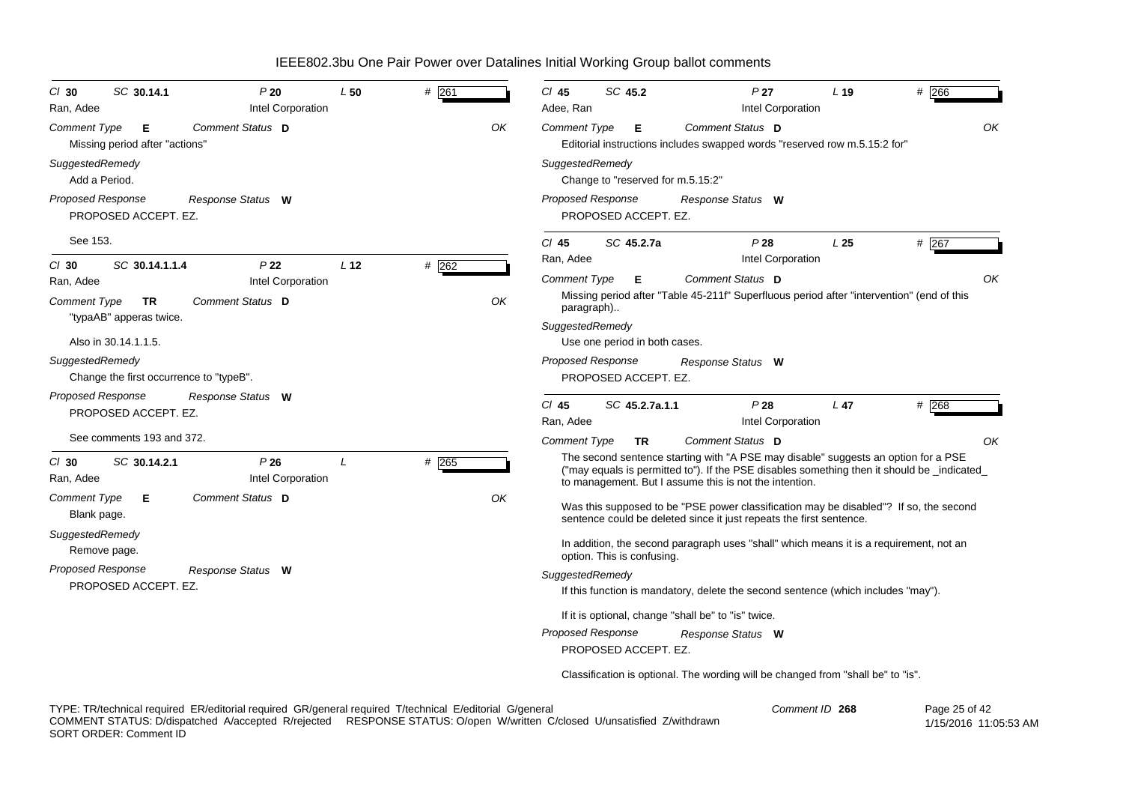| $CI$ 30<br>Ran, Adee                                                  | SC 30.14.1                              | P20<br>Intel Corporation             | L50             | $#$ 261 |    | C/ 45<br>Adee, Ran                                                                                                        | SC 45.2                                                                                              | P <sub>27</sub><br>Intel Corporation                                                                                                                                                                                                        | $L$ 19          | # 266   |  |
|-----------------------------------------------------------------------|-----------------------------------------|--------------------------------------|-----------------|---------|----|---------------------------------------------------------------------------------------------------------------------------|------------------------------------------------------------------------------------------------------|---------------------------------------------------------------------------------------------------------------------------------------------------------------------------------------------------------------------------------------------|-----------------|---------|--|
| Comment Type                                                          | Е<br>Missing period after "actions"     | Comment Status D                     |                 |         | ΟK | <b>Comment Type</b><br>Comment Status D<br>Е<br>Editorial instructions includes swapped words "reserved row m.5.15:2 for" |                                                                                                      |                                                                                                                                                                                                                                             |                 |         |  |
| SuggestedRemedy<br>Add a Period.                                      |                                         |                                      |                 |         |    | SuggestedRemedy                                                                                                           | Change to "reserved for m.5.15:2"                                                                    |                                                                                                                                                                                                                                             |                 |         |  |
| Proposed Response                                                     | PROPOSED ACCEPT. EZ.                    | Response Status W                    |                 |         |    | <b>Proposed Response</b>                                                                                                  | PROPOSED ACCEPT. EZ.                                                                                 | Response Status W                                                                                                                                                                                                                           |                 |         |  |
| See 153.                                                              |                                         |                                      |                 |         |    | $Cl$ 45                                                                                                                   | SC 45.2.7a                                                                                           | P28                                                                                                                                                                                                                                         | L25             | # 267   |  |
| $CI$ 30<br>Ran, Adee                                                  | SC 30.14.1.1.4                          | P <sub>22</sub><br>Intel Corporation | L <sub>12</sub> | # 262   |    | Ran, Adee<br>Comment Type                                                                                                 | Е                                                                                                    | Intel Corporation<br><b>Comment Status D</b>                                                                                                                                                                                                |                 | OK      |  |
| OK<br>Comment Status D<br>Comment Type<br>TR                          |                                         |                                      |                 |         |    | paragraph)                                                                                                                |                                                                                                      | Missing period after "Table 45-211f" Superfluous period after "intervention" (end of this                                                                                                                                                   |                 |         |  |
|                                                                       | "typaAB" apperas twice.                 |                                      |                 |         |    | SuggestedRemedy                                                                                                           |                                                                                                      |                                                                                                                                                                                                                                             |                 |         |  |
| SuggestedRemedy                                                       | Also in 30.14.1.1.5.                    |                                      |                 |         |    | <b>Proposed Response</b>                                                                                                  | Use one period in both cases.                                                                        | Response Status W                                                                                                                                                                                                                           |                 |         |  |
|                                                                       | Change the first occurrence to "typeB". |                                      |                 |         |    | PROPOSED ACCEPT. EZ.                                                                                                      |                                                                                                      |                                                                                                                                                                                                                                             |                 |         |  |
| <b>Proposed Response</b>                                              | PROPOSED ACCEPT. EZ.                    | Response Status W                    |                 |         |    | $CI$ 45<br>Ran, Adee                                                                                                      | SC 45.2.7a.1.1                                                                                       | P28<br>Intel Corporation                                                                                                                                                                                                                    | L <sub>47</sub> | $#$ 268 |  |
|                                                                       | See comments 193 and 372.               |                                      |                 |         |    | <b>Comment Type</b>                                                                                                       | <b>TR</b>                                                                                            | <b>Comment Status D</b>                                                                                                                                                                                                                     |                 | OK      |  |
| $CI$ 30<br>Ran, Adee                                                  | SC 30.14.2.1                            | P26<br>Intel Corporation             | L               | # 265   |    |                                                                                                                           |                                                                                                      | The second sentence starting with "A PSE may disable" suggests an option for a PSE<br>("may equals is permitted to"). If the PSE disables something then it should be _indicated_<br>to management. But I assume this is not the intention. |                 |         |  |
| Comment Type<br>Blank page.                                           | Е                                       | Comment Status D                     |                 |         | OK |                                                                                                                           |                                                                                                      | Was this supposed to be "PSE power classification may be disabled"? If so, the second<br>sentence could be deleted since it just repeats the first sentence.                                                                                |                 |         |  |
| SuggestedRemedy                                                       | Remove page.                            |                                      |                 |         |    |                                                                                                                           | option. This is confusing.                                                                           | In addition, the second paragraph uses "shall" which means it is a requirement, not an                                                                                                                                                      |                 |         |  |
| <b>Proposed Response</b><br>Response Status W<br>PROPOSED ACCEPT. EZ. |                                         |                                      |                 |         |    |                                                                                                                           | SuggestedRemedy<br>If this function is mandatory, delete the second sentence (which includes "may"). |                                                                                                                                                                                                                                             |                 |         |  |
|                                                                       |                                         |                                      |                 |         |    |                                                                                                                           |                                                                                                      | If it is optional, change "shall be" to "is" twice.                                                                                                                                                                                         |                 |         |  |
|                                                                       |                                         |                                      |                 |         |    | <b>Proposed Response</b>                                                                                                  | PROPOSED ACCEPT. EZ.                                                                                 | Response Status W                                                                                                                                                                                                                           |                 |         |  |
|                                                                       |                                         |                                      |                 |         |    |                                                                                                                           |                                                                                                      | Classification is optional. The wording will be changed from "shall be" to "is".                                                                                                                                                            |                 |         |  |

TYPE: TR/technical required ER/editorial required GR/general required T/technical E/editorial G/general COMMENT STATUS: D/dispatched A/accepted R/rejected RESPONSE STATUS: O/open W/written C/closed U/unsatisfied Z/withdrawn SORT ORDER: Comment ID *Comment ID* **268**

 Page 25 of 42 1/15/2016 11:05:53 AM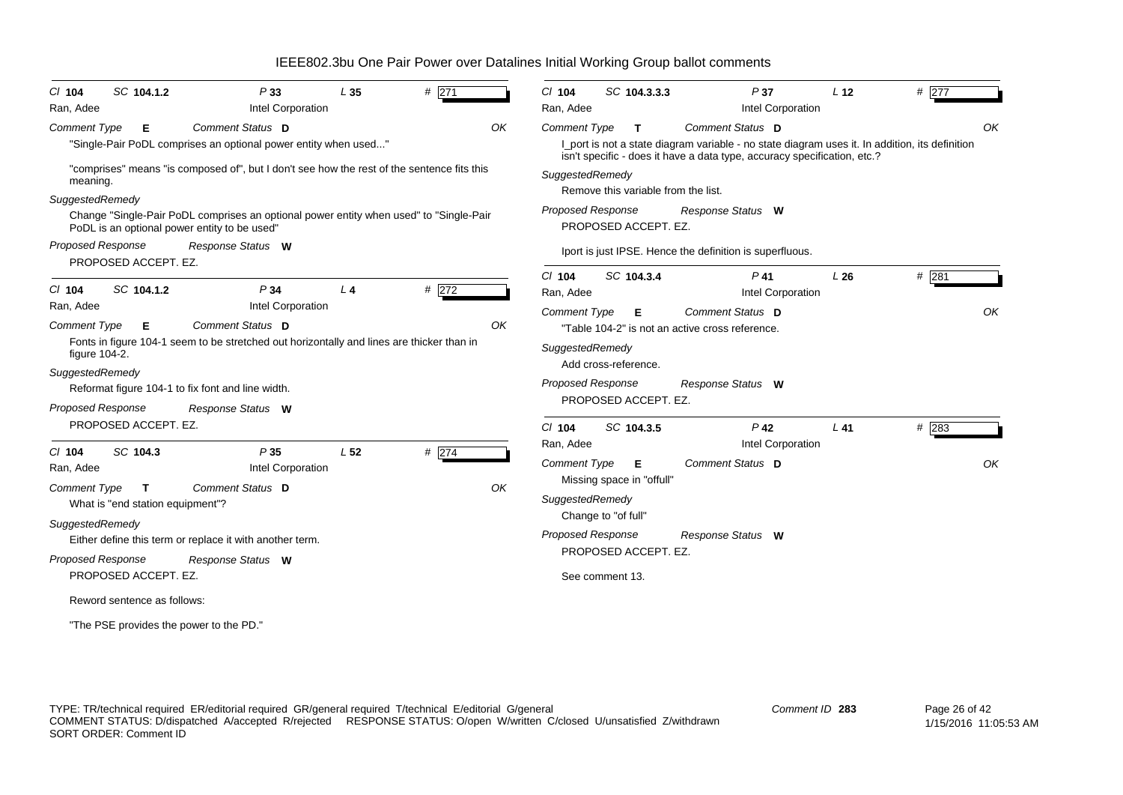| $Cl$ 104<br>Ran, Adee                                                | SC 104.1.2                                                   | P33<br>Intel Corporation                                                                                                                                                                | L <sub>35</sub> | # 271   |    | # $277$<br>SC 104.3.3.3<br>P37<br>$Cl$ 104<br>L <sub>12</sub><br>Intel Corporation<br>Ran, Adee                                                                                             |    |
|----------------------------------------------------------------------|--------------------------------------------------------------|-----------------------------------------------------------------------------------------------------------------------------------------------------------------------------------------|-----------------|---------|----|---------------------------------------------------------------------------------------------------------------------------------------------------------------------------------------------|----|
| <b>Comment Type</b>                                                  | Е                                                            | Comment Status D<br>"Single-Pair PoDL comprises an optional power entity when used"                                                                                                     |                 |         | OK | <b>Comment Type</b><br>Comment Status D<br>$\mathbf{T}$<br>I_port is not a state diagram variable - no state diagram uses it. In addition, its definition                                   | OK |
| meaning.<br>SuggestedRemedy                                          |                                                              | "comprises" means "is composed of", but I don't see how the rest of the sentence fits this<br>Change "Single-Pair PoDL comprises an optional power entity when used" to "Single-Pair    |                 |         |    | isn't specific - does it have a data type, accuracy specification, etc.?<br>SuggestedRemedy<br>Remove this variable from the list.<br>Proposed Response<br>Response Status W                |    |
| <b>Proposed Response</b>                                             | PROPOSED ACCEPT. EZ.                                         | PoDL is an optional power entity to be used"<br>Response Status W                                                                                                                       |                 |         |    | PROPOSED ACCEPT. EZ.<br>Iport is just IPSE. Hence the definition is superfluous.                                                                                                            |    |
| $CI$ 104                                                             | SC 104.1.2                                                   | P34                                                                                                                                                                                     | L <sub>4</sub>  | # $272$ |    | $Cl$ 104<br>SC 104.3.4<br>$P$ 41<br># 281<br>L26<br>Intel Corporation<br>Ran, Adee                                                                                                          |    |
| Ran, Adee<br><b>Comment Type</b><br>figure 104-2.<br>SuggestedRemedy | Е                                                            | Intel Corporation<br>Comment Status D<br>Fonts in figure 104-1 seem to be stretched out horizontally and lines are thicker than in<br>Reformat figure 104-1 to fix font and line width. |                 |         | OK | Comment Status D<br><b>Comment Type</b><br>E<br>"Table 104-2" is not an active cross reference.<br>SuggestedRemedy<br>Add cross-reference.<br><b>Proposed Response</b><br>Response Status W | OK |
| <b>Proposed Response</b>                                             | PROPOSED ACCEPT. EZ.                                         | Response Status W                                                                                                                                                                       |                 |         |    | PROPOSED ACCEPT. EZ.<br>$P$ 42<br># 283<br>$Cl$ 104<br>SC 104.3.5<br>$L$ 41                                                                                                                 |    |
| $Cl$ 104<br>Ran, Adee<br><b>Comment Type</b>                         | SC 104.3<br>$\mathbf{T}$<br>What is "end station equipment"? | P35<br>Intel Corporation<br><b>Comment Status D</b>                                                                                                                                     | L <sub>52</sub> | # 274   | OK | Intel Corporation<br>Ran, Adee<br>Comment Type<br>Comment Status D<br>Е<br>Missing space in "offull"<br>SuggestedRemedy<br>Change to "of full"                                              | OK |
| SuggestedRemedy<br>Proposed Response                                 | PROPOSED ACCEPT. EZ.                                         | Either define this term or replace it with another term.<br>Response Status W                                                                                                           |                 |         |    | <b>Proposed Response</b><br>Response Status W<br>PROPOSED ACCEPT. EZ.<br>See comment 13.                                                                                                    |    |
|                                                                      | Reword sentence as follows:                                  | "The PSE provides the power to the PD."                                                                                                                                                 |                 |         |    |                                                                                                                                                                                             |    |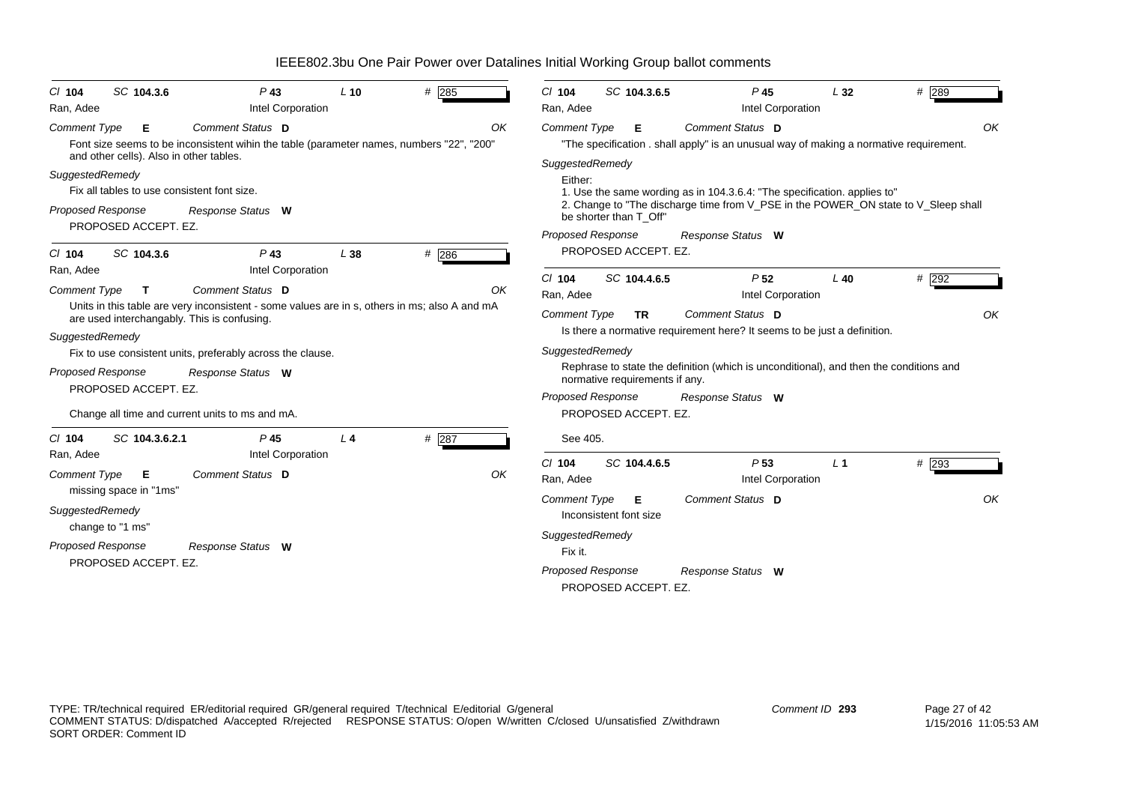| SC 104.3.6<br>$CI$ 104<br>Ran, Adee                                                                                                                                               | $P$ 43<br>Intel Corporation                                                                                                            | $L$ 10         | # 285       | SC 104.3.6.5<br>$P$ 45<br># 289<br>$CI$ 104<br>L32<br>Intel Corporation<br>Ran, Adee                                                                                                                                                                                    |
|-----------------------------------------------------------------------------------------------------------------------------------------------------------------------------------|----------------------------------------------------------------------------------------------------------------------------------------|----------------|-------------|-------------------------------------------------------------------------------------------------------------------------------------------------------------------------------------------------------------------------------------------------------------------------|
| <b>Comment Type</b><br>Е<br>and other cells). Also in other tables.                                                                                                               | Comment Status D<br>Font size seems to be inconsistent wihin the table (parameter names, numbers "22", "200"                           |                | OK          | Comment Status D<br><b>Comment Type</b><br>OK<br>Е<br>"The specification . shall apply" is an unusual way of making a normative requirement.                                                                                                                            |
| SuggestedRemedy<br>Fix all tables to use consistent font size.<br><b>Proposed Response</b><br>PROPOSED ACCEPT. EZ.                                                                | Response Status W                                                                                                                      |                |             | SuggestedRemedy<br>Either:<br>1. Use the same wording as in 104.3.6.4: "The specification. applies to"<br>2. Change to "The discharge time from V_PSE in the POWER_ON state to V_Sleep shall<br>be shorter than T Off"<br><b>Proposed Response</b><br>Response Status W |
| SC 104.3.6<br>$CI$ 104                                                                                                                                                            | $P$ 43                                                                                                                                 | L38            | $#$ 286     | PROPOSED ACCEPT. EZ.                                                                                                                                                                                                                                                    |
| Ran, Adee<br><b>Comment Type</b><br>T.<br>are used interchangably. This is confusing.                                                                                             | Intel Corporation<br>Comment Status D<br>Units in this table are very inconsistent - some values are in s, others in ms; also A and mA |                | OK          | P <sub>52</sub><br>$#$ 292<br>$CI$ 104<br>SC 104.4.6.5<br>$L$ 40<br>Intel Corporation<br>Ran, Adee<br>Comment Status D<br><b>Comment Type</b><br>OK<br><b>TR</b>                                                                                                        |
| SuggestedRemedy<br><b>Proposed Response</b><br>PROPOSED ACCEPT. EZ.                                                                                                               | Fix to use consistent units, preferably across the clause.<br>Response Status W                                                        |                |             | Is there a normative requirement here? It seems to be just a definition.<br>SuggestedRemedy<br>Rephrase to state the definition (which is unconditional), and then the conditions and<br>normative requirements if any.                                                 |
|                                                                                                                                                                                   | Change all time and current units to ms and mA.                                                                                        |                |             | <b>Proposed Response</b><br>Response Status W<br>PROPOSED ACCEPT. EZ.                                                                                                                                                                                                   |
| SC 104.3.6.2.1<br>$CI$ 104<br>Ran, Adee<br><b>Comment Type</b><br>Е<br>missing space in "1ms"<br>SuggestedRemedy<br>change to "1 ms"<br>Proposed Response<br>PROPOSED ACCEPT. EZ. | P <sub>45</sub><br>Intel Corporation<br>Comment Status D<br>Response Status W                                                          | L <sub>4</sub> | # 287<br>OK | See 405.<br>$Cl$ 104<br>SC 104.4.6.5<br>P <sub>53</sub><br># 293<br>L <sub>1</sub><br>Intel Corporation<br>Ran, Adee<br>Comment Status D<br><b>Comment Type</b><br>OK<br>Е<br>Inconsistent font size<br>SuggestedRemedy<br>Fix it.                                      |
|                                                                                                                                                                                   |                                                                                                                                        |                |             | Proposed Response<br>Response Status W<br>PROPOSED ACCEPT. EZ.                                                                                                                                                                                                          |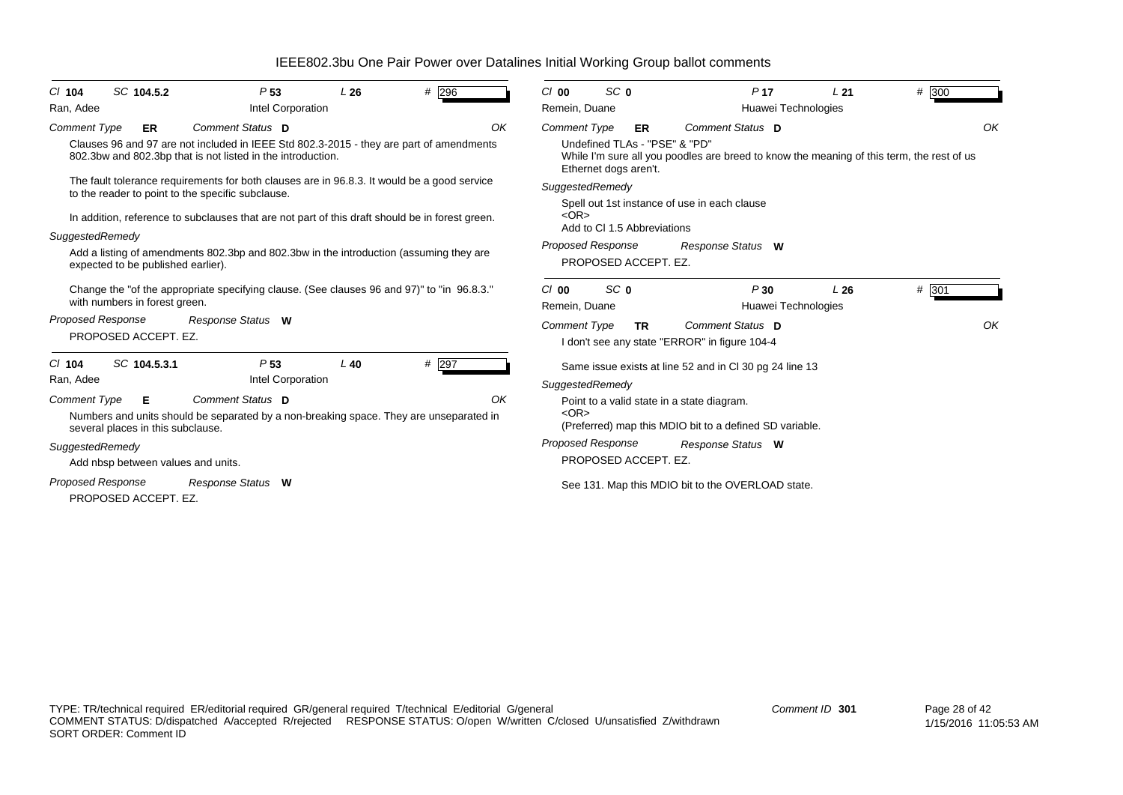| SC 104.5.2<br>$CI$ 104                                                                                                                                                                                                                                                                                                                                                                                 | P <sub>53</sub><br>L26                         | #296        | SC <sub>0</sub><br>$Cl$ 00                                                                                                                                                            | P <sub>17</sub>                                                                                                                                                                              | L21 | # 300       |  |  |
|--------------------------------------------------------------------------------------------------------------------------------------------------------------------------------------------------------------------------------------------------------------------------------------------------------------------------------------------------------------------------------------------------------|------------------------------------------------|-------------|---------------------------------------------------------------------------------------------------------------------------------------------------------------------------------------|----------------------------------------------------------------------------------------------------------------------------------------------------------------------------------------------|-----|-------------|--|--|
| Ran, Adee                                                                                                                                                                                                                                                                                                                                                                                              | Intel Corporation                              |             | Remein, Duane                                                                                                                                                                         | Huawei Technologies                                                                                                                                                                          |     |             |  |  |
| Comment Status D<br><b>Comment Type</b><br><b>ER</b><br>Clauses 96 and 97 are not included in IEEE Std 802.3-2015 - they are part of amendments<br>802.3bw and 802.3bp that is not listed in the introduction.                                                                                                                                                                                         |                                                | OK          | <b>Comment Type</b><br>ER<br>Undefined TLAs - "PSE" & "PD"<br>Ethernet dogs aren't.                                                                                                   | Comment Status D<br>While I'm sure all you poodles are breed to know the meaning of this term, the rest of us                                                                                |     | OK          |  |  |
| The fault tolerance requirements for both clauses are in 96.8.3. It would be a good service<br>to the reader to point to the specific subclause.<br>In addition, reference to subclauses that are not part of this draft should be in forest green.<br>SuggestedRemedy<br>Add a listing of amendments 802.3bp and 802.3bw in the introduction (assuming they are<br>expected to be published earlier). |                                                |             | SuggestedRemedy<br>Spell out 1st instance of use in each clause<br>$<$ OR $>$<br>Add to CI 1.5 Abbreviations<br><b>Proposed Response</b><br>Response Status W<br>PROPOSED ACCEPT. EZ. |                                                                                                                                                                                              |     |             |  |  |
| Change the "of the appropriate specifying clause. (See clauses 96 and 97)" to "in 96.8.3."<br>with numbers in forest green.<br>Proposed Response<br>Response Status W<br>PROPOSED ACCEPT. EZ.                                                                                                                                                                                                          |                                                |             | SC <sub>0</sub><br>$Cl$ 00<br>Remein, Duane<br><b>Comment Type</b><br><b>TR</b>                                                                                                       | P30<br>Huawei Technologies<br>Comment Status D<br>I don't see any state "ERROR" in figure 104-4                                                                                              | L26 | # 301<br>OK |  |  |
| SC 104.5.3.1<br>$CI$ 104<br>Ran, Adee<br>Comment Status D<br><b>Comment Type</b><br>E.<br>Numbers and units should be separated by a non-breaking space. They are unseparated in<br>several places in this subclause.<br>SuggestedRemedy<br>Add nbsp between values and units.<br><b>Proposed Response</b><br>Response Status W<br>PROPOSED ACCEPT. EZ.                                                | P <sub>53</sub><br>$L$ 40<br>Intel Corporation | # 297<br>OK | SuggestedRemedy<br>Point to a valid state in a state diagram.<br>$<$ OR $>$<br><b>Proposed Response</b><br>PROPOSED ACCEPT. EZ.                                                       | Same issue exists at line 52 and in CI 30 pg 24 line 13<br>(Preferred) map this MDIO bit to a defined SD variable.<br>Response Status W<br>See 131. Map this MDIO bit to the OVERLOAD state. |     |             |  |  |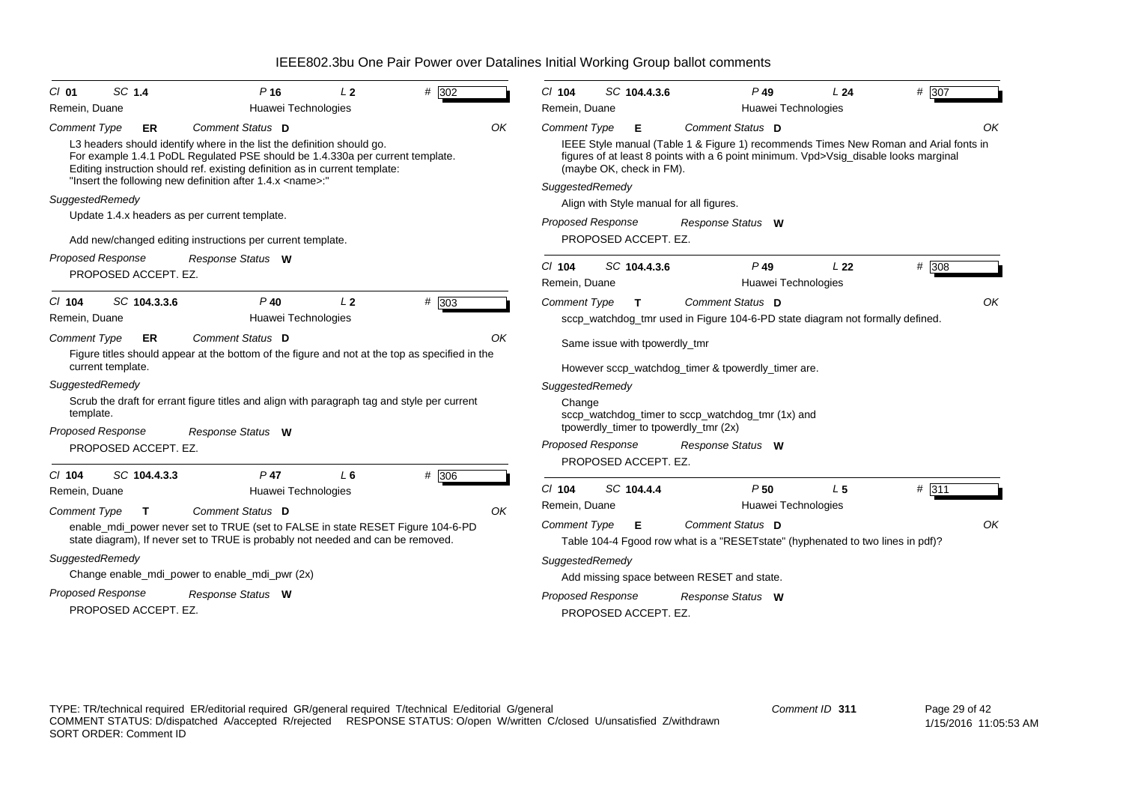| $Cl$ 01                  | SC 1.4               | $P$ 16                                                                                                                                                             | L <sub>2</sub> | # 302 | $CI$ 104                  | SC 104.4.3.6                                     | $P$ 49                                                                                                   | L24                                    | # 307 |
|--------------------------|----------------------|--------------------------------------------------------------------------------------------------------------------------------------------------------------------|----------------|-------|---------------------------|--------------------------------------------------|----------------------------------------------------------------------------------------------------------|----------------------------------------|-------|
| Remein, Duane            |                      | Huawei Technologies                                                                                                                                                |                |       | Remein, Duane             |                                                  |                                                                                                          | Huawei Technologies                    |       |
| <b>Comment Type</b>      | <b>ER</b>            | Comment Status D<br>L3 headers should identify where in the list the definition should go.                                                                         |                | OK    | <b>Comment Type</b>       | Е                                                | Comment Status D<br>IEEE Style manual (Table 1 & Figure 1) recommends Times New Roman and Arial fonts in |                                        | ΟK    |
|                          |                      | For example 1.4.1 PoDL Regulated PSE should be 1.4.330a per current template.<br>Editing instruction should ref. existing definition as in current template:       |                |       |                           | (maybe OK, check in FM).                         | figures of at least 8 points with a 6 point minimum. Vpd>Vsig_disable looks marginal                     |                                        |       |
|                          |                      | "Insert the following new definition after 1.4.x <name>:"</name>                                                                                                   |                |       | SuggestedRemedy           |                                                  |                                                                                                          |                                        |       |
| SuggestedRemedy          |                      |                                                                                                                                                                    |                |       |                           |                                                  | Align with Style manual for all figures.                                                                 |                                        |       |
|                          |                      | Update 1.4.x headers as per current template.                                                                                                                      |                |       |                           | Proposed Response                                | Response Status W                                                                                        |                                        |       |
|                          |                      | Add new/changed editing instructions per current template.                                                                                                         |                |       |                           | PROPOSED ACCEPT. EZ.                             |                                                                                                          |                                        |       |
| <b>Proposed Response</b> | PROPOSED ACCEPT. EZ. | Response Status W                                                                                                                                                  |                |       | $Cl$ 104<br>Remein, Duane | SC 104.4.3.6                                     | $P$ 49                                                                                                   | L <sub>22</sub><br>Huawei Technologies | # 308 |
| $CI$ 104                 | SC 104.3.3.6         | $P$ 40                                                                                                                                                             | L <sub>2</sub> | # 303 | <b>Comment Type</b>       | $\mathbf{T}$                                     | Comment Status D                                                                                         |                                        | OK    |
| Remein, Duane            |                      | Huawei Technologies                                                                                                                                                |                |       |                           |                                                  | sccp_watchdog_tmr used in Figure 104-6-PD state diagram not formally defined.                            |                                        |       |
| <b>Comment Type</b>      | ER                   | Comment Status D<br>Figure titles should appear at the bottom of the figure and not at the top as specified in the                                                 |                | OK    |                           | Same issue with tpowerdly_tmr                    |                                                                                                          |                                        |       |
| current template.        |                      |                                                                                                                                                                    |                |       |                           |                                                  | However sccp_watchdog_timer & tpowerdly_timer are.                                                       |                                        |       |
| SuggestedRemedy          |                      |                                                                                                                                                                    |                |       | SuggestedRemedy           |                                                  |                                                                                                          |                                        |       |
| template.                |                      | Scrub the draft for errant figure titles and align with paragraph tag and style per current                                                                        |                |       | Change                    |                                                  | sccp_watchdog_timer to sccp_watchdog_tmr (1x) and                                                        |                                        |       |
| <b>Proposed Response</b> |                      | Response Status W                                                                                                                                                  |                |       |                           |                                                  | tpowerdly_timer to tpowerdly_tmr (2x)                                                                    |                                        |       |
|                          | PROPOSED ACCEPT. EZ. |                                                                                                                                                                    |                |       |                           | <b>Proposed Response</b><br>PROPOSED ACCEPT. EZ. | Response Status W                                                                                        |                                        |       |
| $CI$ 104                 | SC 104.4.3.3         | $P$ 47                                                                                                                                                             | L <sub>6</sub> | # 306 |                           |                                                  |                                                                                                          |                                        |       |
| Remein, Duane            |                      | Huawei Technologies                                                                                                                                                |                |       | $Cl$ 104                  | SC 104.4.4                                       | P50                                                                                                      | L <sub>5</sub>                         | # 311 |
| <b>Comment Type</b>      | $\mathbf{T}$         | <b>Comment Status D</b>                                                                                                                                            |                | OK    | Remein, Duane             |                                                  |                                                                                                          | Huawei Technologies                    |       |
|                          |                      | enable_mdi_power never set to TRUE (set to FALSE in state RESET Figure 104-6-PD<br>state diagram), If never set to TRUE is probably not needed and can be removed. |                |       | <b>Comment Type</b>       | Е                                                | Comment Status D<br>Table 104-4 Fgood row what is a "RESET state" (hyphenated to two lines in pdf)?      |                                        | OK    |
| SuggestedRemedy          |                      |                                                                                                                                                                    |                |       | SuggestedRemedy           |                                                  |                                                                                                          |                                        |       |
|                          |                      | Change enable_mdi_power to enable_mdi_pwr (2x)                                                                                                                     |                |       |                           |                                                  | Add missing space between RESET and state.                                                               |                                        |       |
| <b>Proposed Response</b> |                      | Response Status W                                                                                                                                                  |                |       |                           | <b>Proposed Response</b>                         | Response Status W                                                                                        |                                        |       |
|                          | PROPOSED ACCEPT. EZ. |                                                                                                                                                                    |                |       |                           | PROPOSED ACCEPT. EZ.                             |                                                                                                          |                                        |       |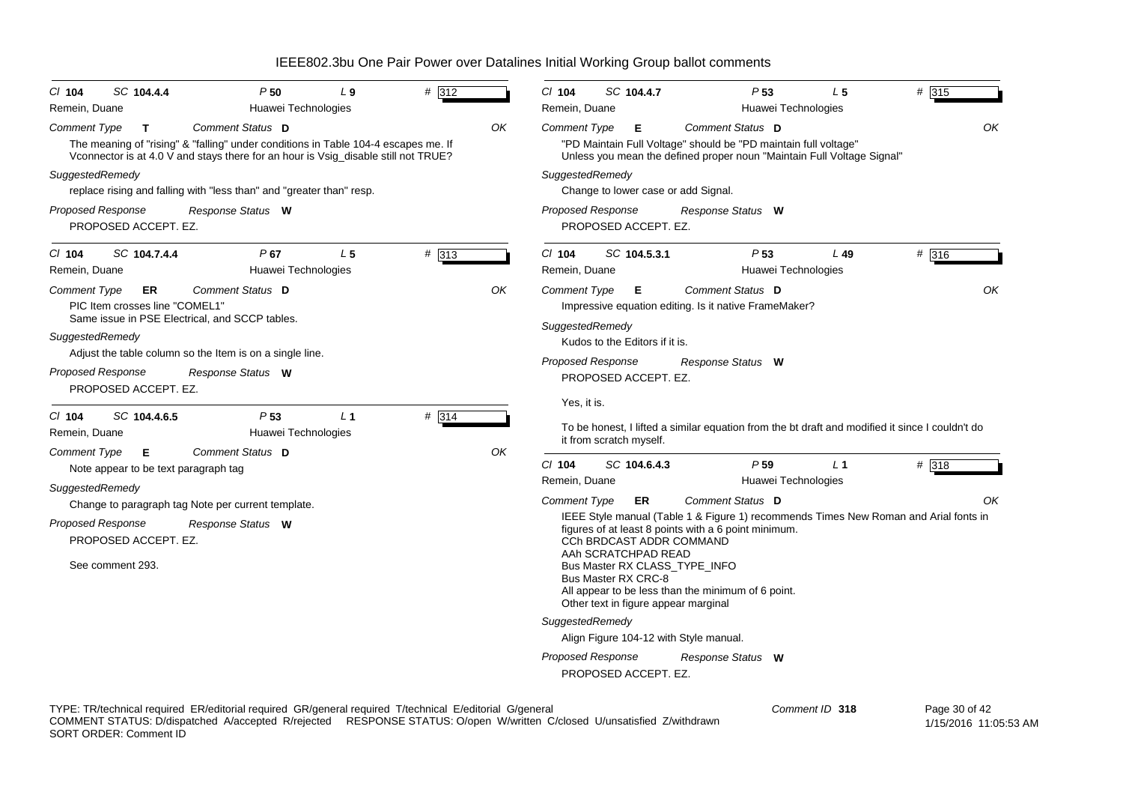| # 312<br>P50<br>SC 104.4.4<br>$L_{9}$<br>$CI$ 104<br>Remein, Duane<br>Huawei Technologies                                                                                                                                                                                                                                                                                              | P <sub>53</sub><br># 315<br>$CI$ 104<br>SC 104.4.7<br>L <sub>5</sub><br>Remein, Duane<br>Huawei Technologies                                                                                                                                                                                                                                                                                                                                                                                                                                                                                                                                                |
|----------------------------------------------------------------------------------------------------------------------------------------------------------------------------------------------------------------------------------------------------------------------------------------------------------------------------------------------------------------------------------------|-------------------------------------------------------------------------------------------------------------------------------------------------------------------------------------------------------------------------------------------------------------------------------------------------------------------------------------------------------------------------------------------------------------------------------------------------------------------------------------------------------------------------------------------------------------------------------------------------------------------------------------------------------------|
| Comment Status D<br>Comment Type<br>T.<br>The meaning of "rising" & "falling" under conditions in Table 104-4 escapes me. If<br>Vconnector is at 4.0 V and stays there for an hour is Vsig_disable still not TRUE?<br>SuggestedRemedy<br>replace rising and falling with "less than" and "greater than" resp.<br><b>Proposed Response</b><br>Response Status W<br>PROPOSED ACCEPT. EZ. | OK<br>Comment Status D<br><b>Comment Type</b><br>E.<br>"PD Maintain Full Voltage" should be "PD maintain full voltage"<br>Unless you mean the defined proper noun "Maintain Full Voltage Signal"<br>SuggestedRemedy<br>Change to lower case or add Signal.<br><b>Proposed Response</b><br>Response Status W<br>PROPOSED ACCEPT. EZ.                                                                                                                                                                                                                                                                                                                         |
| # 313<br>SC 104.7.4.4<br>P67<br>L <sub>5</sub><br>$CI$ 104<br>Remein, Duane<br>Huawei Technologies                                                                                                                                                                                                                                                                                     | # 316<br>$CI$ 104<br>SC 104.5.3.1<br>P <sub>53</sub><br>$L$ 49<br>Remein, Duane<br>Huawei Technologies                                                                                                                                                                                                                                                                                                                                                                                                                                                                                                                                                      |
| Comment Status D<br>Comment Type<br>ER<br>PIC Item crosses line "COMEL1"<br>Same issue in PSE Electrical, and SCCP tables.<br>SuggestedRemedy<br>Adjust the table column so the Item is on a single line.<br>Proposed Response<br>Response Status W<br>PROPOSED ACCEPT. EZ.                                                                                                            | OK<br>Comment Status D<br><b>Comment Type</b><br>Е.<br>Impressive equation editing. Is it native FrameMaker?<br>SuggestedRemedy<br>Kudos to the Editors if it is.<br><b>Proposed Response</b><br>Response Status W<br>PROPOSED ACCEPT. EZ.<br>Yes, it is.                                                                                                                                                                                                                                                                                                                                                                                                   |
| # 314<br>P <sub>53</sub><br>$CI$ 104<br>SC 104.4.6.5<br>$L_1$<br>Huawei Technologies<br>Remein, Duane                                                                                                                                                                                                                                                                                  | To be honest, I lifted a similar equation from the bt draft and modified it since I couldn't do<br>it from scratch myself.                                                                                                                                                                                                                                                                                                                                                                                                                                                                                                                                  |
| Comment Status D<br>Comment Type<br>Е<br>Note appear to be text paragraph tag<br>SuggestedRemedy<br>Change to paragraph tag Note per current template.<br><b>Proposed Response</b><br>Response Status W<br>PROPOSED ACCEPT. EZ.<br>See comment 293.                                                                                                                                    | OK<br>$CI$ 104<br>P <sub>59</sub><br># 318<br>SC 104.6.4.3<br>$L_1$<br>Remein, Duane<br>Huawei Technologies<br>Comment Status D<br><b>Comment Type</b><br>ER<br>IEEE Style manual (Table 1 & Figure 1) recommends Times New Roman and Arial fonts in<br>figures of at least 8 points with a 6 point minimum.<br><b>CCh BRDCAST ADDR COMMAND</b><br>AAh SCRATCHPAD READ<br>Bus Master RX CLASS_TYPE_INFO<br>Bus Master RX CRC-8<br>All appear to be less than the minimum of 6 point.<br>Other text in figure appear marginal<br>SuggestedRemedy<br>Align Figure 104-12 with Style manual.<br>Proposed Response<br>Response Status W<br>PROPOSED ACCEPT. EZ. |

TYPE: TR/technical required ER/editorial required GR/general required T/technical E/editorial G/general COMMENT STATUS: D/dispatched A/accepted R/rejected RESPONSE STATUS: O/open W/written C/closed U/unsatisfied Z/withdrawn SORT ORDER: Comment ID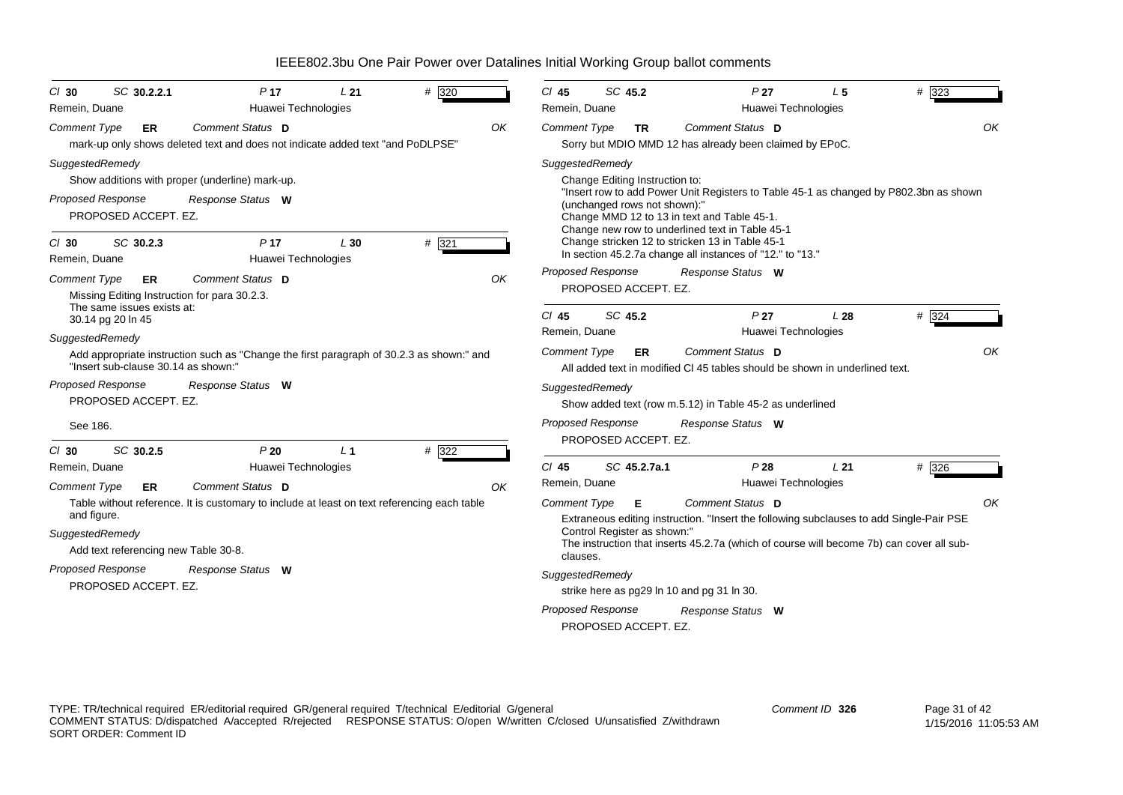| $Cl$ 30                  | SC 30.2.2.1                          | P <sub>17</sub>                                                                             | L21            | # 320 | $Cl$ 45             | SC 45.2                        | P <sub>27</sub>                                                                                              | L <sub>5</sub>      | # 323 |
|--------------------------|--------------------------------------|---------------------------------------------------------------------------------------------|----------------|-------|---------------------|--------------------------------|--------------------------------------------------------------------------------------------------------------|---------------------|-------|
| Remein, Duane            |                                      | Huawei Technologies                                                                         |                |       | Remein, Duane       |                                |                                                                                                              | Huawei Technologies |       |
| <b>Comment Type</b>      | <b>ER</b>                            | Comment Status D                                                                            |                | OK    | Comment Type        | <b>TR</b>                      | Comment Status D                                                                                             |                     | OK    |
|                          |                                      | mark-up only shows deleted text and does not indicate added text "and PoDLPSE"              |                |       |                     |                                | Sorry but MDIO MMD 12 has already been claimed by EPoC.                                                      |                     |       |
| SuggestedRemedy          |                                      |                                                                                             |                |       |                     | SuggestedRemedy                |                                                                                                              |                     |       |
|                          |                                      | Show additions with proper (underline) mark-up.                                             |                |       |                     | Change Editing Instruction to: |                                                                                                              |                     |       |
| <b>Proposed Response</b> |                                      | Response Status W                                                                           |                |       |                     | (unchanged rows not shown):"   | "Insert row to add Power Unit Registers to Table 45-1 as changed by P802.3bn as shown                        |                     |       |
|                          | PROPOSED ACCEPT. EZ.                 |                                                                                             |                |       |                     |                                | Change MMD 12 to 13 in text and Table 45-1.                                                                  |                     |       |
|                          |                                      |                                                                                             |                |       |                     |                                | Change new row to underlined text in Table 45-1                                                              |                     |       |
| $Cl$ 30                  | SC 30.2.3                            | P <sub>17</sub>                                                                             | L30            | # 321 |                     |                                | Change stricken 12 to stricken 13 in Table 45-1<br>In section 45.2.7a change all instances of "12." to "13." |                     |       |
| Remein, Duane            |                                      | Huawei Technologies                                                                         |                |       |                     | <b>Proposed Response</b>       | Response Status W                                                                                            |                     |       |
| <b>Comment Type</b>      | ER                                   | Comment Status D                                                                            |                | OK    |                     | PROPOSED ACCEPT. EZ.           |                                                                                                              |                     |       |
|                          | The same issues exists at:           | Missing Editing Instruction for para 30.2.3.                                                |                |       |                     |                                |                                                                                                              |                     |       |
|                          | 30.14 pg 20 ln 45                    |                                                                                             |                |       | $CI$ 45             | SC 45.2                        | P <sub>27</sub>                                                                                              | L28                 | # 324 |
| SuggestedRemedy          |                                      |                                                                                             |                |       | Remein, Duane       |                                |                                                                                                              | Huawei Technologies |       |
|                          | "Insert sub-clause 30.14 as shown:"  | Add appropriate instruction such as "Change the first paragraph of 30.2.3 as shown:" and    |                |       | <b>Comment Type</b> | ER                             | Comment Status D<br>All added text in modified CI 45 tables should be shown in underlined text.              |                     | OK    |
| <b>Proposed Response</b> |                                      | Response Status W                                                                           |                |       |                     | SuggestedRemedy                |                                                                                                              |                     |       |
|                          | PROPOSED ACCEPT. EZ.                 |                                                                                             |                |       |                     |                                | Show added text (row m.5.12) in Table 45-2 as underlined                                                     |                     |       |
| See 186.                 |                                      |                                                                                             |                |       |                     | Proposed Response              | Response Status W                                                                                            |                     |       |
| $Cl$ 30                  | SC 30.2.5                            | P20                                                                                         | L <sub>1</sub> | # 322 |                     | PROPOSED ACCEPT. EZ.           |                                                                                                              |                     |       |
| Remein, Duane            |                                      | Huawei Technologies                                                                         |                |       | $Cl$ 45             | SC 45.2.7a.1                   | P28                                                                                                          | L21                 | # 326 |
| <b>Comment Type</b>      | ER                                   | Comment Status D                                                                            |                | OK    | Remein, Duane       |                                |                                                                                                              | Huawei Technologies |       |
|                          |                                      | Table without reference. It is customary to include at least on text referencing each table |                |       | <b>Comment Type</b> | Е                              | Comment Status D                                                                                             |                     | OK    |
| and figure.              |                                      |                                                                                             |                |       |                     |                                | Extraneous editing instruction. "Insert the following subclauses to add Single-Pair PSE                      |                     |       |
| SuggestedRemedy          |                                      |                                                                                             |                |       |                     | Control Register as shown:"    |                                                                                                              |                     |       |
|                          | Add text referencing new Table 30-8. |                                                                                             |                |       | clauses.            |                                | The instruction that inserts 45.2.7a (which of course will become 7b) can cover all sub-                     |                     |       |
| <b>Proposed Response</b> |                                      | Response Status W                                                                           |                |       |                     | SuggestedRemedy                |                                                                                                              |                     |       |
|                          | PROPOSED ACCEPT. EZ.                 |                                                                                             |                |       |                     |                                | strike here as pg29 ln 10 and pg 31 ln 30.                                                                   |                     |       |
|                          |                                      |                                                                                             |                |       |                     | <b>Proposed Response</b>       | Response Status W                                                                                            |                     |       |
|                          |                                      |                                                                                             |                |       |                     | PROPOSED ACCEPT. EZ.           |                                                                                                              |                     |       |
|                          |                                      |                                                                                             |                |       |                     |                                |                                                                                                              |                     |       |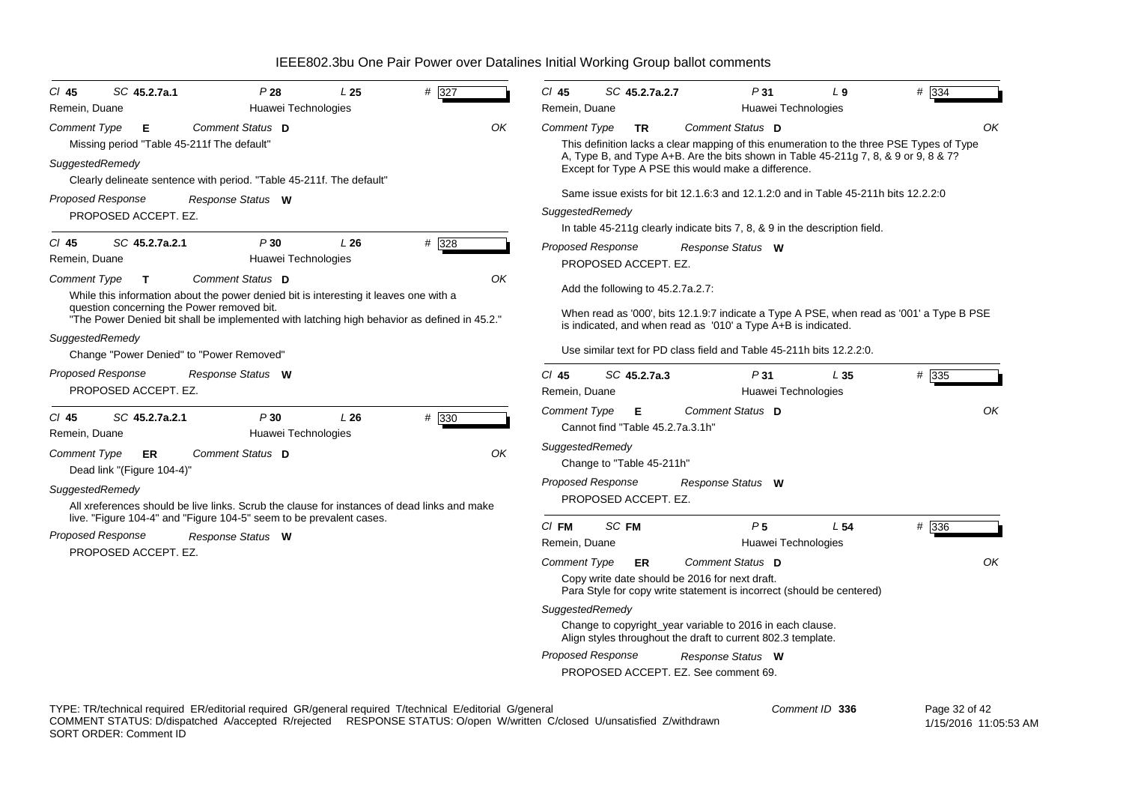| SC 45.2.7a.1<br>$CI$ 45                                                                                                                   | P28<br>L <sub>25</sub>            | # 327 | $Cl$ 45                                                                                                                                                   | SC 45.2.7a.2.7                        |                                                                                                                                                                                                           | P31                        | L <sub>9</sub>                                                                     | # 334          |  |
|-------------------------------------------------------------------------------------------------------------------------------------------|-----------------------------------|-------|-----------------------------------------------------------------------------------------------------------------------------------------------------------|---------------------------------------|-----------------------------------------------------------------------------------------------------------------------------------------------------------------------------------------------------------|----------------------------|------------------------------------------------------------------------------------|----------------|--|
| Remein, Duane                                                                                                                             | Huawei Technologies               |       | Remein, Duane                                                                                                                                             |                                       |                                                                                                                                                                                                           | Huawei Technologies        |                                                                                    |                |  |
| <b>Comment Type</b><br>Е<br>Missing period "Table 45-211f The default"                                                                    | Comment Status D                  | OK    | <b>Comment Type</b>                                                                                                                                       | <b>TR</b>                             | Comment Status D<br>OK<br>This definition lacks a clear mapping of this enumeration to the three PSE Types of Type<br>A, Type B, and Type A+B. Are the bits shown in Table 45-211g 7, 8, & 9 or 9, 8 & 7? |                            |                                                                                    |                |  |
| SuggestedRemedy<br>Clearly delineate sentence with period. "Table 45-211f. The default"                                                   |                                   |       |                                                                                                                                                           |                                       | Except for Type A PSE this would make a difference.                                                                                                                                                       |                            |                                                                                    |                |  |
| <b>Proposed Response</b>                                                                                                                  | Response Status W                 |       |                                                                                                                                                           |                                       |                                                                                                                                                                                                           |                            | Same issue exists for bit 12.1.6:3 and 12.1.2:0 and in Table 45-211h bits 12.2.2:0 |                |  |
| PROPOSED ACCEPT. EZ.                                                                                                                      |                                   |       |                                                                                                                                                           | SuggestedRemedy                       |                                                                                                                                                                                                           |                            |                                                                                    |                |  |
|                                                                                                                                           |                                   |       |                                                                                                                                                           |                                       | In table 45-211g clearly indicate bits 7, 8, & 9 in the description field.                                                                                                                                |                            |                                                                                    |                |  |
| $CI$ 45<br>SC 45.2.7a.2.1<br>Remein, Duane                                                                                                | P30<br>L26<br>Huawei Technologies | # 328 | <b>Proposed Response</b>                                                                                                                                  | PROPOSED ACCEPT. EZ.                  | Response Status W                                                                                                                                                                                         |                            |                                                                                    |                |  |
| <b>Comment Type</b><br>Т<br>While this information about the power denied bit is interesting it leaves one with a                         | Comment Status D                  | ΟK    |                                                                                                                                                           | Add the following to 45.2.7a.2.7:     |                                                                                                                                                                                                           |                            |                                                                                    |                |  |
| question concerning the Power removed bit.<br>"The Power Denied bit shall be implemented with latching high behavior as defined in 45.2." |                                   |       | When read as '000', bits 12.1.9:7 indicate a Type A PSE, when read as '001' a Type B PSE<br>is indicated, and when read as '010' a Type A+B is indicated. |                                       |                                                                                                                                                                                                           |                            |                                                                                    |                |  |
| SuggestedRemedy<br>Change "Power Denied" to "Power Removed"                                                                               |                                   |       | Use similar text for PD class field and Table 45-211h bits 12.2.2:0.                                                                                      |                                       |                                                                                                                                                                                                           |                            |                                                                                    |                |  |
| Proposed Response<br>PROPOSED ACCEPT. EZ.                                                                                                 | Response Status W                 |       | $Cl$ 45<br>Remein, Duane                                                                                                                                  | SC 45.2.7a.3                          |                                                                                                                                                                                                           | P31<br>Huawei Technologies | L35                                                                                | # 335          |  |
| SC 45.2.7a.2.1<br>$CI$ 45<br>Remein, Duane                                                                                                | P30<br>L26<br>Huawei Technologies | # 330 | <b>Comment Type</b>                                                                                                                                       | Е<br>Cannot find "Table 45.2.7a.3.1h" | Comment Status D                                                                                                                                                                                          |                            |                                                                                    | OK             |  |
| <b>Comment Type</b><br>ER<br>Dead link "(Figure 104-4)"                                                                                   | Comment Status D                  | OK    | SuggestedRemedy                                                                                                                                           | Change to "Table 45-211h"             |                                                                                                                                                                                                           |                            |                                                                                    |                |  |
| SuggestedRemedy                                                                                                                           |                                   |       | <b>Proposed Response</b>                                                                                                                                  |                                       | Response Status W                                                                                                                                                                                         |                            |                                                                                    |                |  |
| All xreferences should be live links. Scrub the clause for instances of dead links and make                                               |                                   |       |                                                                                                                                                           | PROPOSED ACCEPT. EZ.                  |                                                                                                                                                                                                           |                            |                                                                                    |                |  |
| live. "Figure 104-4" and "Figure 104-5" seem to be prevalent cases.                                                                       |                                   |       | $CI$ FM                                                                                                                                                   | SC FM                                 |                                                                                                                                                                                                           | P <sub>5</sub>             | L <sub>54</sub>                                                                    | $# \sqrt{336}$ |  |
| <b>Proposed Response</b>                                                                                                                  | Response Status W                 |       | Remein, Duane                                                                                                                                             |                                       |                                                                                                                                                                                                           | Huawei Technologies        |                                                                                    |                |  |
| PROPOSED ACCEPT. EZ.                                                                                                                      |                                   |       | Comment Type                                                                                                                                              | ER                                    | Comment Status D                                                                                                                                                                                          |                            |                                                                                    | OK             |  |
|                                                                                                                                           |                                   |       |                                                                                                                                                           |                                       | Copy write date should be 2016 for next draft.<br>Para Style for copy write statement is incorrect (should be centered)                                                                                   |                            |                                                                                    |                |  |
|                                                                                                                                           |                                   |       | SuggestedRemedy                                                                                                                                           |                                       |                                                                                                                                                                                                           |                            |                                                                                    |                |  |
|                                                                                                                                           |                                   |       |                                                                                                                                                           |                                       | Change to copyright_year variable to 2016 in each clause.<br>Align styles throughout the draft to current 802.3 template.                                                                                 |                            |                                                                                    |                |  |
|                                                                                                                                           |                                   |       | <b>Proposed Response</b>                                                                                                                                  |                                       | Response Status W                                                                                                                                                                                         |                            |                                                                                    |                |  |
|                                                                                                                                           |                                   |       |                                                                                                                                                           |                                       | PROPOSED ACCEPT. EZ. See comment 69.                                                                                                                                                                      |                            |                                                                                    |                |  |
| TYPE: TR/technical required ER/editorial required GR/general required T/technical E/editorial G/general                                   |                                   |       |                                                                                                                                                           |                                       |                                                                                                                                                                                                           | Comment ID 336             |                                                                                    | Page 32 of 42  |  |

COMMENT STATUS: D/dispatched A/accepted R/rejected RESPONSE STATUS: O/open W/written C/closed U/unsatisfied Z/withdrawn SORT ORDER: Comment ID

1/15/2016 11:05:53 AM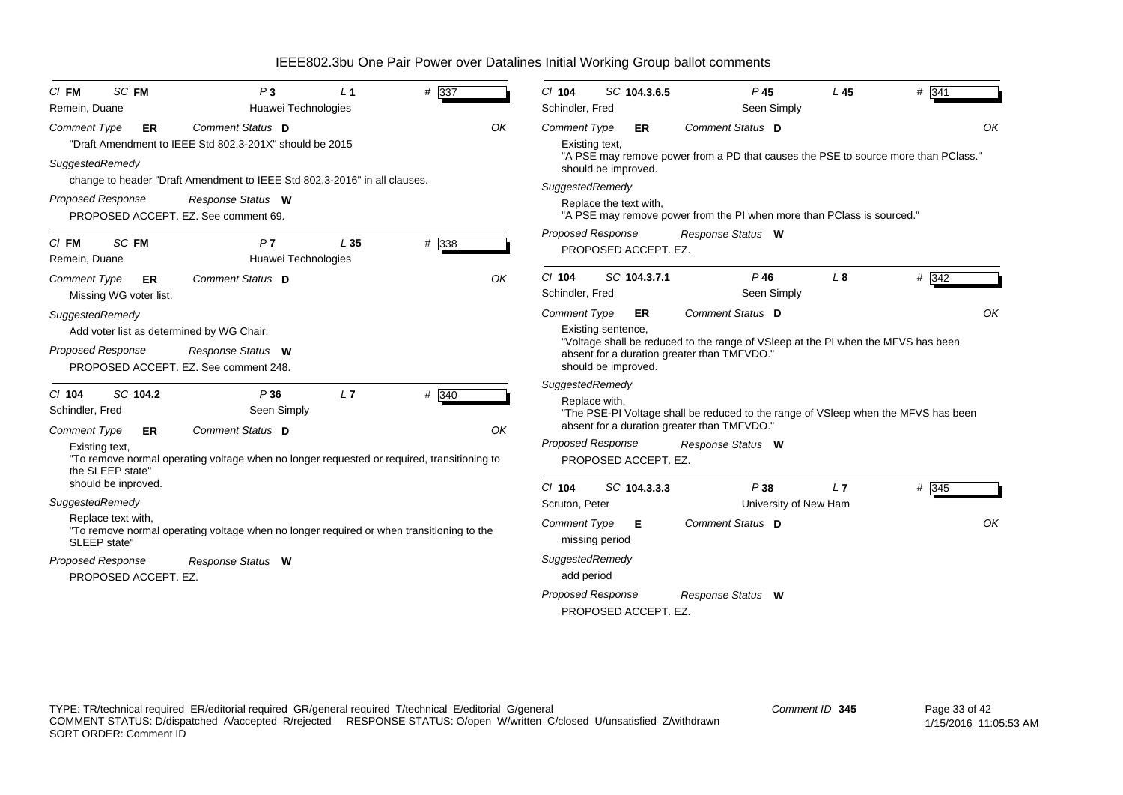| $C/I$ FM                                | SC FM                  | P <sub>3</sub>                                                                             | L <sub>1</sub>                         | # 337 |    | $Cl$ 104            | SC 104.3.6.5             | $P$ 45                                                                             | L45                   | # 341 |
|-----------------------------------------|------------------------|--------------------------------------------------------------------------------------------|----------------------------------------|-------|----|---------------------|--------------------------|------------------------------------------------------------------------------------|-----------------------|-------|
| Remein, Duane                           |                        |                                                                                            | Huawei Technologies                    |       |    | Schindler, Fred     |                          | Seen Simply                                                                        |                       |       |
| <b>Comment Type</b>                     | <b>ER</b>              | Comment Status D                                                                           |                                        |       | OK | <b>Comment Type</b> | <b>ER</b>                | Comment Status D                                                                   |                       | OK    |
|                                         |                        | "Draft Amendment to IEEE Std 802.3-201X" should be 2015                                    |                                        |       |    |                     | Existing text,           |                                                                                    |                       |       |
| SuggestedRemedy                         |                        | change to header "Draft Amendment to IEEE Std 802.3-2016" in all clauses.                  |                                        |       |    |                     | should be improved.      | "A PSE may remove power from a PD that causes the PSE to source more than PClass." |                       |       |
|                                         |                        |                                                                                            |                                        |       |    | SuggestedRemedy     |                          |                                                                                    |                       |       |
| <b>Proposed Response</b>                |                        | Response Status W<br>PROPOSED ACCEPT. EZ. See comment 69.                                  |                                        |       |    |                     | Replace the text with,   | "A PSE may remove power from the PI when more than PClass is sourced."             |                       |       |
|                                         |                        |                                                                                            |                                        |       |    |                     | Proposed Response        | Response Status W                                                                  |                       |       |
| $CI$ FM<br>Remein, Duane                | SC FM                  | P7                                                                                         | L <sub>35</sub><br>Huawei Technologies | # 338 |    |                     | PROPOSED ACCEPT. EZ.     |                                                                                    |                       |       |
| <b>Comment Type</b>                     | ER                     | Comment Status D                                                                           |                                        |       | OK | $Cl$ 104            | SC 104.3.7.1             | $P$ 46                                                                             | $L_{\rm 8}$           | # 342 |
|                                         | Missing WG voter list. |                                                                                            |                                        |       |    | Schindler, Fred     |                          | Seen Simply                                                                        |                       |       |
| SuggestedRemedy                         |                        |                                                                                            |                                        |       |    | <b>Comment Type</b> | ER                       | Comment Status D                                                                   |                       | OK    |
|                                         |                        | Add voter list as determined by WG Chair.                                                  |                                        |       |    |                     | Existing sentence,       |                                                                                    |                       |       |
| <b>Proposed Response</b>                |                        | Response Status W                                                                          |                                        |       |    |                     |                          | "Voltage shall be reduced to the range of VSIeep at the PI when the MFVS has been  |                       |       |
|                                         |                        | PROPOSED ACCEPT. EZ. See comment 248.                                                      |                                        |       |    |                     | should be improved.      | absent for a duration greater than TMFVDO."                                        |                       |       |
|                                         |                        |                                                                                            |                                        |       |    | SuggestedRemedy     |                          |                                                                                    |                       |       |
| $Cl$ 104                                | SC 104.2               | P36                                                                                        | L7                                     | # 340 |    |                     | Replace with.            |                                                                                    |                       |       |
| Schindler, Fred                         |                        | Seen Simply                                                                                |                                        |       |    |                     |                          | "The PSE-PI Voltage shall be reduced to the range of VSIeep when the MFVS has been |                       |       |
| <b>Comment Type</b>                     | ER                     | Comment Status D                                                                           |                                        |       | OK |                     |                          | absent for a duration greater than TMFVDO."                                        |                       |       |
| Existing text,                          |                        |                                                                                            |                                        |       |    |                     | <b>Proposed Response</b> | Response Status W                                                                  |                       |       |
|                                         |                        | "To remove normal operating voltage when no longer requested or required, transitioning to |                                        |       |    |                     | PROPOSED ACCEPT. EZ.     |                                                                                    |                       |       |
| the SLEEP state"<br>should be inproved. |                        |                                                                                            |                                        |       |    |                     |                          |                                                                                    |                       |       |
| SuggestedRemedy                         |                        |                                                                                            |                                        |       |    | $Cl$ 104            | SC 104.3.3.3             | P38                                                                                | L7                    | # 345 |
| Replace text with,                      |                        |                                                                                            |                                        |       |    | Scruton, Peter      |                          |                                                                                    | University of New Ham |       |
| SLEEP state"                            |                        | "To remove normal operating voltage when no longer required or when transitioning to the   |                                        |       |    | <b>Comment Type</b> | Е<br>missing period      | Comment Status D                                                                   |                       | OK    |
| Proposed Response                       |                        | Response Status W                                                                          |                                        |       |    | SuggestedRemedy     |                          |                                                                                    |                       |       |
|                                         | PROPOSED ACCEPT. EZ.   |                                                                                            |                                        |       |    | add period          |                          |                                                                                    |                       |       |
|                                         |                        |                                                                                            |                                        |       |    |                     | <b>Proposed Response</b> | Response Status W                                                                  |                       |       |
|                                         |                        |                                                                                            |                                        |       |    |                     | PROPOSED ACCEPT. EZ.     |                                                                                    |                       |       |
|                                         |                        |                                                                                            |                                        |       |    |                     |                          |                                                                                    |                       |       |

TYPE: TR/technical required ER/editorial required GR/general required T/technical E/editorial G/general COMMENT STATUS: D/dispatched A/accepted R/rejected RESPONSE STATUS: O/open W/written C/closed U/unsatisfied Z/withdrawn SORT ORDER: Comment ID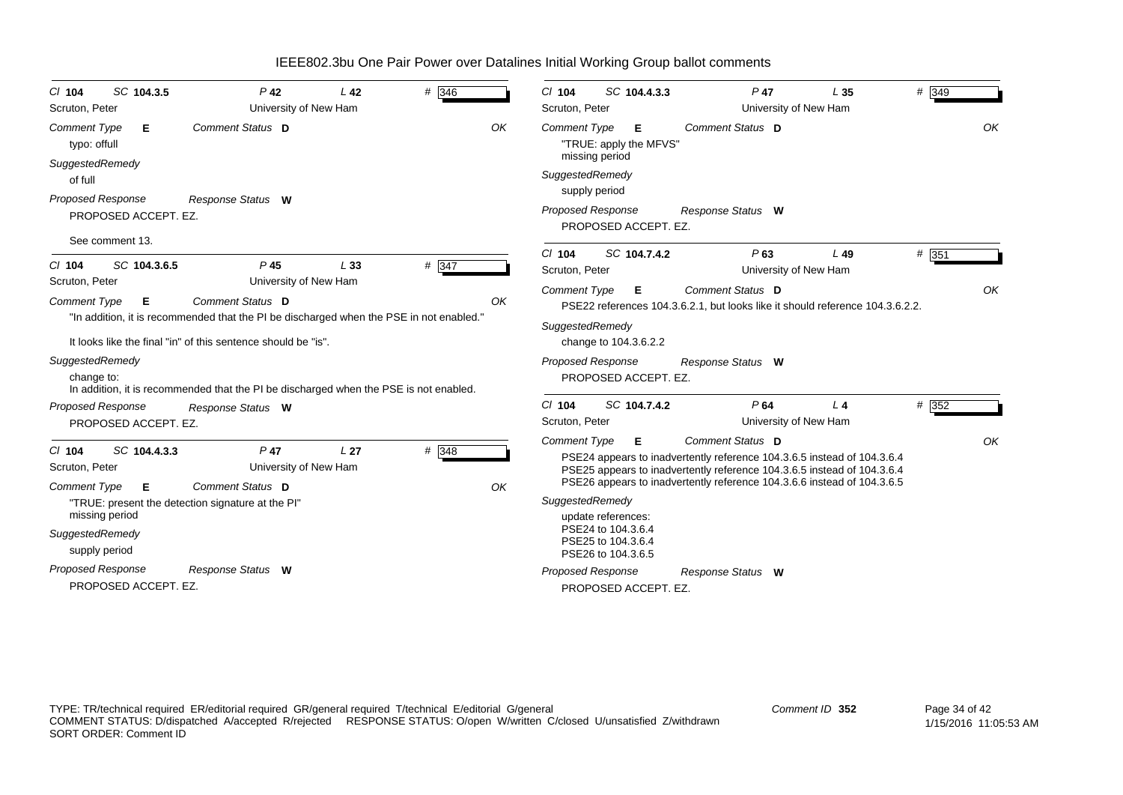| SC 104.3.5<br>$CI$ 104<br>Scruton, Peter         | $P$ 42<br>University of New Ham                                                         | L42             | # 346 | SC 104.4.3.3<br>$Cl$ 104<br>Scruton, Peter                     | $P$ 47                                                                                                                                                                                                                        | L <sub>35</sub><br>University of New Ham | # 349   |
|--------------------------------------------------|-----------------------------------------------------------------------------------------|-----------------|-------|----------------------------------------------------------------|-------------------------------------------------------------------------------------------------------------------------------------------------------------------------------------------------------------------------------|------------------------------------------|---------|
| <b>Comment Type</b><br>Е<br>typo: offull         | Comment Status D                                                                        |                 | OK    | <b>Comment Type</b><br>Е<br>"TRUE: apply the MFVS"             | Comment Status D                                                                                                                                                                                                              |                                          | OK      |
| SuggestedRemedy<br>of full                       |                                                                                         |                 |       | missing period<br>SuggestedRemedy                              |                                                                                                                                                                                                                               |                                          |         |
| <b>Proposed Response</b><br>PROPOSED ACCEPT. EZ. | Response Status W                                                                       |                 |       | supply period<br>Proposed Response<br>PROPOSED ACCEPT. EZ.     | Response Status W                                                                                                                                                                                                             |                                          |         |
| See comment 13.                                  |                                                                                         |                 |       |                                                                |                                                                                                                                                                                                                               |                                          |         |
| SC 104.3.6.5<br>$Cl$ 104                         | $P$ 45                                                                                  | L33             | # 347 | $Cl$ 104<br>SC 104.7.4.2<br>Scruton, Peter                     | P63                                                                                                                                                                                                                           | L49<br>University of New Ham             | $#$ 351 |
| Scruton, Peter                                   | University of New Ham                                                                   |                 |       | <b>Comment Type</b><br>Е                                       | Comment Status D                                                                                                                                                                                                              |                                          | OK      |
| <b>Comment Type</b><br>E                         | Comment Status D                                                                        |                 | OK    |                                                                | PSE22 references 104.3.6.2.1, but looks like it should reference 104.3.6.2.2.                                                                                                                                                 |                                          |         |
|                                                  | "In addition, it is recommended that the PI be discharged when the PSE in not enabled." |                 |       | SuggestedRemedy                                                |                                                                                                                                                                                                                               |                                          |         |
|                                                  | It looks like the final "in" of this sentence should be "is".                           |                 |       | change to 104.3.6.2.2                                          |                                                                                                                                                                                                                               |                                          |         |
| SuggestedRemedy                                  |                                                                                         |                 |       | Proposed Response                                              | Response Status W                                                                                                                                                                                                             |                                          |         |
| change to:                                       | In addition, it is recommended that the PI be discharged when the PSE is not enabled.   |                 |       | PROPOSED ACCEPT. EZ.                                           |                                                                                                                                                                                                                               |                                          |         |
| <b>Proposed Response</b>                         | Response Status W                                                                       |                 |       | SC 104.7.4.2<br>$Cl$ 104                                       | P64                                                                                                                                                                                                                           | L <sub>4</sub>                           | # 352   |
| PROPOSED ACCEPT. EZ.                             |                                                                                         |                 |       | Scruton, Peter                                                 |                                                                                                                                                                                                                               | University of New Ham                    |         |
|                                                  |                                                                                         |                 |       | <b>Comment Type</b><br>Е                                       | Comment Status D                                                                                                                                                                                                              |                                          | OK      |
| SC 104.4.3.3<br>$Cl$ 104<br>Scruton, Peter       | $P$ 47<br>University of New Ham                                                         | L <sub>27</sub> | # 348 |                                                                | PSE24 appears to inadvertently reference 104.3.6.5 instead of 104.3.6.4<br>PSE25 appears to inadvertently reference 104.3.6.5 instead of 104.3.6.4<br>PSE26 appears to inadvertently reference 104.3.6.6 instead of 104.3.6.5 |                                          |         |
| <b>Comment Type</b><br>Е                         | Comment Status D<br>"TRUE: present the detection signature at the PI"                   |                 | OK    | SuggestedRemedy                                                |                                                                                                                                                                                                                               |                                          |         |
| missing period                                   |                                                                                         |                 |       | update references:                                             |                                                                                                                                                                                                                               |                                          |         |
| SuggestedRemedy<br>supply period                 |                                                                                         |                 |       | PSE24 to 104.3.6.4<br>PSE25 to 104.3.6.4<br>PSE26 to 104.3.6.5 |                                                                                                                                                                                                                               |                                          |         |
| <b>Proposed Response</b>                         | Response Status W                                                                       |                 |       | Proposed Response                                              | Response Status W                                                                                                                                                                                                             |                                          |         |
| PROPOSED ACCEPT. EZ.                             |                                                                                         |                 |       | PROPOSED ACCEPT. EZ.                                           |                                                                                                                                                                                                                               |                                          |         |
|                                                  |                                                                                         |                 |       |                                                                |                                                                                                                                                                                                                               |                                          |         |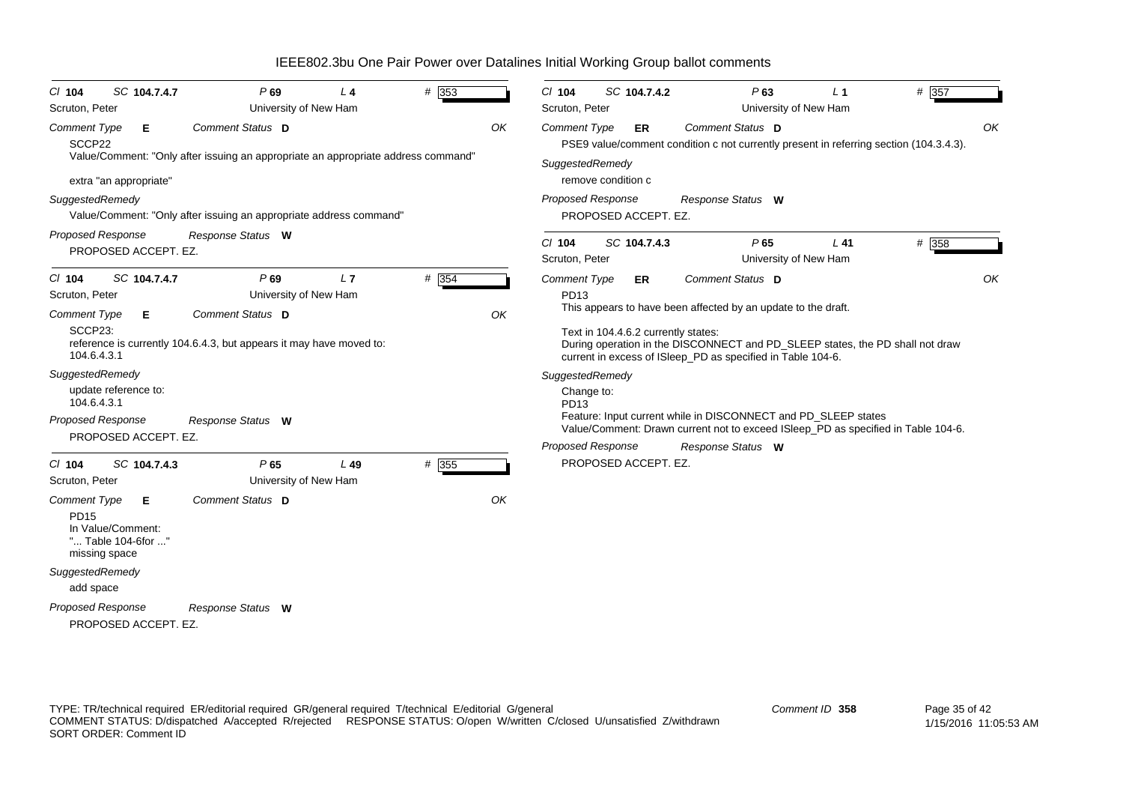*Proposed Response Cl* **104** *SC* **104.7.4.7** *P* **69** *L* **4** *#* 353 *Comment Type* **E** SCCP22Value/Comment: "Only after issuing an appropriate an appropriate address command" extra "an appropriate" *SuggestedRemedy* Value/Comment: "Only after issuing an appropriate address command" PROPOSED ACCEPT. EZ. **Comment Status D** *Response Status* **W***OK*Scruton, Peter **Victor** University of New Ham *Proposed Response Cl* **104** *SC* **104.7.4.7** *P* **69** *L* **7** *#* 354*Comment Type* **E** SCCP23:reference is currently 104.6.4.3, but appears it may have moved to: 104.6.4.3.1*SuggestedRemedy* update reference to: 104.6.4.3.1PROPOSED ACCEPT. EZ.**Comment Status D** *Response Status* **W** *OK*Scruton, Peter **New Ham** University of New Ham *Proposed Response Cl* **104** *SC* **104.7.4.3** *P* **65** *L* **49** *#* 355355 *Comment Type* **E** PD15. . . . .<br>In Value/Comment: "... Table 104-6for ..." missing space *SuggestedRemedy* add space PROPOSED ACCEPT. EZ. *Comment Status***D***Response Status* **W***OK*Scruton, Peter **New Ham** University of New Ham *Proposed Response Cl* **104** *SC* **104.7.4.2** *P* **63** *L* **1** *#* 357*Comment Type* **ER** PSE9 value/comment condition c not currently present in referring section (104.3.4.3). *SuggestedRemedy* remove condition cPROPOSED ACCEPT. EZ. *Comment Status***D***Response Status* **W***OK*Scruton, Peter **Victor** University of New Ham *Proposed Response Cl* **104** *SC* **104.7.4.3** *P* **65** *L* **41** *#* 358*Comment Type* **ER** PD13This appears to have been affected by an update to the draft. Text in 104.4.6.2 currently states: During operation in the DISCONNECT and PD\_SLEEP states, the PD shall not draw current in excess of ISleep\_PD as specified in Table 104-6. *SuggestedRemedy* Change to: PD13Feature: Input current while in DISCONNECT and PD\_SLEEP states Value/Comment: Drawn current not to exceed ISleep\_PD as specified in Table 104-6. PROPOSED ACCEPT. EZ. *Comment Status***D***Response Status* **W***OK*Scruton, Peter **Very 2018** University of New Ham

IEEE802.3bu One Pair Power over Datalines Initial Working Group ballot comments

COMMENT STATUS: D/dispatched A/accepted R/rejected RESPONSE STATUS: O/open W/written C/closed U/unsatisfied Z/withdrawn

TYPE: TR/technical required ER/editorial required GR/general required T/technical E/editorial G/general

SORT ORDER: Comment ID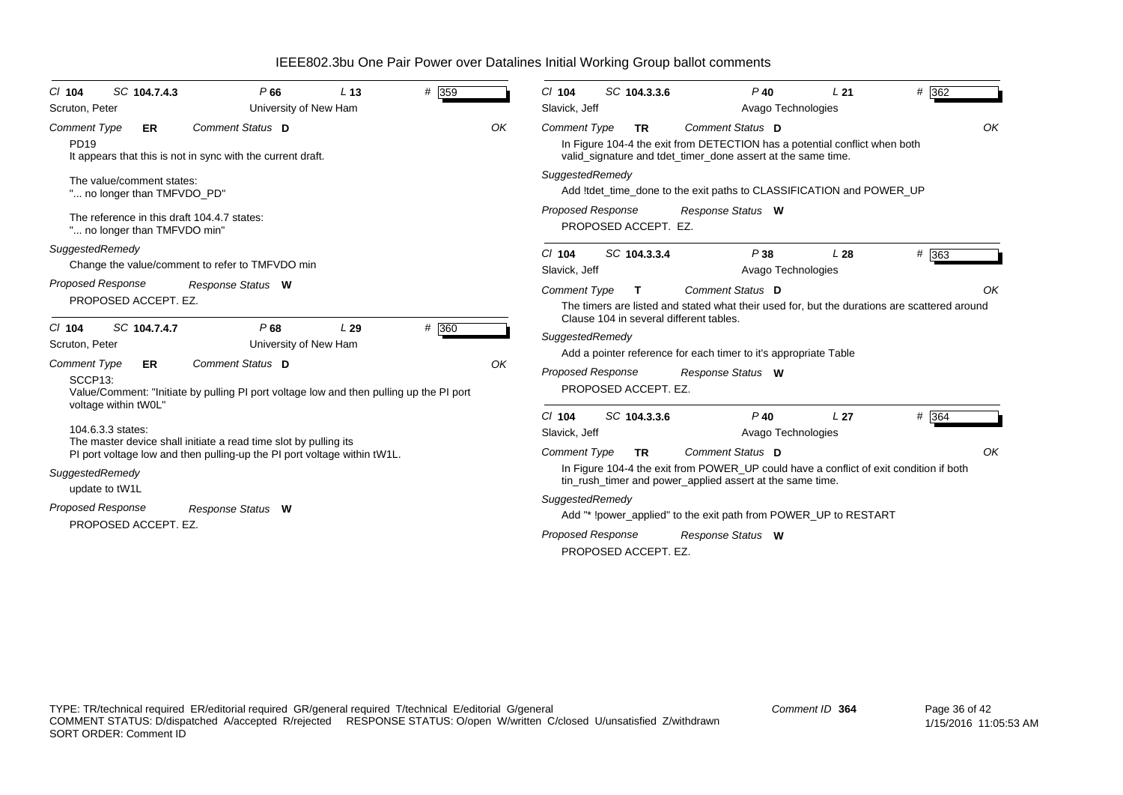| SC 104.7.4.3<br>$CI$ 104<br>Scruton, Peter                                  | P66<br>University of New Ham                                                                                | L <sub>13</sub> | # 359 |    | SC 104.3.3.6<br>$CI$ 104<br>Slavick, Jeff                                                                                                                                                                | $P$ 40                                                                                                                                                                         | L21<br>Avago Technologies             | # 362              |  |  |  |
|-----------------------------------------------------------------------------|-------------------------------------------------------------------------------------------------------------|-----------------|-------|----|----------------------------------------------------------------------------------------------------------------------------------------------------------------------------------------------------------|--------------------------------------------------------------------------------------------------------------------------------------------------------------------------------|---------------------------------------|--------------------|--|--|--|
| Comment Type<br>ER<br><b>PD19</b>                                           | Comment Status D<br>It appears that this is not in sync with the current draft.                             |                 |       | OK | OK<br>Comment Status D<br><b>Comment Type</b><br><b>TR</b><br>In Figure 104-4 the exit from DETECTION has a potential conflict when both<br>valid_signature and tdet_timer_done assert at the same time. |                                                                                                                                                                                |                                       |                    |  |  |  |
| The value/comment states:<br>" no longer than TMFVDO_PD"                    |                                                                                                             |                 |       |    | SuggestedRemedy<br>Add !tdet_time_done to the exit paths to CLASSIFICATION and POWER_UP                                                                                                                  |                                                                                                                                                                                |                                       |                    |  |  |  |
| The reference in this draft 104.4.7 states:<br>" no longer than TMFVDO min" |                                                                                                             |                 |       |    | <b>Proposed Response</b><br>PROPOSED ACCEPT. EZ.                                                                                                                                                         | Response Status W                                                                                                                                                              |                                       |                    |  |  |  |
| SuggestedRemedy                                                             | Change the value/comment to refer to TMFVDO min                                                             |                 |       |    | SC 104.3.3.4<br>$Cl$ 104<br>Slavick, Jeff                                                                                                                                                                | P38                                                                                                                                                                            | L28<br>Avago Technologies             | $# \overline{363}$ |  |  |  |
| <b>Proposed Response</b><br>PROPOSED ACCEPT. EZ.                            | Response Status W                                                                                           |                 |       |    | <b>Comment Type</b><br>Comment Status D<br>OK<br>T.<br>The timers are listed and stated what their used for, but the durations are scattered around<br>Clause 104 in several different tables.           |                                                                                                                                                                                |                                       |                    |  |  |  |
| SC 104.7.4.7<br>$Cl$ 104<br>Scruton, Peter                                  | P68<br>University of New Ham                                                                                | L29             | # 360 |    | SuggestedRemedy                                                                                                                                                                                          |                                                                                                                                                                                |                                       |                    |  |  |  |
| <b>Comment Type</b><br>ER<br>SCCP <sub>13</sub> :                           | Comment Status D<br>Value/Comment: "Initiate by pulling PI port voltage low and then pulling up the PI port |                 |       | OK | <b>Proposed Response</b><br>PROPOSED ACCEPT. EZ.                                                                                                                                                         | Add a pointer reference for each timer to it's appropriate Table<br>Response Status W                                                                                          |                                       |                    |  |  |  |
| voltage within tW0L"<br>104.6.3.3 states:                                   | The master device shall initiate a read time slot by pulling its                                            |                 |       |    | SC 104.3.3.6<br>$CI$ 104<br>Slavick, Jeff                                                                                                                                                                | $P$ 40                                                                                                                                                                         | L <sub>27</sub><br>Avago Technologies | # 364              |  |  |  |
| SuggestedRemedy<br>update to tW1L                                           | PI port voltage low and then pulling-up the PI port voltage within tW1L.                                    |                 |       |    | <b>Comment Type</b><br><b>TR</b>                                                                                                                                                                         | <b>Comment Status D</b><br>In Figure 104-4 the exit from POWER_UP could have a conflict of exit condition if both<br>tin_rush_timer and power_applied assert at the same time. |                                       | OK                 |  |  |  |
| <b>Proposed Response</b><br>PROPOSED ACCEPT. EZ.                            | Response Status W                                                                                           |                 |       |    | SuggestedRemedy<br><b>Proposed Response</b>                                                                                                                                                              | Add "* !power_applied" to the exit path from POWER_UP to RESTART<br>Response Status W                                                                                          |                                       |                    |  |  |  |
|                                                                             |                                                                                                             |                 |       |    | PROPOSED ACCEPT. EZ.                                                                                                                                                                                     |                                                                                                                                                                                |                                       |                    |  |  |  |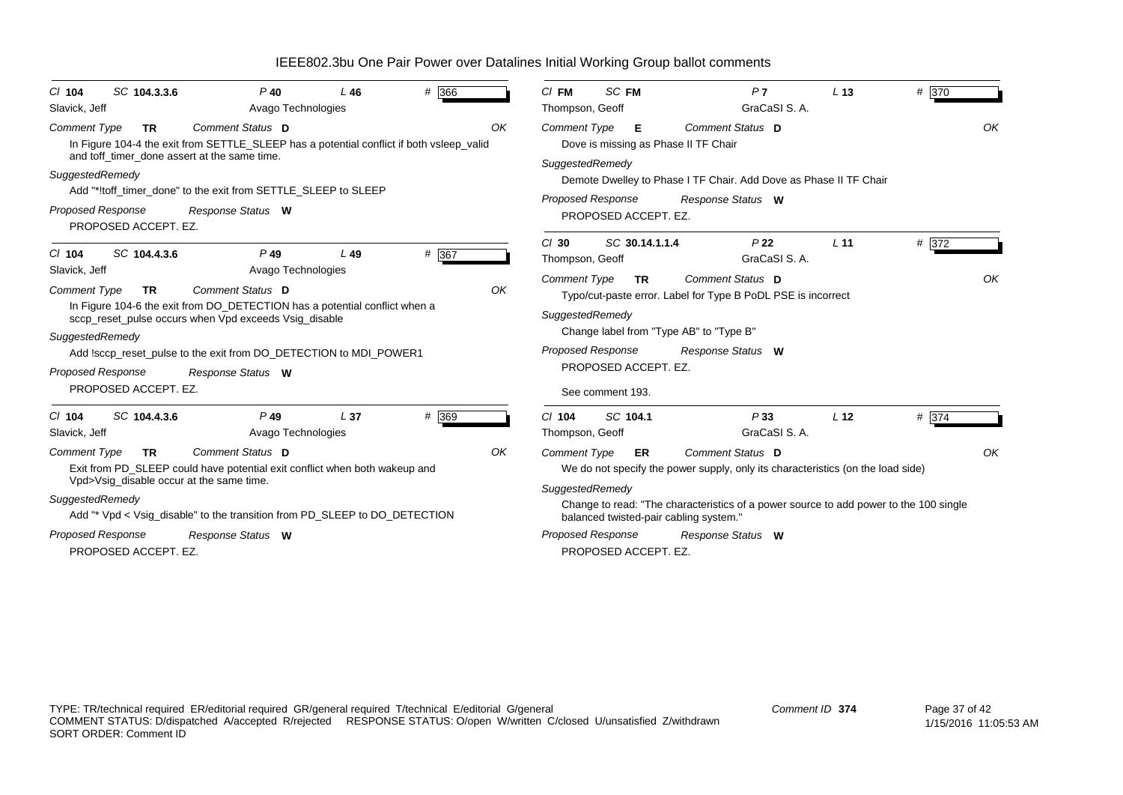| SC 104.3.3.6<br>$CI$ 104<br>Slavick, Jeff                                                                                                                                                                                                                                                                                                                           | $P$ 40<br>Avago Technologies | $L$ 46          | # 366 |    | $CI$ FM<br>Thompson, Geoff                                                                                                                                                                                                                                  | SC FM                                                                                                                                                                                                                                                       | P <sub>7</sub><br>GraCaSI S.A.                                                                                                                                                                                                                              | L <sub>13</sub> | # 370 |    |  |
|---------------------------------------------------------------------------------------------------------------------------------------------------------------------------------------------------------------------------------------------------------------------------------------------------------------------------------------------------------------------|------------------------------|-----------------|-------|----|-------------------------------------------------------------------------------------------------------------------------------------------------------------------------------------------------------------------------------------------------------------|-------------------------------------------------------------------------------------------------------------------------------------------------------------------------------------------------------------------------------------------------------------|-------------------------------------------------------------------------------------------------------------------------------------------------------------------------------------------------------------------------------------------------------------|-----------------|-------|----|--|
| Comment Status D<br><b>Comment Type</b><br><b>TR</b><br>In Figure 104-4 the exit from SETTLE_SLEEP has a potential conflict if both vsleep_valid<br>and toff timer done assert at the same time.<br>SuggestedRemedy<br>Add "*!toff timer done" to the exit from SETTLE SLEEP to SLEEP<br><b>Proposed Response</b><br>Response Status W<br>PROPOSED ACCEPT. EZ.      |                              |                 |       |    | OK<br>Comment Status D<br><b>Comment Type</b><br>E<br>Dove is missing as Phase II TF Chair<br>SuggestedRemedy<br>Demote Dwelley to Phase I TF Chair. Add Dove as Phase II TF Chair<br><b>Proposed Response</b><br>Response Status W<br>PROPOSED ACCEPT. EZ. |                                                                                                                                                                                                                                                             |                                                                                                                                                                                                                                                             |                 |       |    |  |
| SC 104.4.3.6<br>$Cl$ 104                                                                                                                                                                                                                                                                                                                                            | $P$ 49                       | L49             | # 367 |    | $Cl$ 30<br>Thompson, Geoff                                                                                                                                                                                                                                  | SC 30.14.1.1.4                                                                                                                                                                                                                                              | P <sub>22</sub><br>GraCaSI S.A.                                                                                                                                                                                                                             | L <sub>11</sub> | # 372 |    |  |
| Slavick, Jeff<br>Avago Technologies<br>Comment Status D<br>OK<br>Comment Type<br><b>TR</b><br>In Figure 104-6 the exit from DO_DETECTION has a potential conflict when a<br>sccp_reset_pulse occurs when Vpd exceeds Vsig_disable<br>SuggestedRemedy<br>Add !sccp_reset_pulse to the exit from DO_DETECTION to MDI_POWER1<br>Proposed Response<br>Response Status W |                              |                 |       |    |                                                                                                                                                                                                                                                             | Comment Status D<br><b>Comment Type</b><br><b>TR</b><br>Typo/cut-paste error. Label for Type B PoDL PSE is incorrect<br>SuggestedRemedy<br>Change label from "Type AB" to "Type B"<br><b>Proposed Response</b><br>Response Status W<br>PROPOSED ACCEPT. EZ. |                                                                                                                                                                                                                                                             |                 |       |    |  |
| PROPOSED ACCEPT. EZ.                                                                                                                                                                                                                                                                                                                                                |                              |                 |       |    |                                                                                                                                                                                                                                                             | See comment 193.                                                                                                                                                                                                                                            |                                                                                                                                                                                                                                                             |                 |       |    |  |
| SC 104.4.3.6<br>$Cl$ 104<br>Slavick, Jeff                                                                                                                                                                                                                                                                                                                           | $P$ 49<br>Avago Technologies | L <sub>37</sub> | # 369 |    | $Cl$ 104<br>Thompson, Geoff                                                                                                                                                                                                                                 | SC 104.1                                                                                                                                                                                                                                                    | P33<br>GraCaSI S.A.                                                                                                                                                                                                                                         | L <sub>12</sub> | # 374 |    |  |
| Comment Status D<br><b>Comment Type</b><br><b>TR</b><br>Exit from PD_SLEEP could have potential exit conflict when both wakeup and<br>Vpd>Vsig_disable occur at the same time.<br>SuggestedRemedy<br>Add "* Vpd < Vsig_disable" to the transition from PD_SLEEP to DO_DETECTION<br><b>Proposed Response</b><br>Response Status W<br>PROPOSED ACCEPT. EZ.            |                              |                 |       | OK | <b>Comment Type</b><br>SuggestedRemedy<br><b>Proposed Response</b>                                                                                                                                                                                          | ER<br>PROPOSED ACCEPT. EZ.                                                                                                                                                                                                                                  | Comment Status D<br>We do not specify the power supply, only its characteristics (on the load side)<br>Change to read: "The characteristics of a power source to add power to the 100 single<br>balanced twisted-pair cabling system."<br>Response Status W |                 |       | OK |  |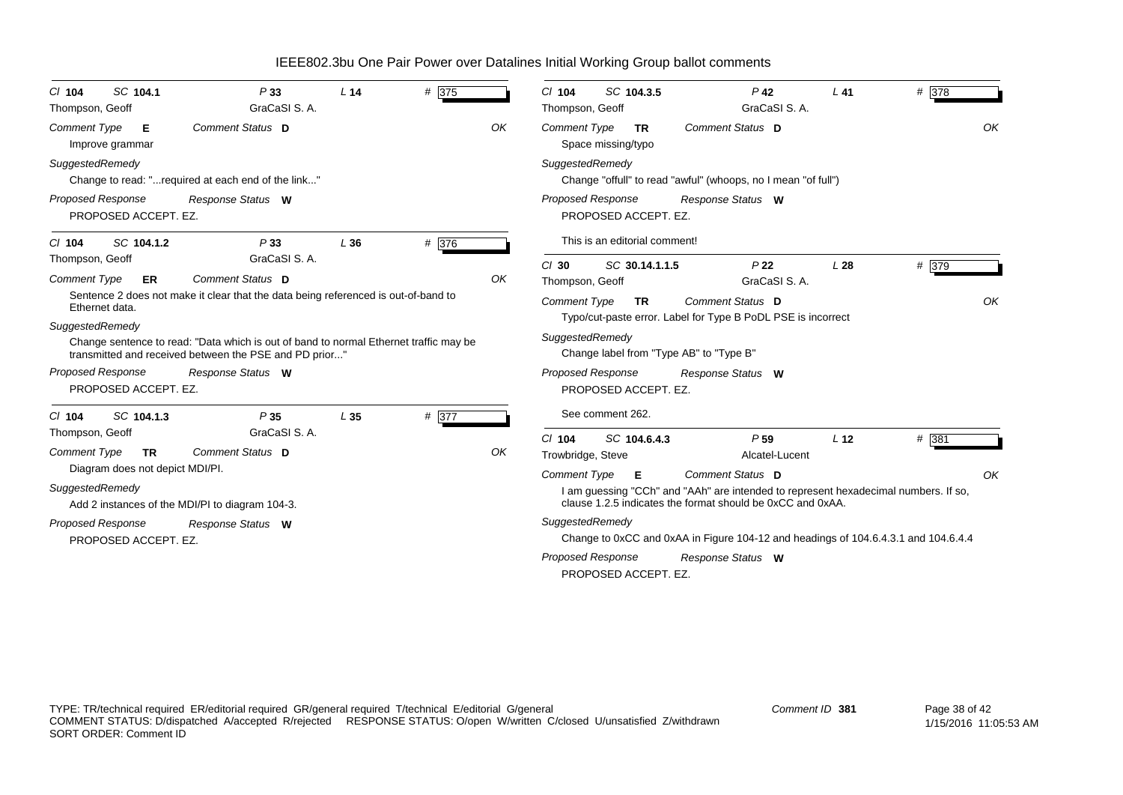| SC 104.1<br>$CI$ 104<br>Thompson, Geoff                        | P33<br>GraCaSI S. A.                                                                                                                            | L <sub>14</sub> | # 375 |    | # 378<br>SC 104.3.5<br>$P$ 42<br>$L$ 41<br>$CI$ 104<br>GraCaSI S. A.<br>Thompson, Geoff                                                           |
|----------------------------------------------------------------|-------------------------------------------------------------------------------------------------------------------------------------------------|-----------------|-------|----|---------------------------------------------------------------------------------------------------------------------------------------------------|
| <b>Comment Type</b><br>Е<br>Improve grammar                    | Comment Status D                                                                                                                                |                 |       | OK | OK<br>Comment Status D<br><b>Comment Type</b><br><b>TR</b><br>Space missing/typo                                                                  |
| SuggestedRemedy                                                | Change to read: "required at each end of the link"                                                                                              |                 |       |    | SuggestedRemedy<br>Change "offull" to read "awful" (whoops, no I mean "of full")                                                                  |
| <b>Proposed Response</b><br>PROPOSED ACCEPT. EZ.               | Response Status W                                                                                                                               |                 |       |    | <b>Proposed Response</b><br>Response Status W<br>PROPOSED ACCEPT. EZ.                                                                             |
| SC 104.1.2<br>$CI$ 104                                         | P33                                                                                                                                             | L36             | # 376 |    | This is an editorial comment!                                                                                                                     |
| Thompson, Geoff<br><b>Comment Type</b><br>ER                   | GraCaSI S.A.<br>Comment Status D                                                                                                                |                 |       | OK | P <sub>22</sub><br># 379<br>$Cl$ 30<br>SC 30.14.1.1.5<br>L28<br>GraCaSI S. A.<br>Thompson, Geoff                                                  |
| Ethernet data.                                                 | Sentence 2 does not make it clear that the data being referenced is out-of-band to                                                              |                 |       |    | OK<br>Comment Status D<br><b>Comment Type</b><br><b>TR</b>                                                                                        |
| SuggestedRemedy                                                |                                                                                                                                                 |                 |       |    | Typo/cut-paste error. Label for Type B PoDL PSE is incorrect                                                                                      |
|                                                                | Change sentence to read: "Data which is out of band to normal Ethernet traffic may be<br>transmitted and received between the PSE and PD prior" |                 |       |    | SuggestedRemedy<br>Change label from "Type AB" to "Type B"                                                                                        |
| <b>Proposed Response</b><br>PROPOSED ACCEPT. EZ.               | Response Status W                                                                                                                               |                 |       |    | <b>Proposed Response</b><br>Response Status W<br>PROPOSED ACCEPT. EZ.                                                                             |
| SC 104.1.3<br>$CI$ 104                                         | P35                                                                                                                                             | L <sub>35</sub> | # 377 |    | See comment 262.                                                                                                                                  |
| Thompson, Geoff                                                | GraCaSI S. A.                                                                                                                                   |                 |       |    | $# \overline{381}$<br>$Cl$ 104<br>SC 104.6.4.3<br>P <sub>59</sub><br>L <sub>12</sub>                                                              |
| Comment Type<br><b>TR</b>                                      | Comment Status D                                                                                                                                |                 |       | OK | Trowbridge, Steve<br>Alcatel-Lucent                                                                                                               |
| Diagram does not depict MDI/PI.                                |                                                                                                                                                 |                 |       |    | OK<br>Comment Status D<br><b>Comment Type</b><br>- E                                                                                              |
| SuggestedRemedy                                                | Add 2 instances of the MDI/PI to diagram 104-3.                                                                                                 |                 |       |    | I am guessing "CCh" and "AAh" are intended to represent hexadecimal numbers. If so,<br>clause 1.2.5 indicates the format should be 0xCC and 0xAA. |
| Proposed Response<br>Response Status W<br>PROPOSED ACCEPT. EZ. |                                                                                                                                                 |                 |       |    | SuggestedRemedy<br>Change to 0xCC and 0xAA in Figure 104-12 and headings of 104.6.4.3.1 and 104.6.4.4                                             |
|                                                                |                                                                                                                                                 |                 |       |    | <b>Proposed Response</b><br>Response Status W<br>PROPOSED ACCEPT. EZ.                                                                             |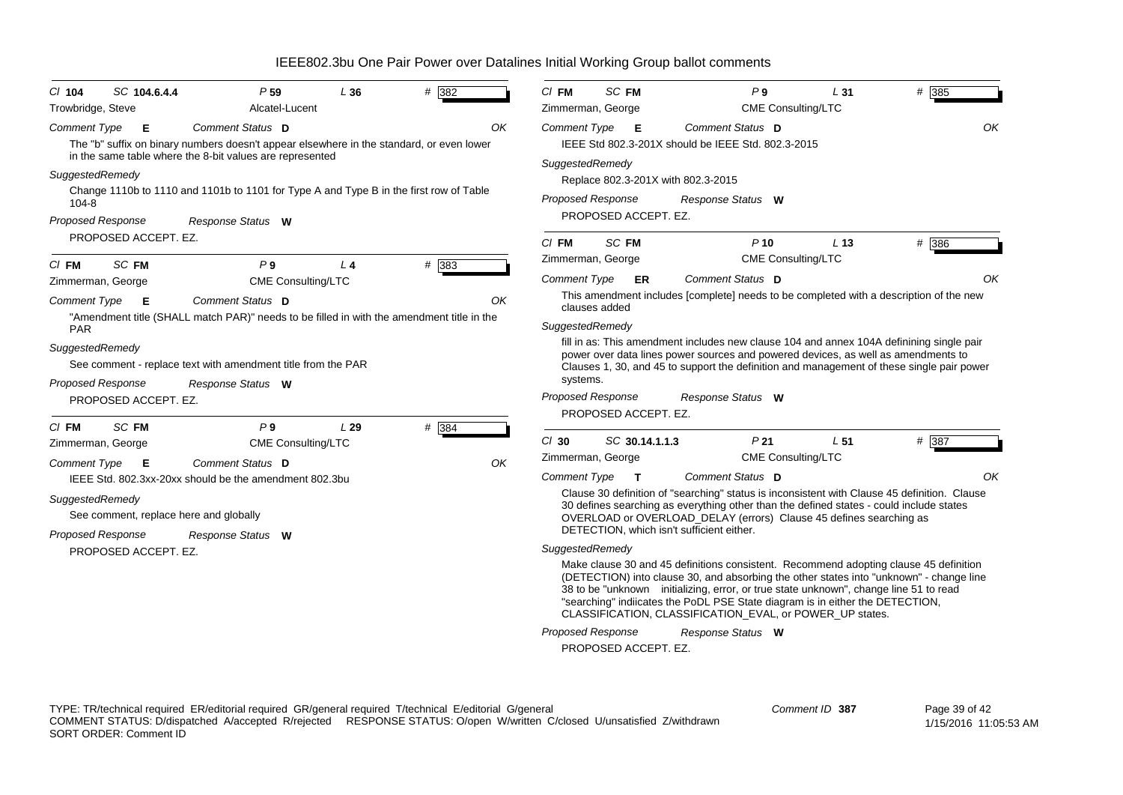| $CI$ 104                     | SC 104.6.4.4                                     | P <sub>59</sub>                                                                                                                                                          | L36            | $# \overline{382}$ | $CI$ FM                                | SC FM                                            | P <sub>9</sub>                                                                                                                                                                                                                                                                                                                                                                                                         | L <sub>31</sub>           | # 385                                                                                     |
|------------------------------|--------------------------------------------------|--------------------------------------------------------------------------------------------------------------------------------------------------------------------------|----------------|--------------------|----------------------------------------|--------------------------------------------------|------------------------------------------------------------------------------------------------------------------------------------------------------------------------------------------------------------------------------------------------------------------------------------------------------------------------------------------------------------------------------------------------------------------------|---------------------------|-------------------------------------------------------------------------------------------|
| Trowbridge, Steve            |                                                  | Alcatel-Lucent                                                                                                                                                           |                |                    |                                        | Zimmerman, George                                |                                                                                                                                                                                                                                                                                                                                                                                                                        | <b>CME Consulting/LTC</b> |                                                                                           |
| <b>Comment Type</b>          | Е                                                | Comment Status D<br>The "b" suffix on binary numbers doesn't appear elsewhere in the standard, or even lower<br>in the same table where the 8-bit values are represented |                | OK                 | <b>Comment Type</b><br>SuggestedRemedy | - E                                              | Comment Status D<br>IEEE Std 802.3-201X should be IEEE Std, 802.3-2015                                                                                                                                                                                                                                                                                                                                                 |                           | OK                                                                                        |
| SuggestedRemedy<br>$104 - 8$ | <b>Proposed Response</b>                         | Change 1110b to 1110 and 1101b to 1101 for Type A and Type B in the first row of Table<br>Response Status W                                                              |                |                    |                                        | Proposed Response<br>PROPOSED ACCEPT. EZ.        | Replace 802.3-201X with 802.3-2015<br>Response Status W                                                                                                                                                                                                                                                                                                                                                                |                           |                                                                                           |
|                              | PROPOSED ACCEPT. EZ.                             |                                                                                                                                                                          |                |                    | $CI$ FM                                | SC FM                                            | $P$ 10                                                                                                                                                                                                                                                                                                                                                                                                                 | L <sub>13</sub>           | # 386                                                                                     |
| CI FM                        | SC FM                                            | P <sub>9</sub>                                                                                                                                                           | L <sub>4</sub> | # 383              |                                        | Zimmerman, George                                |                                                                                                                                                                                                                                                                                                                                                                                                                        | <b>CME Consulting/LTC</b> |                                                                                           |
|                              | Zimmerman, George                                | <b>CME Consulting/LTC</b>                                                                                                                                                |                |                    | Comment Type                           | <b>ER</b>                                        | Comment Status D                                                                                                                                                                                                                                                                                                                                                                                                       |                           | ΟK                                                                                        |
| <b>Comment Type</b><br>PAR   | E                                                | Comment Status D<br>"Amendment title (SHALL match PAR)" needs to be filled in with the amendment title in the                                                            |                | OK                 | SuggestedRemedy                        | clauses added                                    | This amendment includes [complete] needs to be completed with a description of the new                                                                                                                                                                                                                                                                                                                                 |                           |                                                                                           |
| SuggestedRemedy              | <b>Proposed Response</b><br>PROPOSED ACCEPT. EZ. | See comment - replace text with amendment title from the PAR<br>Response Status W                                                                                        |                |                    | systems.                               | <b>Proposed Response</b><br>PROPOSED ACCEPT. EZ. | fill in as: This amendment includes new clause 104 and annex 104A definining single pair<br>power over data lines power sources and powered devices, as well as amendments to<br>Response Status W                                                                                                                                                                                                                     |                           | Clauses 1, 30, and 45 to support the definition and management of these single pair power |
| CI FM                        | SC FM                                            | P <sub>9</sub>                                                                                                                                                           | L29            | # 384              |                                        |                                                  |                                                                                                                                                                                                                                                                                                                                                                                                                        |                           |                                                                                           |
|                              | Zimmerman, George                                | CME Consulting/LTC                                                                                                                                                       |                |                    | $Cl$ 30                                | SC 30.14.1.1.3                                   | P <sub>21</sub>                                                                                                                                                                                                                                                                                                                                                                                                        | L <sub>51</sub>           | # 387                                                                                     |
| <b>Comment Type</b>          | E                                                | Comment Status D                                                                                                                                                         |                | OK                 |                                        | Zimmerman, George                                |                                                                                                                                                                                                                                                                                                                                                                                                                        | CME Consulting/LTC        |                                                                                           |
|                              |                                                  | IEEE Std. 802.3xx-20xx should be the amendment 802.3bu                                                                                                                   |                |                    | <b>Comment Type</b>                    | $\mathbf{T}$                                     | Comment Status D                                                                                                                                                                                                                                                                                                                                                                                                       |                           | OK                                                                                        |
| SuggestedRemedy              | <b>Proposed Response</b>                         | See comment, replace here and globally<br>Response Status W                                                                                                              |                |                    |                                        |                                                  | Clause 30 definition of "searching" status is inconsistent with Clause 45 definition. Clause<br>30 defines searching as everything other than the defined states - could include states<br>OVERLOAD or OVERLOAD_DELAY (errors) Clause 45 defines searching as<br>DETECTION, which isn't sufficient either.                                                                                                             |                           |                                                                                           |
|                              | PROPOSED ACCEPT. EZ.                             |                                                                                                                                                                          |                |                    | SuggestedRemedy                        |                                                  |                                                                                                                                                                                                                                                                                                                                                                                                                        |                           |                                                                                           |
|                              |                                                  |                                                                                                                                                                          |                |                    |                                        |                                                  | Make clause 30 and 45 definitions consistent. Recommend adopting clause 45 definition<br>(DETECTION) into clause 30, and absorbing the other states into "unknown" - change line<br>38 to be "unknown initializing, error, or true state unknown", change line 51 to read<br>"searching" indiicates the PoDL PSE State diagram is in either the DETECTION,<br>CLASSIFICATION, CLASSIFICATION_EVAL, or POWER_UP states. |                           |                                                                                           |
|                              |                                                  |                                                                                                                                                                          |                |                    |                                        | <b>Proposed Response</b>                         | Response Status W                                                                                                                                                                                                                                                                                                                                                                                                      |                           |                                                                                           |
|                              |                                                  |                                                                                                                                                                          |                |                    |                                        | PROPOSED ACCEPT. EZ.                             |                                                                                                                                                                                                                                                                                                                                                                                                                        |                           |                                                                                           |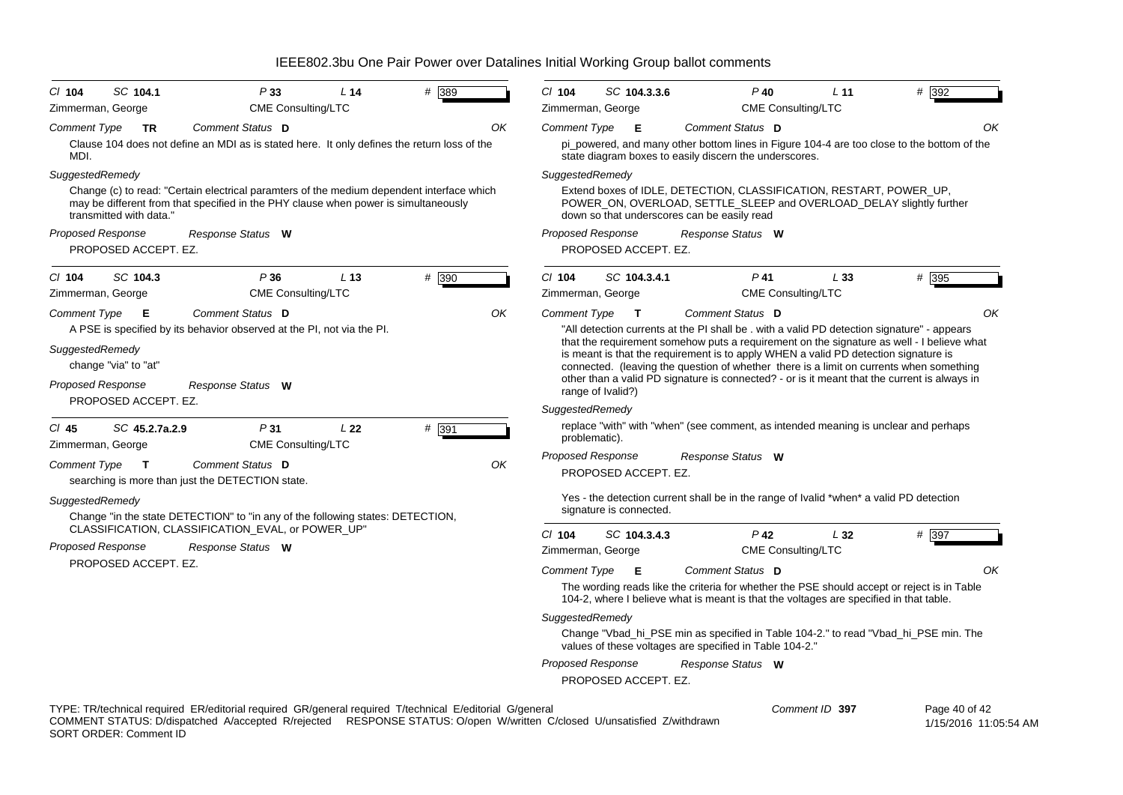| SC 104.1<br>P33<br># 389<br>$CI$ 104<br>L <sub>14</sub><br>CME Consulting/LTC<br>Zimmerman, George                                                                                                          | CI 104<br>$P$ 40<br># 392<br>SC 104.3.3.6<br>L <sub>11</sub><br>Zimmerman, George<br>CME Consulting/LTC                                                                                                                                                                                                                                                                                          |  |  |  |  |  |
|-------------------------------------------------------------------------------------------------------------------------------------------------------------------------------------------------------------|--------------------------------------------------------------------------------------------------------------------------------------------------------------------------------------------------------------------------------------------------------------------------------------------------------------------------------------------------------------------------------------------------|--|--|--|--|--|
| Comment Status D<br>ΟK<br>Comment Type<br><b>TR</b>                                                                                                                                                         | OK<br><b>Comment Type</b><br>Comment Status D<br>- E                                                                                                                                                                                                                                                                                                                                             |  |  |  |  |  |
| Clause 104 does not define an MDI as is stated here. It only defines the return loss of the                                                                                                                 | pi_powered, and many other bottom lines in Figure 104-4 are too close to the bottom of the                                                                                                                                                                                                                                                                                                       |  |  |  |  |  |
| MDI.                                                                                                                                                                                                        | state diagram boxes to easily discern the underscores.                                                                                                                                                                                                                                                                                                                                           |  |  |  |  |  |
| SuggestedRemedy                                                                                                                                                                                             | SuggestedRemedy                                                                                                                                                                                                                                                                                                                                                                                  |  |  |  |  |  |
| Change (c) to read: "Certain electrical paramters of the medium dependent interface which<br>may be different from that specified in the PHY clause when power is simultaneously<br>transmitted with data." | Extend boxes of IDLE, DETECTION, CLASSIFICATION, RESTART, POWER_UP,<br>POWER ON, OVERLOAD, SETTLE SLEEP and OVERLOAD DELAY slightly further<br>down so that underscores can be easily read                                                                                                                                                                                                       |  |  |  |  |  |
| <b>Proposed Response</b><br>Response Status W                                                                                                                                                               | <b>Proposed Response</b><br>Response Status W                                                                                                                                                                                                                                                                                                                                                    |  |  |  |  |  |
| PROPOSED ACCEPT. EZ.                                                                                                                                                                                        | PROPOSED ACCEPT. EZ.                                                                                                                                                                                                                                                                                                                                                                             |  |  |  |  |  |
| SC 104.3<br># 390<br>P36<br>L <sub>13</sub><br>$CI$ 104                                                                                                                                                     | C/ 104<br># 395<br>SC 104.3.4.1<br>P 41<br>L33                                                                                                                                                                                                                                                                                                                                                   |  |  |  |  |  |
| CME Consulting/LTC<br>Zimmerman, George                                                                                                                                                                     | CME Consulting/LTC<br>Zimmerman, George                                                                                                                                                                                                                                                                                                                                                          |  |  |  |  |  |
| Comment Status D<br>OK<br><b>Comment Type</b><br>- E                                                                                                                                                        | OK<br>Comment Status D<br>Comment Type<br>$\mathbf{T}$                                                                                                                                                                                                                                                                                                                                           |  |  |  |  |  |
| A PSE is specified by its behavior observed at the PI, not via the PI.                                                                                                                                      | "All detection currents at the PI shall be . with a valid PD detection signature" - appears                                                                                                                                                                                                                                                                                                      |  |  |  |  |  |
| SuggestedRemedy<br>change "via" to "at"<br><b>Proposed Response</b><br>Response Status W                                                                                                                    | that the requirement somehow puts a requirement on the signature as well - I believe what<br>is meant is that the requirement is to apply WHEN a valid PD detection signature is<br>connected. (leaving the question of whether there is a limit on currents when something<br>other than a valid PD signature is connected? - or is it meant that the current is always in<br>range of Ivalid?) |  |  |  |  |  |
| PROPOSED ACCEPT. EZ.                                                                                                                                                                                        | SuggestedRemedy                                                                                                                                                                                                                                                                                                                                                                                  |  |  |  |  |  |
| $CI$ 45<br>SC 45.2.7a.2.9<br>P31<br>L22                                                                                                                                                                     | replace "with" with "when" (see comment, as intended meaning is unclear and perhaps                                                                                                                                                                                                                                                                                                              |  |  |  |  |  |
| # 391<br><b>CME Consulting/LTC</b><br>Zimmerman, George                                                                                                                                                     | problematic).                                                                                                                                                                                                                                                                                                                                                                                    |  |  |  |  |  |
| Comment Status D<br>OK<br><b>Comment Type</b><br>$\mathbf{T}$                                                                                                                                               | <b>Proposed Response</b><br>Response Status W                                                                                                                                                                                                                                                                                                                                                    |  |  |  |  |  |
| searching is more than just the DETECTION state.                                                                                                                                                            | PROPOSED ACCEPT. EZ.                                                                                                                                                                                                                                                                                                                                                                             |  |  |  |  |  |
| SuggestedRemedy<br>Change "in the state DETECTION" to "in any of the following states: DETECTION,                                                                                                           | Yes - the detection current shall be in the range of Ivalid *when* a valid PD detection<br>signature is connected.                                                                                                                                                                                                                                                                               |  |  |  |  |  |
| CLASSIFICATION, CLASSIFICATION_EVAL, or POWER_UP"                                                                                                                                                           | $Cl$ 104<br>$P$ 42<br># 397<br>SC 104.3.4.3<br>L32                                                                                                                                                                                                                                                                                                                                               |  |  |  |  |  |
| <b>Proposed Response</b><br>Response Status W                                                                                                                                                               | <b>CME Consulting/LTC</b><br>Zimmerman, George                                                                                                                                                                                                                                                                                                                                                   |  |  |  |  |  |
| PROPOSED ACCEPT. EZ.                                                                                                                                                                                        | OK<br>Comment Status D<br><b>Comment Type</b><br>Е                                                                                                                                                                                                                                                                                                                                               |  |  |  |  |  |
|                                                                                                                                                                                                             | The wording reads like the criteria for whether the PSE should accept or reject is in Table<br>104-2, where I believe what is meant is that the voltages are specified in that table.                                                                                                                                                                                                            |  |  |  |  |  |
|                                                                                                                                                                                                             | SuggestedRemedy                                                                                                                                                                                                                                                                                                                                                                                  |  |  |  |  |  |
|                                                                                                                                                                                                             | Change "Vbad_hi_PSE min as specified in Table 104-2." to read "Vbad_hi_PSE min. The<br>values of these voltages are specified in Table 104-2."                                                                                                                                                                                                                                                   |  |  |  |  |  |
|                                                                                                                                                                                                             | <b>Proposed Response</b><br>Response Status W<br>PROPOSED ACCEPT. EZ.                                                                                                                                                                                                                                                                                                                            |  |  |  |  |  |
| TYPE: TR/technical required ER/editorial required GR/general required T/technical E/editorial G/general                                                                                                     | Comment ID 397<br>Page 40 of 42                                                                                                                                                                                                                                                                                                                                                                  |  |  |  |  |  |

COMMENT STATUS: D/dispatched A/accepted R/rejected RESPONSE STATUS: O/open W/written C/closed U/unsatisfied Z/withdrawn SORT ORDER: Comment ID

Page 40 of 42

1/15/2016 11:05:54 AM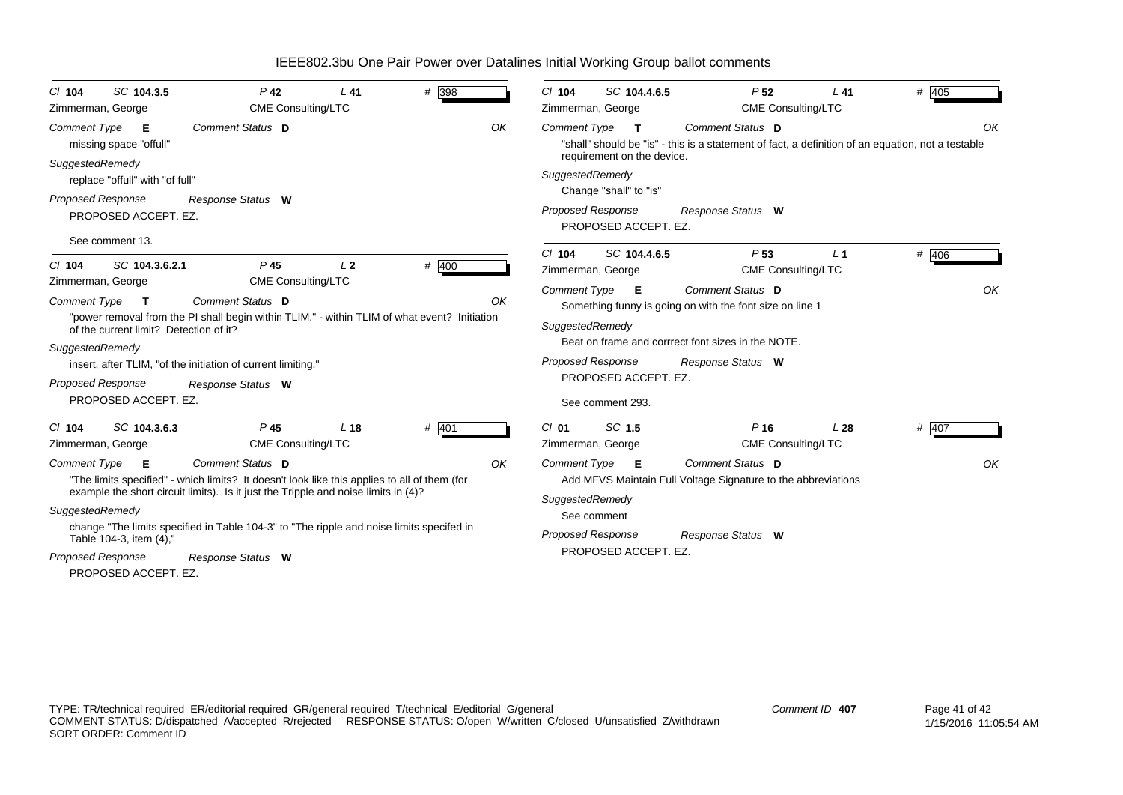| # 398<br>SC 104.3.5<br>$P$ 42<br>$L$ 41<br>C/ 104                                                                                                                                  |    | SC 104.4.6.5<br>P <sub>52</sub><br># 405<br>$Cl$ 104<br>L41                                                                                                                                      |  |  |  |  |  |  |
|------------------------------------------------------------------------------------------------------------------------------------------------------------------------------------|----|--------------------------------------------------------------------------------------------------------------------------------------------------------------------------------------------------|--|--|--|--|--|--|
| <b>CME Consulting/LTC</b><br>Zimmerman, George                                                                                                                                     |    | <b>CME Consulting/LTC</b><br>Zimmerman, George                                                                                                                                                   |  |  |  |  |  |  |
| Comment Status D<br><b>Comment Type</b><br>E<br>missing space "offull"                                                                                                             | OK | <b>Comment Type</b><br>Comment Status D<br>OK<br>$\mathbf{T}$<br>"shall" should be "is" - this is a statement of fact, a definition of an equation, not a testable<br>requirement on the device. |  |  |  |  |  |  |
| SuggestedRemedy<br>replace "offull" with "of full"                                                                                                                                 |    | SuggestedRemedy<br>Change "shall" to "is"                                                                                                                                                        |  |  |  |  |  |  |
| <b>Proposed Response</b><br>Response Status W<br>PROPOSED ACCEPT. EZ.                                                                                                              |    | <b>Proposed Response</b><br>Response Status W<br>PROPOSED ACCEPT. EZ.                                                                                                                            |  |  |  |  |  |  |
| See comment 13.<br>$\#$ 400<br>L <sub>2</sub><br>SC 104.3.6.2.1<br>P <sub>45</sub><br>C/ 104                                                                                       |    | # 406<br>$Cl$ 104<br>SC 104.4.6.5<br>P <sub>53</sub><br>L <sub>1</sub><br><b>CME Consulting/LTC</b><br>Zimmerman, George                                                                         |  |  |  |  |  |  |
| <b>CME Consulting/LTC</b><br>Zimmerman, George<br>Comment Status D<br><b>Comment Type</b><br>$\mathbf{T}$                                                                          | OK | OK<br><b>Comment Type</b><br>Comment Status D<br>E<br>Something funny is going on with the font size on line 1                                                                                   |  |  |  |  |  |  |
| "power removal from the PI shall begin within TLIM." - within TLIM of what event? Initiation<br>of the current limit? Detection of it?                                             |    | SuggestedRemedy                                                                                                                                                                                  |  |  |  |  |  |  |
| SuggestedRemedy                                                                                                                                                                    |    | Beat on frame and corrrect font sizes in the NOTE.                                                                                                                                               |  |  |  |  |  |  |
| insert, after TLIM, "of the initiation of current limiting."                                                                                                                       |    | <b>Proposed Response</b><br>Response Status W                                                                                                                                                    |  |  |  |  |  |  |
| Proposed Response<br>Response Status W                                                                                                                                             |    | PROPOSED ACCEPT. EZ.                                                                                                                                                                             |  |  |  |  |  |  |
| PROPOSED ACCEPT. EZ.                                                                                                                                                               |    | See comment 293.                                                                                                                                                                                 |  |  |  |  |  |  |
| SC 104.3.6.3<br>P <sub>45</sub><br>L <sub>18</sub><br># 401<br>$CI$ 104<br><b>CME Consulting/LTC</b><br>Zimmerman, George                                                          |    | SC 1.5<br>$P$ 16<br>$CI$ 01<br>L28<br>$#$ 407<br><b>CME Consulting/LTC</b><br>Zimmerman, George                                                                                                  |  |  |  |  |  |  |
| Comment Type<br>Comment Status D<br>- E                                                                                                                                            | OK | OK<br>Comment Type<br>Comment Status D<br>- E                                                                                                                                                    |  |  |  |  |  |  |
| "The limits specified" - which limits? It doesn't look like this applies to all of them (for<br>example the short circuit limits). Is it just the Tripple and noise limits in (4)? |    | Add MFVS Maintain Full Voltage Signature to the abbreviations                                                                                                                                    |  |  |  |  |  |  |
| SuggestedRemedy                                                                                                                                                                    |    | SuggestedRemedy                                                                                                                                                                                  |  |  |  |  |  |  |
| change "The limits specified in Table 104-3" to "The ripple and noise limits specifed in                                                                                           |    | See comment                                                                                                                                                                                      |  |  |  |  |  |  |
| Table 104-3, item (4),"                                                                                                                                                            |    | Proposed Response<br>Response Status W                                                                                                                                                           |  |  |  |  |  |  |
| Proposed Response<br>Response Status W                                                                                                                                             |    | PROPOSED ACCEPT. EZ.                                                                                                                                                                             |  |  |  |  |  |  |
| PROPOSED ACCEPT. EZ.                                                                                                                                                               |    |                                                                                                                                                                                                  |  |  |  |  |  |  |